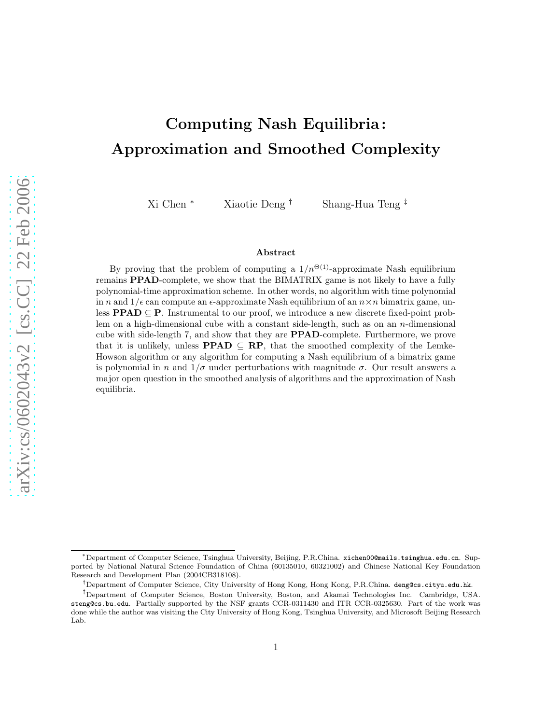# Computing Nash Equilibria : Approximation and Smoothed Complexity

Xi Chen <sup>∗</sup> Xiaotie Deng † Shang-Hua Teng ‡

#### Abstract

By proving that the problem of computing a  $1/n^{\Theta(1)}$ -approximate Nash equilibrium remains PPAD-complete, we show that the BIMATRIX game is not likely to have a fully polynomial-time approximation scheme. In other words, no algorithm with time polynomial in n and  $1/\epsilon$  can compute an  $\epsilon$ -approximate Nash equilibrium of an  $n \times n$  bimatrix game, unless  $\text{PPAD} \subseteq \text{P}$ . Instrumental to our proof, we introduce a new discrete fixed-point problem on a high-dimensional cube with a constant side-length, such as on an n-dimensional cube with side-length 7, and show that they are PPAD-complete. Furthermore, we prove that it is unlikely, unless **PPAD**  $\subseteq$  **RP**, that the smoothed complexity of the Lemke-Howson algorithm or any algorithm for computing a Nash equilibrium of a bimatrix game is polynomial in n and  $1/\sigma$  under perturbations with magnitude  $\sigma$ . Our result answers a major open question in the smoothed analysis of algorithms and the approximation of Nash equilibria.

<sup>∗</sup>Department of Computer Science, Tsinghua University, Beijing, P.R.China. xichen00@mails.tsinghua.edu.cn. Supported by National Natural Science Foundation of China (60135010, 60321002) and Chinese National Key Foundation Research and Development Plan (2004CB318108).

<sup>†</sup>Department of Computer Science, City University of Hong Kong, Hong Kong, P.R.China. deng@cs.cityu.edu.hk.

<sup>‡</sup>Department of Computer Science, Boston University, Boston, and Akamai Technologies Inc. Cambridge, USA. steng@cs.bu.edu. Partially supported by the NSF grants CCR-0311430 and ITR CCR-0325630. Part of the work was done while the author was visiting the City University of Hong Kong, Tsinghua University, and Microsoft Beijing Research Lab.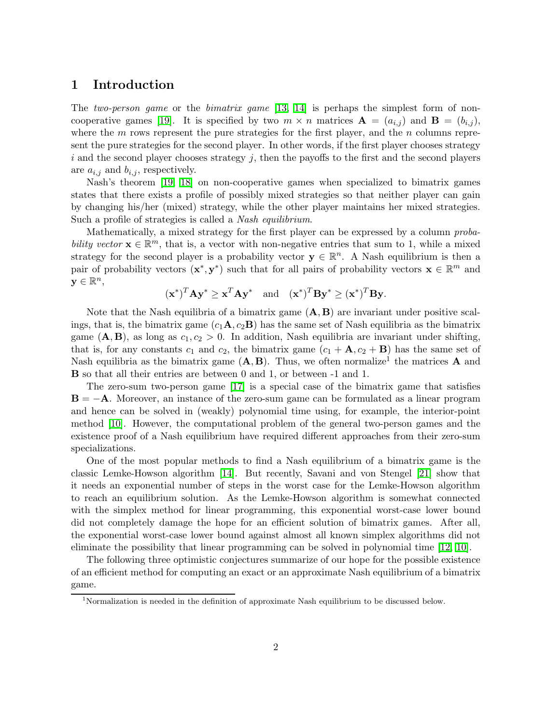### 1 Introduction

The two-person game or the bimatrix game  $|13, 14|$  is perhaps the simplest form of non-cooperative games [\[19\]](#page-37-2). It is specified by two  $m \times n$  matrices  $\mathbf{A} = (a_{i,j})$  and  $\mathbf{B} = (b_{i,j})$ , where the  $m$  rows represent the pure strategies for the first player, and the  $n$  columns represent the pure strategies for the second player. In other words, if the first player chooses strategy  $i$  and the second player chooses strategy  $j$ , then the payoffs to the first and the second players are  $a_{i,j}$  and  $b_{i,j}$ , respectively.

Nash's theorem [\[19,](#page-37-2) [18\]](#page-37-3) on non-cooperative games when specialized to bimatrix games states that there exists a profile of possibly mixed strategies so that neither player can gain by changing his/her (mixed) strategy, while the other player maintains her mixed strategies. Such a profile of strategies is called a Nash equilibrium.

Mathematically, a mixed strategy for the first player can be expressed by a column probability vector  $\mathbf{x} \in \mathbb{R}^m$ , that is, a vector with non-negative entries that sum to 1, while a mixed strategy for the second player is a probability vector  $y \in \mathbb{R}^n$ . A Nash equilibrium is then a pair of probability vectors  $(\mathbf{x}^*, \mathbf{y}^*)$  such that for all pairs of probability vectors  $\mathbf{x} \in \mathbb{R}^m$  and  $y \in \mathbb{R}^n$ 

$$
(\mathbf{x}^*)^T \mathbf{A} \mathbf{y}^* \ge \mathbf{x}^T \mathbf{A} \mathbf{y}^*
$$
 and  $(\mathbf{x}^*)^T \mathbf{B} \mathbf{y}^* \ge (\mathbf{x}^*)^T \mathbf{B} \mathbf{y}.$ 

Note that the Nash equilibria of a bimatrix game  $(A, B)$  are invariant under positive scalings, that is, the bimatrix game  $(c_1\mathbf{A}, c_2\mathbf{B})$  has the same set of Nash equilibria as the bimatrix game  $(A, B)$ , as long as  $c_1, c_2 > 0$ . In addition, Nash equilibria are invariant under shifting, that is, for any constants  $c_1$  and  $c_2$ , the bimatrix game  $(c_1 + A, c_2 + B)$  has the same set of Nash equilibria as the bimatrix game  $(A, B)$ . Thus, we often normalize<sup>1</sup> the matrices A and B so that all their entries are between 0 and 1, or between -1 and 1.

The zero-sum two-person game [\[17\]](#page-37-4) is a special case of the bimatrix game that satisfies  $B = -A$ . Moreover, an instance of the zero-sum game can be formulated as a linear program and hence can be solved in (weakly) polynomial time using, for example, the interior-point method [\[10\]](#page-37-5). However, the computational problem of the general two-person games and the existence proof of a Nash equilibrium have required different approaches from their zero-sum specializations.

One of the most popular methods to find a Nash equilibrium of a bimatrix game is the classic Lemke-Howson algorithm [\[14\]](#page-37-1). But recently, Savani and von Stengel [\[21\]](#page-37-6) show that it needs an exponential number of steps in the worst case for the Lemke-Howson algorithm to reach an equilibrium solution. As the Lemke-Howson algorithm is somewhat connected with the simplex method for linear programming, this exponential worst-case lower bound did not completely damage the hope for an efficient solution of bimatrix games. After all, the exponential worst-case lower bound against almost all known simplex algorithms did not eliminate the possibility that linear programming can be solved in polynomial time [\[12,](#page-37-7) [10\]](#page-37-5).

The following three optimistic conjectures summarize of our hope for the possible existence of an efficient method for computing an exact or an approximate Nash equilibrium of a bimatrix game.

<sup>&</sup>lt;sup>1</sup>Normalization is needed in the definition of approximate Nash equilibrium to be discussed below.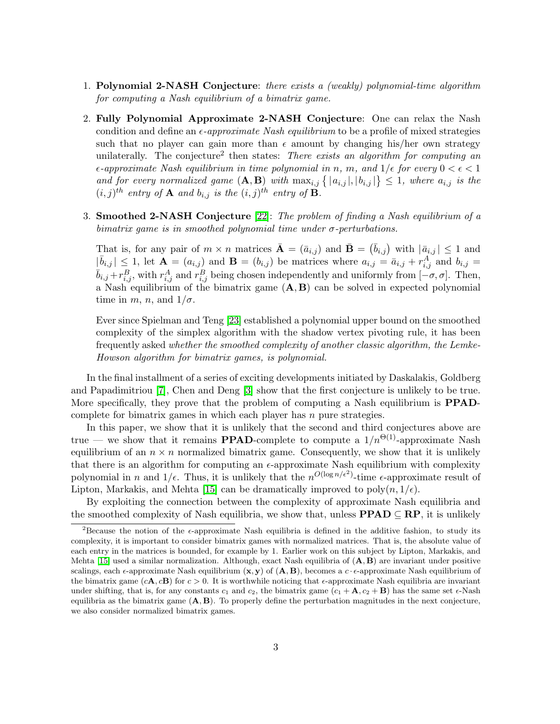- 1. Polynomial 2-NASH Conjecture: there exists a (weakly) polynomial-time algorithm for computing a Nash equilibrium of a bimatrix game.
- 2. Fully Polynomial Approximate 2-NASH Conjecture: One can relax the Nash condition and define an  $\epsilon$ -approximate Nash equilibrium to be a profile of mixed strategies such that no player can gain more than  $\epsilon$  amount by changing his/her own strategy unilaterally. The conjecture<sup>2</sup> then states: There exists an algorithm for computing an  $\epsilon$ -approximate Nash equilibrium in time polynomial in n, m, and  $1/\epsilon$  for every  $0 < \epsilon < 1$ and for every normalized game  $(A, B)$  with  $\max_{i,j} \{ |a_{i,j}|, |b_{i,j}| \} \leq 1$ , where  $a_{i,j}$  is the  $(i, j)^{th}$  entry of **A** and  $b_{i,j}$  is the  $(i, j)^{th}$  entry of **B**.
- 3. Smoothed 2-NASH Conjecture [\[22\]](#page-38-0): The problem of finding a Nash equilibrium of a bimatrix game is in smoothed polynomial time under  $\sigma$ -perturbations.

That is, for any pair of  $m \times n$  matrices  $\bar{\mathbf{A}} = (\bar{a}_{i,j})$  and  $\bar{\mathbf{B}} = (\bar{b}_{i,j})$  with  $|\bar{a}_{i,j}| \leq 1$  and  $|\bar{b}_{i,j}| \leq 1$ , let  $\mathbf{A} = (a_{i,j})$  and  $\mathbf{B} = (b_{i,j})$  be matrices where  $a_{i,j} = \bar{a}_{i,j} + r_{i,j}^A$  and  $b_{i,j} =$  $\bar{b}_{i,j} + r_{i,j}^B$ , with  $r_{i,j}^A$  and  $r_{i,j}^B$  being chosen independently and uniformly from  $[-\sigma, \sigma]$ . Then, a Nash equilibrium of the bimatrix game  $(A, B)$  can be solved in expected polynomial time in m, n, and  $1/\sigma$ .

Ever since Spielman and Teng [\[23\]](#page-38-1) established a polynomial upper bound on the smoothed complexity of the simplex algorithm with the shadow vertex pivoting rule, it has been frequently asked whether the smoothed complexity of another classic algorithm, the Lemke-Howson algorithm for bimatrix games, is polynomial.

In the final installment of a series of exciting developments initiated by Daskalakis, Goldberg and Papadimitriou [\[7\]](#page-37-8), Chen and Deng [\[3\]](#page-36-0) show that the first conjecture is unlikely to be true. More specifically, they prove that the problem of computing a Nash equilibrium is **PPAD**complete for bimatrix games in which each player has  $n$  pure strategies.

In this paper, we show that it is unlikely that the second and third conjectures above are true — we show that it remains **PPAD**-complete to compute a  $1/n^{\Theta(1)}$ -approximate Nash equilibrium of an  $n \times n$  normalized bimatrix game. Consequently, we show that it is unlikely that there is an algorithm for computing an  $\epsilon$ -approximate Nash equilibrium with complexity polynomial in n and  $1/\epsilon$ . Thus, it is unlikely that the  $n^{O(\log n/\epsilon^2)}$ -time  $\epsilon$ -approximate result of Lipton, Markakis, and Mehta [\[15\]](#page-37-9) can be dramatically improved to  $poly(n, 1/\epsilon)$ .

By exploiting the connection between the complexity of approximate Nash equilibria and the smoothed complexity of Nash equilibria, we show that, unless  $\text{PPAD} \subseteq \text{RP}$ , it is unlikely

<sup>&</sup>lt;sup>2</sup>Because the notion of the  $\epsilon$ -approximate Nash equilibria is defined in the additive fashion, to study its complexity, it is important to consider bimatrix games with normalized matrices. That is, the absolute value of each entry in the matrices is bounded, for example by 1. Earlier work on this subject by Lipton, Markakis, and Mehta [\[15\]](#page-37-9) used a similar normalization. Although, exact Nash equilibria of  $(A, B)$  are invariant under positive scalings, each  $\epsilon$ -approximate Nash equilibrium  $(x, y)$  of  $(A, B)$ , becomes a c  $\epsilon$ -approximate Nash equilibrium of the bimatrix game  $(c\mathbf{A}, c\mathbf{B})$  for  $c > 0$ . It is worthwhile noticing that  $\epsilon$ -approximate Nash equilibria are invariant under shifting, that is, for any constants  $c_1$  and  $c_2$ , the bimatrix game  $(c_1 + \mathbf{A}, c_2 + \mathbf{B})$  has the same set  $\epsilon$ -Nash equilibria as the bimatrix game  $(A, B)$ . To properly define the perturbation magnitudes in the next conjecture, we also consider normalized bimatrix games.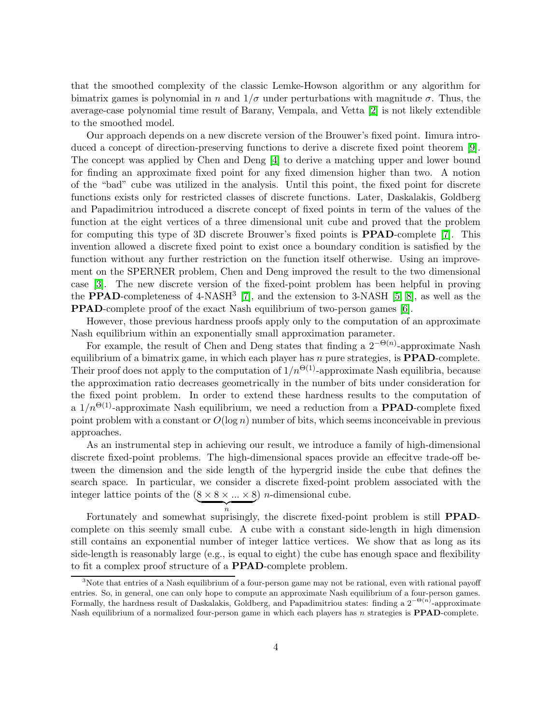that the smoothed complexity of the classic Lemke-Howson algorithm or any algorithm for bimatrix games is polynomial in n and  $1/\sigma$  under perturbations with magnitude  $\sigma$ . Thus, the average-case polynomial time result of Barany, Vempala, and Vetta [\[2\]](#page-36-1) is not likely extendible to the smoothed model.

Our approach depends on a new discrete version of the Brouwer's fixed point. Iimura introduced a concept of direction-preserving functions to derive a discrete fixed point theorem [\[9\]](#page-37-10). The concept was applied by Chen and Deng [\[4\]](#page-36-2) to derive a matching upper and lower bound for finding an approximate fixed point for any fixed dimension higher than two. A notion of the "bad" cube was utilized in the analysis. Until this point, the fixed point for discrete functions exists only for restricted classes of discrete functions. Later, Daskalakis, Goldberg and Papadimitriou introduced a discrete concept of fixed points in term of the values of the function at the eight vertices of a three dimensional unit cube and proved that the problem for computing this type of 3D discrete Brouwer's fixed points is PPAD-complete [\[7\]](#page-37-8). This invention allowed a discrete fixed point to exist once a boundary condition is satisfied by the function without any further restriction on the function itself otherwise. Using an improvement on the SPERNER problem, Chen and Deng improved the result to the two dimensional case [\[3\]](#page-36-0). The new discrete version of the fixed-point problem has been helpful in proving the **PPAD**-completeness of  $4$ -NASH<sup>3</sup> [\[7\]](#page-37-8), and the extension to  $3$ -NASH [\[5,](#page-37-11) [8\]](#page-37-12), as well as the PPAD-complete proof of the exact Nash equilibrium of two-person games [\[6\]](#page-37-13).

However, those previous hardness proofs apply only to the computation of an approximate Nash equilibrium within an exponentially small approximation parameter.

For example, the result of Chen and Deng states that finding a  $2^{-\Theta(n)}$ -approximate Nash equilibrium of a bimatrix game, in which each player has n pure strategies, is **PPAD**-complete. Their proof does not apply to the computation of  $1/n^{\Theta(1)}$ -approximate Nash equilibria, because the approximation ratio decreases geometrically in the number of bits under consideration for the fixed point problem. In order to extend these hardness results to the computation of a  $1/n^{\Theta(1)}$ -approximate Nash equilibrium, we need a reduction from a **PPAD**-complete fixed point problem with a constant or  $O(\log n)$  number of bits, which seems inconceivable in previous approaches.

As an instrumental step in achieving our result, we introduce a family of high-dimensional discrete fixed-point problems. The high-dimensional spaces provide an effecitve trade-off between the dimension and the side length of the hypergrid inside the cube that defines the search space. In particular, we consider a discrete fixed-point problem associated with the integer lattice points of the  $(8 \times 8 \times ... \times 8)$ ) *n*-dimensional cube.

 $\overbrace{n}$ Fortunately and somewhat suprisingly, the discrete fixed-point problem is still PPADcomplete on this seemly small cube. A cube with a constant side-length in high dimension still contains an exponential number of integer lattice vertices. We show that as long as its side-length is reasonably large (e.g., is equal to eight) the cube has enough space and flexibility to fit a complex proof structure of a PPAD-complete problem.

<sup>&</sup>lt;sup>3</sup>Note that entries of a Nash equilibrium of a four-person game may not be rational, even with rational payoff entries. So, in general, one can only hope to compute an approximate Nash equilibrium of a four-person games. Formally, the hardness result of Daskalakis, Goldberg, and Papadimitriou states: finding a  $2^{-\Theta(n)}$ -approximate Nash equilibrium of a normalized four-person game in which each players has  $n$  strategies is **PPAD**-complete.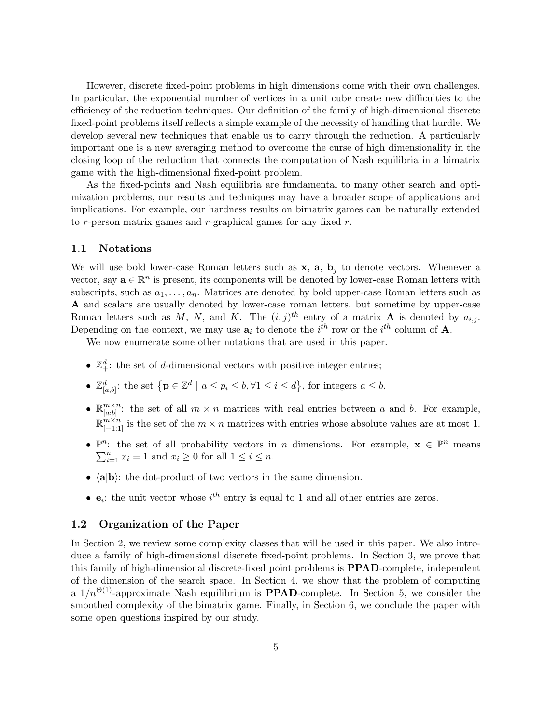However, discrete fixed-point problems in high dimensions come with their own challenges. In particular, the exponential number of vertices in a unit cube create new difficulties to the efficiency of the reduction techniques. Our definition of the family of high-dimensional discrete fixed-point problems itself reflects a simple example of the necessity of handling that hurdle. We develop several new techniques that enable us to carry through the reduction. A particularly important one is a new averaging method to overcome the curse of high dimensionality in the closing loop of the reduction that connects the computation of Nash equilibria in a bimatrix game with the high-dimensional fixed-point problem.

As the fixed-points and Nash equilibria are fundamental to many other search and optimization problems, our results and techniques may have a broader scope of applications and implications. For example, our hardness results on bimatrix games can be naturally extended to r-person matrix games and r-graphical games for any fixed  $r$ .

#### 1.1 Notations

We will use bold lower-case Roman letters such as  $x$ ,  $a$ ,  $b<sub>j</sub>$  to denote vectors. Whenever a vector, say  $\mathbf{a} \in \mathbb{R}^n$  is present, its components will be denoted by lower-case Roman letters with subscripts, such as  $a_1, \ldots, a_n$ . Matrices are denoted by bold upper-case Roman letters such as A and scalars are usually denoted by lower-case roman letters, but sometime by upper-case Roman letters such as M, N, and K. The  $(i, j)^{th}$  entry of a matrix **A** is denoted by  $a_{i,j}$ . Depending on the context, we may use  $a_i$  to denote the  $i^{th}$  row or the  $i^{th}$  column of  $A$ .

We now enumerate some other notations that are used in this paper.

- $\mathbb{Z}_+^d$ : the set of *d*-dimensional vectors with positive integer entries;
- $\mathbb{Z}_{[a,b]}^d$ : the set  $\{ \mathbf{p} \in \mathbb{Z}^d \mid a \leq p_i \leq b, \forall 1 \leq i \leq d \},$  for integers  $a \leq b$ .
- $\bullet \ \mathbb{R}^{m \times n}_{[a:b]}$  $\binom{m \times n}{[a:b]}$ : the set of all  $m \times n$  matrices with real entries between a and b. For example,  $\mathbb{R}^{m \times n}_{[-1,1]}$  is the set of the  $m \times n$  matrices with entries whose absolute values are at most 1.
- $\mathbb{P}^n$ : the set of all probability vectors in n dimensions. For example,  $\mathbf{x} \in \mathbb{P}^n$  means  $\sum_{i=1}^{n} x_i = 1$  and  $x_i \ge 0$  for all  $1 \le i \le n$ .
- $\langle a|b \rangle$ : the dot-product of two vectors in the same dimension.
- $e_i$ : the unit vector whose  $i^{th}$  entry is equal to 1 and all other entries are zeros.

#### 1.2 Organization of the Paper

In Section 2, we review some complexity classes that will be used in this paper. We also introduce a family of high-dimensional discrete fixed-point problems. In Section 3, we prove that this family of high-dimensional discrete-fixed point problems is PPAD-complete, independent of the dimension of the search space. In Section 4, we show that the problem of computing a  $1/n^{\Theta(1)}$ -approximate Nash equilibrium is **PPAD**-complete. In Section 5, we consider the smoothed complexity of the bimatrix game. Finally, in Section 6, we conclude the paper with some open questions inspired by our study.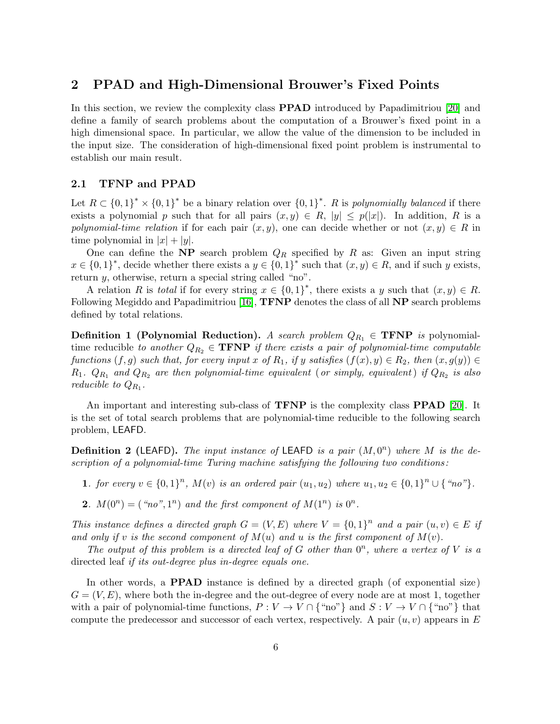### 2 PPAD and High-Dimensional Brouwer's Fixed Points

In this section, we review the complexity class PPAD introduced by Papadimitriou [\[20\]](#page-37-14) and define a family of search problems about the computation of a Brouwer's fixed point in a high dimensional space. In particular, we allow the value of the dimension to be included in the input size. The consideration of high-dimensional fixed point problem is instrumental to establish our main result.

#### 2.1 TFNP and PPAD

Let  $R \subset \{0,1\}^* \times \{0,1\}^*$  be a binary relation over  $\{0,1\}^*$ . R is polynomially balanced if there exists a polynomial p such that for all pairs  $(x, y) \in R$ ,  $|y| \leq p(|x|)$ . In addition, R is a polynomial-time relation if for each pair  $(x, y)$ , one can decide whether or not  $(x, y) \in R$  in time polynomial in  $|x| + |y|$ .

One can define the NP search problem  $Q_R$  specified by R as: Given an input string  $x \in \{0,1\}^*$ , decide whether there exists a  $y \in \{0,1\}^*$  such that  $(x, y) \in R$ , and if such y exists, return  $\psi$ , otherwise, return a special string called "no".

A relation R is total if for every string  $x \in \{0,1\}^*$ , there exists a y such that  $(x, y) \in R$ . Following Megiddo and Papadimitriou [\[16\]](#page-37-15), TFNP denotes the class of all NP search problems defined by total relations.

**Definition 1 (Polynomial Reduction).** A search problem  $Q_{R_1} \in \text{TFNP}$  is polynomialtime reducible to another  $Q_{R_2} \in \textbf{TFNP}$  if there exists a pair of polynomial-time computable functions  $(f, g)$  such that, for every input x of  $R_1$ , if y satisfies  $(f(x), y) \in R_2$ , then  $(x, g(y)) \in$  $R_1$ .  $Q_{R_1}$  and  $Q_{R_2}$  are then polynomial-time equivalent (or simply, equivalent) if  $Q_{R_2}$  is also reducible to  $Q_{R_1}$ .

An important and interesting sub-class of **TFNP** is the complexity class **PPAD** [\[20\]](#page-37-14). It is the set of total search problems that are polynomial-time reducible to the following search problem, LEAFD.

**Definition 2 (LEAFD).** The input instance of LEAFD is a pair  $(M, 0^n)$  where M is the description of a polynomial-time Turing machine satisfying the following two conditions:

- 1. for every  $v \in \{0,1\}^n$ ,  $M(v)$  is an ordered pair  $(u_1, u_2)$  where  $u_1, u_2 \in \{0,1\}^n \cup \{$  "no"}.
- 2.  $M(0^n) = (n^n, 1^n)$  and the first component of  $M(1^n)$  is  $0^n$ .

This instance defines a directed graph  $G = (V, E)$  where  $V = \{0, 1\}^n$  and a pair  $(u, v) \in E$  if and only if v is the second component of  $M(u)$  and u is the first component of  $M(v)$ .

The output of this problem is a directed leaf of  $G$  other than  $0<sup>n</sup>$ , where a vertex of V is a directed leaf if its out-degree plus in-degree equals one.

In other words, a PPAD instance is defined by a directed graph (of exponential size)  $G = (V, E)$ , where both the in-degree and the out-degree of every node are at most 1, together with a pair of polynomial-time functions,  $P: V \to V \cap \{\text{``no''}\}\$ and  $S: V \to V \cap \{\text{``no''}\}\$ that compute the predecessor and successor of each vertex, respectively. A pair  $(u, v)$  appears in E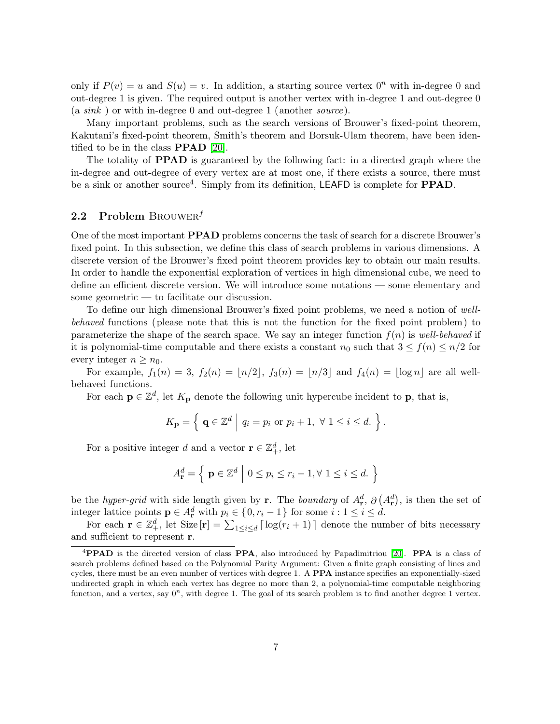only if  $P(v) = u$  and  $S(u) = v$ . In addition, a starting source vertex  $0^n$  with in-degree 0 and out-degree 1 is given. The required output is another vertex with in-degree 1 and out-degree 0 (a sink ) or with in-degree 0 and out-degree 1 (another source).

Many important problems, such as the search versions of Brouwer's fixed-point theorem, Kakutani's fixed-point theorem, Smith's theorem and Borsuk-Ulam theorem, have been identified to be in the class PPAD [\[20\]](#page-37-14).

The totality of PPAD is guaranteed by the following fact: in a directed graph where the in-degree and out-degree of every vertex are at most one, if there exists a source, there must be a sink or another source<sup>4</sup>. Simply from its definition, LEAFD is complete for **PPAD**.

### 2.2 Problem BROUWER<sup> $f$ </sup>

One of the most important PPAD problems concerns the task of search for a discrete Brouwer's fixed point. In this subsection, we define this class of search problems in various dimensions. A discrete version of the Brouwer's fixed point theorem provides key to obtain our main results. In order to handle the exponential exploration of vertices in high dimensional cube, we need to define an efficient discrete version. We will introduce some notations — some elementary and some geometric — to facilitate our discussion.

To define our high dimensional Brouwer's fixed point problems, we need a notion of wellbehaved functions (please note that this is not the function for the fixed point problem ) to parameterize the shape of the search space. We say an integer function  $f(n)$  is well-behaved if it is polynomial-time computable and there exists a constant  $n_0$  such that  $3 \le f(n) \le n/2$  for every integer  $n \geq n_0$ .

For example,  $f_1(n) = 3$ ,  $f_2(n) = |n/2|$ ,  $f_3(n) = |n/3|$  and  $f_4(n) = |\log n|$  are all wellbehaved functions.

For each  $\mathbf{p} \in \mathbb{Z}^d$ , let  $K_{\mathbf{p}}$  denote the following unit hypercube incident to  $\mathbf{p}$ , that is,

$$
K_{\mathbf{p}} = \left\{ \left| \mathbf{q} \in \mathbb{Z}^d \right| q_i = p_i \text{ or } p_i + 1, \ \forall \ 1 \leq i \leq d. \right. \right\}.
$$

For a positive integer d and a vector  $\mathbf{r} \in \mathbb{Z}_+^d$ , let

$$
A_{\mathbf{r}}^d = \left\{ \left| \mathbf{p} \in \mathbb{Z}^d \right| 0 \le p_i \le r_i - 1, \forall \ 1 \le i \le d. \right. \right\}
$$

be the *hyper-grid* with side length given by r. The *boundary* of  $A_r^d$ ,  $\partial (A_r^d)$ , is then the set of integer lattice points  $\mathbf{p} \in A_{\mathbf{r}}^d$  with  $p_i \in \{0, r_i - 1\}$  for some  $i : 1 \leq i \leq d$ .

For each  $\mathbf{r} \in \mathbb{Z}_+^d$ , let Size  $[\mathbf{r}] = \sum_{1 \leq i \leq d} \lceil \log(r_i + 1) \rceil$  denote the number of bits necessary and sufficient to represent r.

<sup>&</sup>lt;sup>4</sup>PPAD is the directed version of class PPA, also introduced by Papadimitriou [\[20\]](#page-37-14). PPA is a class of search problems defined based on the Polynomial Parity Argument: Given a finite graph consisting of lines and cycles, there must be an even number of vertices with degree 1. A PPA instance specifies an exponentially-sized undirected graph in which each vertex has degree no more than 2, a polynomial-time computable neighboring function, and a vertex, say  $0^n$ , with degree 1. The goal of its search problem is to find another degree 1 vertex.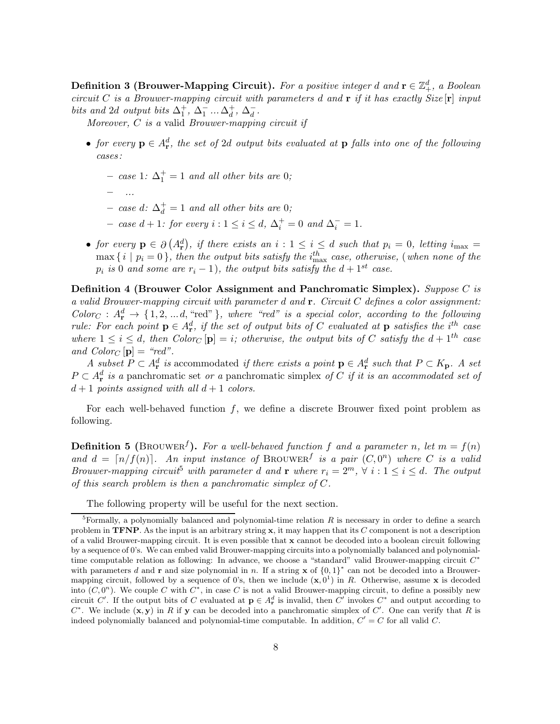Definition 3 (Brouwer-Mapping Circuit). For a positive integer d and  $\mathbf{r} \in \mathbb{Z}_+^d$ , a Boolean circuit C is a Brouwer-mapping circuit with parameters d and  $\bf{r}$  if it has exactly Size  $\bf{r}$  input bits and 2d output bits  $\Delta_1^+$ ,  $\Delta_1^-$  ... $\Delta_d^+$  $_d^+$ ,  $\Delta_d^ \frac{1}{d}$ .

Moreover, C is a valid Brouwer-mapping circuit if

- for every  $p \in A_r^d$ , the set of 2d output bits evaluated at p falls into one of the following cases :
	- $-$  case 1:  $\Delta_1^+ = 1$  and all other bits are 0;
	- ...
	- $-$  case d:  $\Delta_d^+$  = 1 and all other bits are 0;
	- case  $d+1$ : for every  $i: 1 \leq i \leq d$ ,  $\Delta_i^+ = 0$  and  $\Delta_i^- = 1$ .
- for every  $p \in \partial (A_r^d)$ , if there exists an  $i : 1 \leq i \leq d$  such that  $p_i = 0$ , letting  $i_{\max} =$  $\max\{\,i\mid p_i=0\,\}$ , then the output bits satisfy the  $i_{\max}^{th}$  case, otherwise, (when none of the  $p_i$  is 0 and some are  $r_i - 1$ ), the output bits satisfy the  $d + 1^{st}$  case.

Definition 4 (Brouwer Color Assignment and Panchromatic Simplex). Suppose C is a valid Brouwer-mapping circuit with parameter d and  $\mathbf r$ . Circuit C defines a color assignment:  $Color_C: A_r^d \rightarrow \{1, 2, ..., d, "red" \}$ , where "red" is a special color, according to the following rule: For each point  $\mathbf{p} \in A_{\mathbf{r}}^d$ , if the set of output bits of C evaluated at  $\mathbf{p}$  satisfies the i<sup>th</sup> case where  $1 \leq i \leq d$ , then  $Color_C[p] = i$ ; otherwise, the output bits of C satisfy the  $d + 1<sup>th</sup>$  case and  $Color_C[p] = "red".$ 

A subset  $P \subset A_{\mathbf{r}}^d$  is accommodated if there exists a point  $\mathbf{p} \in A_{\mathbf{r}}^d$  such that  $P \subset K_{\mathbf{p}}$ . A set  $P \subset A_{\mathbf{r}}^d$  is a panchromatic set or a panchromatic simplex of C if it is an accommodated set of  $d+1$  points assigned with all  $d+1$  colors.

<span id="page-7-1"></span>For each well-behaved function  $f$ , we define a discrete Brouwer fixed point problem as following.

**Definition 5** (BROUWER<sup>f</sup>). For a well-behaved function f and a parameter n, let  $m = f(n)$ and  $d = \lceil n/f(n) \rceil$ . An input instance of BROUWER<sup>f</sup> is a pair  $(C, 0^n)$  where C is a valid Brouwer-mapping circuit<sup>5</sup> with parameter d and r where  $r_i = 2^m$ ,  $\forall i : 1 \le i \le d$ . The output of this search problem is then a panchromatic simplex of C.

The following property will be useful for the next section.

<span id="page-7-0"></span><sup>&</sup>lt;sup>5</sup>Formally, a polynomially balanced and polynomial-time relation R is necessary in order to define a search problem in **TFNP**. As the input is an arbitrary string  $x$ , it may happen that its C component is not a description of a valid Brouwer-mapping circuit. It is even possible that  $x$  cannot be decoded into a boolean circuit following by a sequence of 0's. We can embed valid Brouwer-mapping circuits into a polynomially balanced and polynomialtime computable relation as following: In advance, we choose a "standard" valid Brouwer-mapping circuit  $C^*$ with parameters d and r and size polynomial in n. If a string x of  ${0,1}^*$  can not be decoded into a Brouwermapping circuit, followed by a sequence of 0's, then we include  $(\mathbf{x}, 0^1)$  in R. Otherwise, assume x is decoded into  $(C, 0^n)$ . We couple C with  $C^*$ , in case C is not a valid Brouwer-mapping circuit, to define a possibly new circuit C'. If the output bits of C evaluated at  $p \in A_r^d$  is invalid, then C' invokes C<sup>\*</sup> and output according to  $C^*$ . We include  $(x, y)$  in R if y can be decoded into a panchromatic simplex of C'. One can verify that R is indeed polynomially balanced and polynomial-time computable. In addition,  $C' = C$  for all valid  $C$ .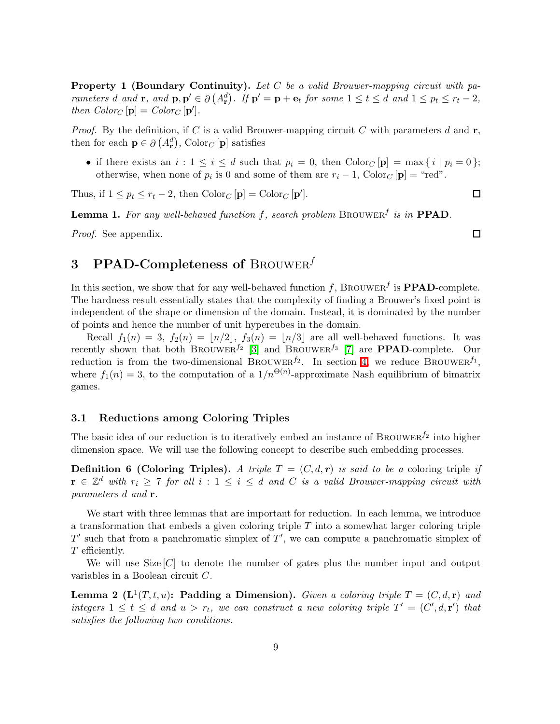**Property 1 (Boundary Continuity).** Let C be a valid Brouwer-mapping circuit with parameters d and **r**, and  $\mathbf{p}, \mathbf{p}' \in \partial (A_{\mathbf{r}}^d)$ . If  $\mathbf{p}' = \mathbf{p} + \mathbf{e}_t$  for some  $1 \le t \le d$  and  $1 \le p_t \le r_t - 2$ , then  $Color_C[p] = Color_C[p']$ .

*Proof.* By the definition, if C is a valid Brouwer-mapping circuit C with parameters d and  $\mathbf{r}$ , then for each  $\mathbf{p} \in \partial (A_{\mathbf{r}}^d)$ , Color<sub>*C*</sub> [**p**] satisfies

• if there exists an  $i: 1 \leq i \leq d$  such that  $p_i = 0$ , then  $\text{Color}_C[\mathbf{p}] = \max\{i \mid p_i = 0\};$ otherwise, when none of  $p_i$  is 0 and some of them are  $r_i - 1$ , Color<sub>C</sub> [**p**] = "red".

<span id="page-8-1"></span>Thus, if  $1 \leq p_t \leq r_t - 2$ , then  $\text{Color}_C[\mathbf{p}] = \text{Color}_C[\mathbf{p}'].$ 

**Lemma 1.** For any well-behaved function f, search problem BROUWER<sup>f</sup> is in **PPAD**.

Proof. See appendix.

3 PPAD-Completeness of BROUWER $^f$ 

In this section, we show that for any well-behaved function f, BROUWER<sup>f</sup> is **PPAD**-complete. The hardness result essentially states that the complexity of finding a Brouwer's fixed point is independent of the shape or dimension of the domain. Instead, it is dominated by the number of points and hence the number of unit hypercubes in the domain.

Recall  $f_1(n) = 3$ ,  $f_2(n) = |n/2|$ ,  $f_3(n) = |n/3|$  are all well-behaved functions. It was recently shown that both BROUWER<sup> $f_2$ </sup> [\[3\]](#page-36-0) and BROUWER<sup> $f_3$ </sup> [\[7\]](#page-37-8) are **PPAD**-complete. Our reduction is from the two-dimensional BROUWER<sup> $f_2$ </sup>. In section [4,](#page-16-0) we reduce BROUWER $^{f_1}$ , where  $f_1(n) = 3$ , to the computation of a  $1/n^{\Theta(n)}$ -approximate Nash equilibrium of bimatrix games.

#### 3.1 Reductions among Coloring Triples

The basic idea of our reduction is to iteratively embed an instance of BROUWER<sup> $f_2$ </sup> into higher dimension space. We will use the following concept to describe such embedding processes.

**Definition 6 (Coloring Triples).** A triple  $T = (C, d, r)$  is said to be a coloring triple if  $\mathbf{r} \in \mathbb{Z}^d$  with  $r_i \geq 7$  for all  $i: 1 \leq i \leq d$  and C is a valid Brouwer-mapping circuit with parameters d and r.

We start with three lemmas that are important for reduction. In each lemma, we introduce a transformation that embeds a given coloring triple  $T$  into a somewhat larger coloring triple  $T'$  such that from a panchromatic simplex of  $T'$ , we can compute a panchromatic simplex of T efficiently.

<span id="page-8-0"></span>We will use Size  $[C]$  to denote the number of gates plus the number input and output variables in a Boolean circuit C.

**Lemma 2** ( $\mathbf{L}^1(T,t,u)$ : Padding a Dimension). Given a coloring triple  $T = (C, d, \mathbf{r})$  and integers  $1 \leq t \leq d$  and  $u > r_t$ , we can construct a new coloring triple  $T' = (C', d, r')$  that satisfies the following two conditions.

 $\Box$ 

 $\Box$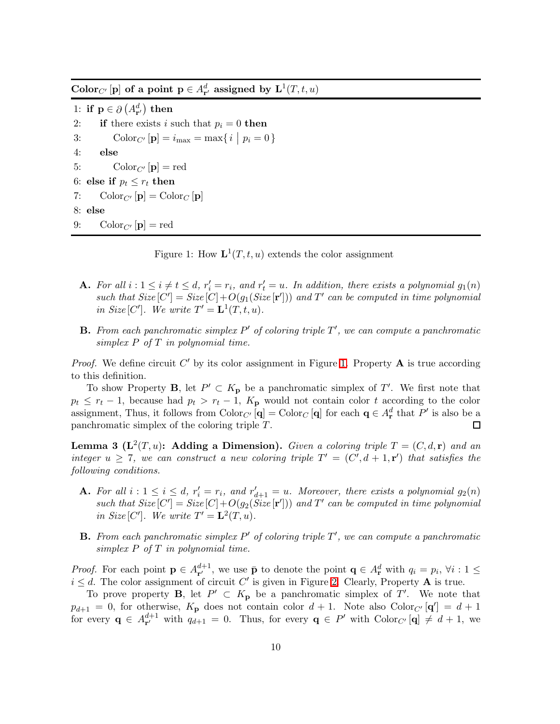$\mathbf{Color}_{C'}[\mathbf{p}]$  of a point  $\mathbf{p} \in A_{\mathbf{r}'}^d$  assigned by  $\mathbf{L}^1(T, t, u)$ 

1: if  $\mathbf{p} \in \partial (A_{\mathbf{r}'}^d)$  then 2: if there exists i such that  $p_i = 0$  then 3: Color<sub>C'</sub>  $[{\bf p}] = i_{\text{max}} = \max\{ i \mid p_i = 0 \}$ 4: else 5:  $\text{Color}_{C'}[\mathbf{p}] = \text{red}$ 6: else if  $p_t \leq r_t$  then 7:  $\operatorname{Color}_{C'}[\mathbf{p}] = \operatorname{Color}_{C}[\mathbf{p}]$ 8: else 9:  $\operatorname{Color}_{C'}[\mathbf{p}] = \operatorname{red}$ 

<span id="page-9-0"></span>Figure 1: How  $\mathbf{L}^1(T,t,u)$  extends the color assignment

- **A.** For all  $i: 1 \leq i \neq t \leq d$ ,  $r'_i = r_i$ , and  $r'_t = u$ . In addition, there exists a polynomial  $g_1(n)$ such that  $Size[C'] = Size[C] + O(g_1(Size[\mathbf{r}'])$  and  $T'$  can be computed in time polynomial in Size [C']. We write  $T' = \mathbf{L}^1(T, t, u)$ .
- **B.** From each panchromatic simplex  $P'$  of coloring triple  $T'$ , we can compute a panchromatic simplex  $P$  of  $T$  in polynomial time.

*Proof.* We define circuit  $C'$  by its color assignment in Figure [1.](#page-9-0) Property  $A$  is true according to this definition.

To show Property **B**, let  $P' \subset K_{\mathbf{p}}$  be a panchromatic simplex of T'. We first note that  $p_t \leq r_t - 1$ , because had  $p_t > r_t - 1$ ,  $K_p$  would not contain color t according to the color assignment, Thus, it follows from  $\text{Color}_{C'}[\mathbf{q}] = \text{Color}_{C}[\mathbf{q}]$  for each  $\mathbf{q} \in A^d_{\mathbf{r}}$  that  $P'$  is also be a panchromatic simplex of the coloring triple T. 口

<span id="page-9-1"></span>**Lemma 3** ( $\mathbf{L}^2(T, u)$ : Adding a Dimension). Given a coloring triple  $T = (C, d, \mathbf{r})$  and an integer  $u \geq 7$ , we can construct a new coloring triple  $T' = (C', d + 1, r')$  that satisfies the following conditions.

- **A.** For all  $i: 1 \leq i \leq d$ ,  $r'_i = r_i$ , and  $r'_{d+1} = u$ . Moreover, there exists a polynomial  $g_2(n)$ such that  $Size[C'] = Size[C] + O(g_2(Size[{\bf r}'])$  and  $T'$  can be computed in time polynomial in Size [C']. We write  $T' = \mathbf{L}^2(T, u)$ .
- **B.** From each panchromatic simplex  $P'$  of coloring triple  $T'$ , we can compute a panchromatic simplex  $P$  of  $T$  in polynomial time.

*Proof.* For each point  $\mathbf{p} \in A_{\mathbf{r}'}^{d+1}$ , we use  $\bar{\mathbf{p}}$  to denote the point  $\mathbf{q} \in A_{\mathbf{r}}^d$  with  $q_i = p_i$ ,  $\forall i : 1 \leq$  $i \leq d$ . The color assignment of circuit C' is given in Figure [2.](#page-10-0) Clearly, Property A is true.

To prove property **B**, let  $P' \subset K_p$  be a panchromatic simplex of T'. We note that  $p_{d+1} = 0$ , for otherwise,  $K_p$  does not contain color  $d+1$ . Note also Color<sub>C'</sub> [q'] =  $d+1$ for every  $\mathbf{q} \in A_{\mathbf{r}'}^{d+1}$  with  $q_{d+1} = 0$ . Thus, for every  $\mathbf{q} \in P'$  with  $\text{Color}_{C'}[\mathbf{q}] \neq d+1$ , we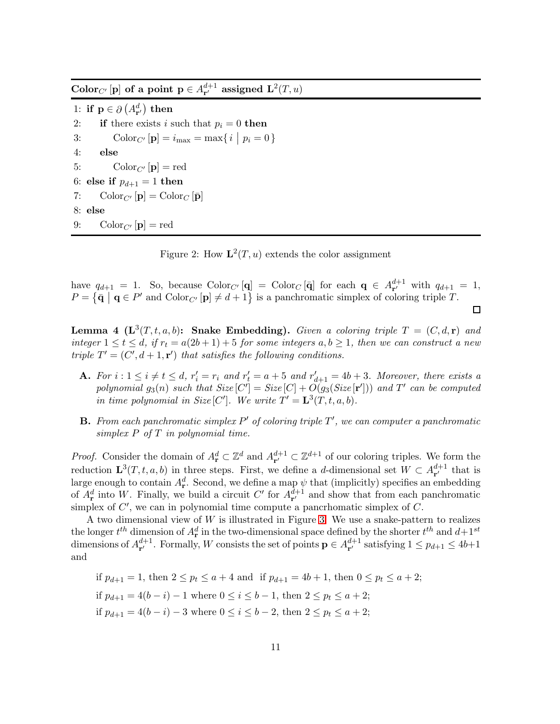$\mathbf{Color}_{C'}[\mathbf{p}]$  of a point  $\mathbf{p} \in A_{\mathbf{r}'}^{d+1}$  assigned  $\mathbf{L}^2(T,u)$ 

1: if  $\mathbf{p} \in \partial (A_{\mathbf{r}'}^d)$  then 2: if there exists i such that  $p_i = 0$  then 3: Color<sub>C'</sub>  $[{\bf p}] = i_{\text{max}} = \max\{ i \mid p_i = 0 \}$ 4: else 5:  $\text{Color}_{C'}[\mathbf{p}] = \text{red}$ 6: else if  $p_{d+1} = 1$  then 7:  $\text{Color}_{C'}[\mathbf{p}] = \text{Color}_{C}[\mathbf{\bar{p}}]$ 8: else 9:  $\operatorname{Color}_{C'}[\mathbf{p}] = \operatorname{red}$ 

<span id="page-10-0"></span>Figure 2: How  $\mathbf{L}^2(T, u)$  extends the color assignment

have  $q_{d+1} = 1$ . So, because  $\text{Color}_{C'}[\mathbf{q}] = \text{Color}_{C}[\mathbf{\bar{q}}]$  for each  $\mathbf{q} \in A_{\mathbf{r}'}^{d+1}$  with  $q_{d+1} = 1$ ,  $P = \{\bar{\mathbf{q}} \mid \mathbf{q} \in P' \text{ and } \text{Color}_{C'}[\mathbf{p}] \neq d+1\}$  is a panchromatic simplex of coloring triple T.

 $\Box$ 

<span id="page-10-1"></span>**Lemma 4** ( $\mathbf{L}^{3}(T, t, a, b)$ : Snake Embedding). Given a coloring triple  $T = (C, d, \mathbf{r})$  and integer  $1 \le t \le d$ , if  $r_t = a(2b+1)+5$  for some integers  $a, b \ge 1$ , then we can construct a new triple  $T' = (C', d + 1, r')$  that satisfies the following conditions.

- **A.** For  $i: 1 \leq i \neq t \leq d$ ,  $r'_i = r_i$  and  $r'_t = a + 5$  and  $r'_{d+1} = 4b + 3$ . Moreover, there exists a polynomial  $g_3(n)$  such that  $Size[C'] = Size[C] + O(g_3(Size[{\bf r}'])$  and  $T'$  can be computed in time polynomial in Size [C']. We write  $T' = \mathbf{L}^3(T, t, a, b)$ .
- **B.** From each panchromatic simplex  $P'$  of coloring triple  $T'$ , we can computer a panchromatic simplex  $P$  of  $T$  in polynomial time.

*Proof.* Consider the domain of  $A_{\mathbf{r}}^d \subset \mathbb{Z}^d$  and  $A_{\mathbf{r}'}^{d+1} \subset \mathbb{Z}^{d+1}$  of our coloring triples. We form the reduction  $\mathbf{L}^{3}(T, t, a, b)$  in three steps. First, we define a d-dimensional set  $W \subset A_{\mathbf{r}'}^{d+1}$  that is large enough to contain  $A^d_r$ . Second, we define a map  $\psi$  that (implicitly) specifies an embedding of  $A_{\mathbf{r}}^d$  into W. Finally, we build a circuit C' for  $A_{\mathbf{r}'}^{d+1}$  and show that from each panchromatic simplex of  $C'$ , we can in polynomial time compute a pancrhomatic simplex of  $C$ .

A two dimensional view of  $W$  is illustrated in Figure [3.](#page-11-0) We use a snake-pattern to realizes the longer  $t^{th}$  dimension of  $A_{\mathbf{r}}^d$  in the two-dimensional space defined by the shorter  $t^{th}$  and  $d+1^{st}$ dimensions of  $A_{\mathbf{r}'}^{d+1}$ . Formally, W consists the set of points  $\mathbf{p} \in A_{\mathbf{r}'}^{d+1}$  satisfying  $1 \leq p_{d+1} \leq 4b+1$ and

if  $p_{d+1} = 1$ , then  $2 \le p_t \le a+4$  and if  $p_{d+1} = 4b+1$ , then  $0 \le p_t \le a+2$ ; if  $p_{d+1} = 4(b - i) - 1$  where  $0 \le i \le b - 1$ , then  $2 \le p_t \le a + 2$ ; if  $p_{d+1} = 4(b - i) - 3$  where  $0 \le i \le b - 2$ , then  $2 \le p_t \le a + 2$ ;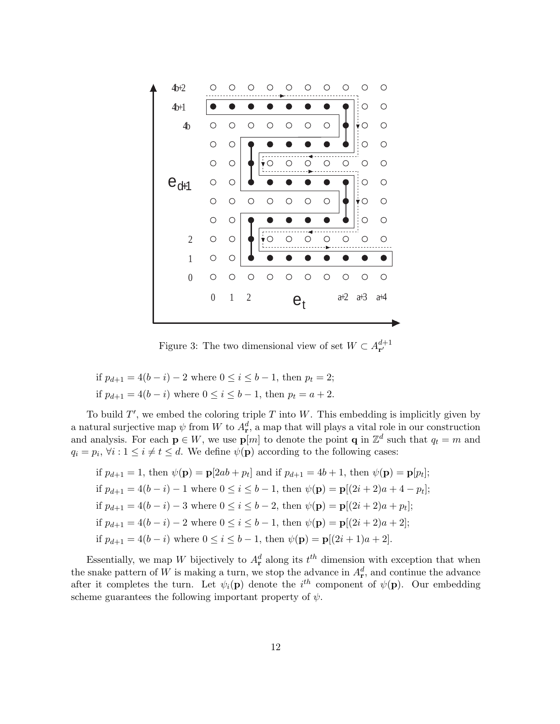

<span id="page-11-0"></span>Figure 3: The two dimensional view of set  $W \subset A_{\mathbf{r}'}^{d+1}$ 

if 
$$
p_{d+1} = 4(b - i) - 2
$$
 where  $0 \le i \le b - 1$ , then  $p_t = 2$ ;  
if  $p_{d+1} = 4(b - i)$  where  $0 \le i \le b - 1$ , then  $p_t = a + 2$ .

To build  $T'$ , we embed the coloring triple T into W. This embedding is implicitly given by a natural surjective map  $\psi$  from W to  $A_{\mathbf{r}}^d$ , a map that will plays a vital role in our construction and analysis. For each  $p \in W$ , we use  $p[m]$  to denote the point **q** in  $\mathbb{Z}^d$  such that  $q_t = m$  and  $q_i = p_i, \forall i : 1 \leq i \neq t \leq d.$  We define  $\psi(\mathbf{p})$  according to the following cases:

if 
$$
p_{d+1} = 1
$$
, then  $\psi(\mathbf{p}) = \mathbf{p}[2ab + p_t]$  and if  $p_{d+1} = 4b + 1$ , then  $\psi(\mathbf{p}) = \mathbf{p}[p_t]$ ;  
if  $p_{d+1} = 4(b - i) - 1$  where  $0 \le i \le b - 1$ , then  $\psi(\mathbf{p}) = \mathbf{p}[(2i + 2)a + 4 - p_t]$ ;  
if  $p_{d+1} = 4(b - i) - 3$  where  $0 \le i \le b - 2$ , then  $\psi(\mathbf{p}) = \mathbf{p}[(2i + 2)a + p_t]$ ;  
if  $p_{d+1} = 4(b - i) - 2$  where  $0 \le i \le b - 1$ , then  $\psi(\mathbf{p}) = \mathbf{p}[(2i + 2)a + 2]$ ;  
if  $p_{d+1} = 4(b - i)$  where  $0 \le i \le b - 1$ , then  $\psi(\mathbf{p}) = \mathbf{p}[(2i + 1)a + 2]$ .

<span id="page-11-1"></span>Essentially, we map W bijectively to  $A_{\mathbf{r}}^d$  along its  $t^{th}$  dimension with exception that when the snake pattern of W is making a turn, we stop the advance in  $A_r^d$ , and continue the advance after it completes the turn. Let  $\psi_i(\mathbf{p})$  denote the  $i^{th}$  component of  $\psi(\mathbf{p})$ . Our embedding scheme guarantees the following important property of  $\psi$ .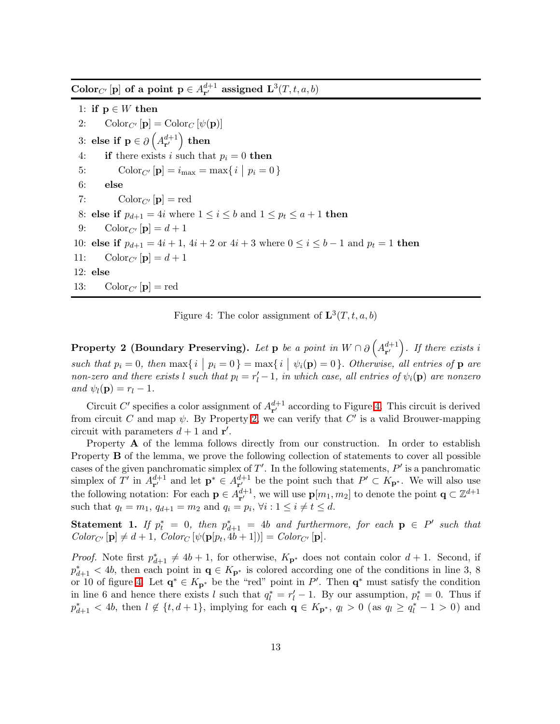Color<sub>C'</sub> [p] of a point  $p \in A_{r'}^{d+1}$  assigned  $\mathbf{L}^3(T, t, a, b)$ 

1: if  $p \in W$  then 2:  $\operatorname{Color}_{C'}[\mathbf{p}] = \operatorname{Color}_{C}[\psi(\mathbf{p})]$ 3: else if  $\mathbf{p} \in \partial \left( A_{\mathbf{r}'}^{d+1} \right)$  then 4: if there exists i such that  $p_i = 0$  then 5: Color<sub>C'</sub>  $[{\bf p}] = i_{\text{max}} = \max\{ i \mid p_i = 0 \}$ 6: else 7:  $\text{Color}_{C'}[\mathbf{p}] = \text{red}$ 8: else if  $p_{d+1} = 4i$  where  $1 \le i \le b$  and  $1 \le p_t \le a+1$  then 9: Color<sub>C'</sub>  $[\mathbf{p}] = d+1$ 10: else if  $p_{d+1} = 4i + 1$ ,  $4i + 2$  or  $4i + 3$  where  $0 \le i \le b - 1$  and  $p_t = 1$  then 11:  $\text{Color}_{C'}[\mathbf{p}] = d+1$ 12: else 13:  $\text{Color}_{C'}[\mathbf{p}] = \text{red}$ 

<span id="page-12-0"></span>Figure 4: The color assignment of  $\mathbf{L}^{3}(T, t, a, b)$ 

**Property 2 (Boundary Preserving).** Let  $p$  be a point in  $W \cap \partial \left( A^{d+1}_{r'} \right)$ . If there exists i such that  $p_i = 0$ , then  $\max\{i \mid p_i = 0\} = \max\{i \mid \psi_i(\mathbf{p}) = 0\}$ . Otherwise, all entries of **p** are non-zero and there exists l such that  $p_l = r'_l - 1$ , in which case, all entries of  $\psi_i(\mathbf{p})$  are nonzero and  $\psi_l(\mathbf{p}) = r_l - 1$ .

Circuit C' specifies a color assignment of  $A_{\mathbf{r}'}^{d+1}$  according to Figure [4.](#page-12-0) This circuit is derived from circuit C and map  $\psi$ . By Property [2,](#page-11-1) we can verify that C' is a valid Brouwer-mapping circuit with parameters  $d+1$  and  $\mathbf{r}'$ .

Property A of the lemma follows directly from our construction. In order to establish Property **B** of the lemma, we prove the following collection of statements to cover all possible cases of the given panchromatic simplex of  $T'$ . In the following statements,  $P'$  is a panchromatic simplex of T' in  $A_{\mathbf{r}'}^{d+1}$  and let  $\mathbf{p}^* \in A_{\mathbf{r}'}^{d+1}$  be the point such that  $P' \subset K_{\mathbf{p}^*}$ . We will also use the following notation: For each  $p \in A_{r'}^{d+1}$ , we will use  $p[m_1, m_2]$  to denote the point  $q \subset \mathbb{Z}^{d+1}$ such that  $q_t = m_1$ ,  $q_{d+1} = m_2$  and  $q_i = p_i$ ,  $\forall i : 1 \le i \ne t \le d$ .

<span id="page-12-1"></span>Statement 1. If  $p_t^* = 0$ , then  $p_{d+1}^* = 4b$  and furthermore, for each  $p \in P'$  such that  $Color_{C'}[\mathbf{p}] \neq d+1$ ,  $Color_{C'}[\psi(\mathbf{p}[p_t,4b+1])] = Color_{C'}[\mathbf{p}].$ 

*Proof.* Note first  $p_{d+1}^* \neq 4b + 1$ , for otherwise,  $K_{p^*}$  does not contain color  $d + 1$ . Second, if  $p_{d+1}^* < 4b$ , then each point in  $\mathbf{q} \in K_{\mathbf{p}^*}$  is colored according one of the conditions in line 3, 8 or 10 of figure [4.](#page-12-0) Let  $\mathbf{q}^* \in K_{\mathbf{p}^*}$  be the "red" point in P'. Then  $\mathbf{q}^*$  must satisfy the condition in line 6 and hence there exists l such that  $q_l^* = r_l' - 1$ . By our assumption,  $p_t^* = 0$ . Thus if  $p_{d+1}^* < 4b$ , then  $l \notin \{t, d+1\}$ , implying for each  $\mathbf{q} \in K_{\mathbf{p}^*}$ ,  $q_l > 0$  (as  $q_l \ge q_l^* - 1 > 0$ ) and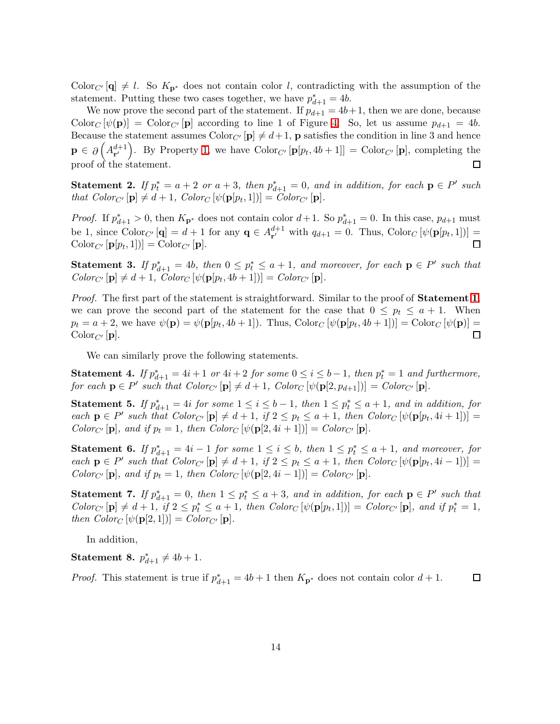Color<sub>C'</sub>  $[q] \neq l$ . So  $K_{p^*}$  does not contain color l, contradicting with the assumption of the statement. Putting these two cases together, we have  $p_{d+1}^* = 4b$ .

We now prove the second part of the statement. If  $p_{d+1} = 4b+1$ , then we are done, because Color<sub>C</sub>  $[\psi(\mathbf{p})] = \text{Color}_{C'}[\mathbf{p}]$  according to line 1 of Figure [4.](#page-12-0) So, let us assume  $p_{d+1} = 4b$ . Because the statement assumes  $Color_{C'}[{\bf p}] \neq d+1$ , **p** satisfies the condition in line 3 and hence  $\mathbf{p} \in \partial \left( A_{\mathbf{r}'}^{d+1} \right)$ . By Property [1,](#page-7-0) we have  $\text{Color}_{C'}\left[ \mathbf{p}[p_t, 4b+1] \right] = \text{Color}_{C'}\left[ \mathbf{p} \right]$ , completing the proof of the statement. □

**Statement 2.** If  $p_t^* = a + 2$  or  $a + 3$ , then  $p_{d+1}^* = 0$ , and in addition, for each  $p \in P'$  such that  $Color_{C'}[\mathbf{p}] \neq d+1$ ,  $Color_{C'}[\psi(\mathbf{p}[p_t,1])] = Color_{C'}[\mathbf{p}]$ .

*Proof.* If  $p_{d+1}^* > 0$ , then  $K_{p^*}$  does not contain color  $d+1$ . So  $p_{d+1}^* = 0$ . In this case,  $p_{d+1}$  must be 1, since  $\text{Color}_{C'}[\mathbf{q}] = d + 1$  for any  $\mathbf{q} \in A_{\mathbf{r}'}^{d+1}$  with  $q_{d+1} = 0$ . Thus,  $\text{Color}_{C}[\psi(\mathbf{p}[p_t, 1])] =$  $\text{Color}_{C'}\left[\mathbf{p}[p_t,1]\right] = \text{Color}_{C'}\left[\mathbf{p}\right].$ □

**Statement 3.** If  $p_{d+1}^* = 4b$ , then  $0 \leq p_t^* \leq a+1$ , and moreover, for each  $p \in P'$  such that  $Color_{C'}[\mathbf{p}] \neq d+1$ ,  $Color_{C'}[\psi(\mathbf{p}[p_t, 4b+1])] = Color_{C'}[\mathbf{p}].$ 

Proof. The first part of the statement is straightforward. Similar to the proof of **Statement [1](#page-12-1)**, we can prove the second part of the statement for the case that  $0 \leq p_t \leq a + 1$ . When  $p_t = a + 2$ , we have  $\psi(\mathbf{p}) = \psi(\mathbf{p}[p_t, 4b + 1])$ . Thus,  $\text{Color}_C[\psi(\mathbf{p}[p_t, 4b + 1])] = \text{Color}_C[\psi(\mathbf{p})] =$  $\mathrm{Color}_{C'}[{\bf p}].$  $\Box$ 

We can similarly prove the following statements.

**Statement 4.** If  $p_{d+1}^* = 4i + 1$  or  $4i + 2$  for some  $0 \le i \le b-1$ , then  $p_t^* = 1$  and furthermore, for each  $\mathbf{p} \in P'$  such that  $Color_{C'}[\mathbf{p}] \neq d+1$ ,  $Color_{C'}[\psi(\mathbf{p}[2, p_{d+1}])] = Color_{C'}[\mathbf{p}]$ .

**Statement 5.** If  $p_{d+1}^* = 4i$  for some  $1 \le i \le b-1$ , then  $1 \le p_t^* \le a+1$ , and in addition, for each  $\mathbf{p} \in P'$  such that  $Color_{C'}[\mathbf{p}] \neq d+1$ , if  $2 \leq p_t \leq a+1$ , then  $Color_C[\psi(\mathbf{p}[p_t, 4i+1])]$ Color<sub>C'</sub>  $[\mathbf{p}]$ , and if  $p_t = 1$ , then Color<sub>C</sub>  $[\psi(\mathbf{p}[2, 4i + 1])] = Color_{C'}[\mathbf{p}]$ .

**Statement 6.** If  $p_{d+1}^* = 4i - 1$  for some  $1 \leq i \leq b$ , then  $1 \leq p_t^* \leq a+1$ , and moreover, for each  $\mathbf{p} \in P'$  such that  $Color_{C'}[\mathbf{p}] \neq d+1$ , if  $2 \leq p_t \leq a+1$ , then  $Color_C[\psi(\mathbf{p}[p_t, 4i-1])]$  $Color_{C'}[\mathbf{p}],$  and if  $p_t = 1$ , then  $Color_C[\psi(\mathbf{p}[2, 4i-1])] = Color_{C'}[\mathbf{p}].$ 

**Statement 7.** If  $p_{d+1}^* = 0$ , then  $1 \leq p_t^* \leq a+3$ , and in addition, for each  $p \in P'$  such that  $Color_{C'}[\mathbf{p}] \neq d+1$ , if  $2 \leq p_t^* \leq a+1$ , then  $Color_C[\psi(\mathbf{p}[p_t,1])] = Color_{C'}[\mathbf{p}]$ , and if  $p_t^* = 1$ , then  $Color_C [\psi(\mathbf{p}[2,1])] = Color_{C'} [\mathbf{p}].$ 

In addition,

**Statement 8.**  $p_{d+1}^* \neq 4b + 1$ .

*Proof.* This statement is true if  $p_{d+1}^* = 4b + 1$  then  $K_{p^*}$  does not contain color  $d + 1$ . 口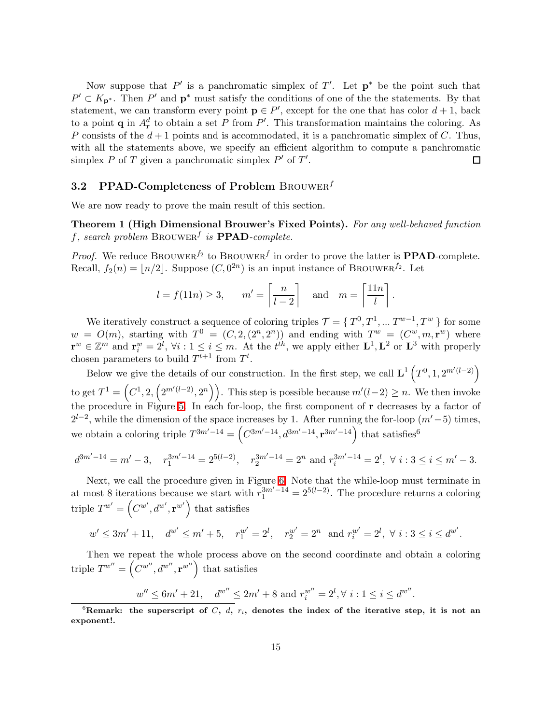Now suppose that  $P'$  is a panchromatic simplex of  $T'$ . Let  $p^*$  be the point such that  $P' \subset K_{\mathbf{p}^*}$ . Then  $P'$  and  $\mathbf{p}^*$  must satisfy the conditions of one of the the statements. By that statement, we can transform every point  $\mathbf{p} \in P'$ , except for the one that has color  $d+1$ , back to a point **q** in  $A_r^d$  to obtain a set P from P'. This transformation maintains the coloring. As P consists of the  $d+1$  points and is accommodated, it is a panchromatic simplex of C. Thus, with all the statements above, we specify an efficient algorithm to compute a panchromatic simplex  $P$  of  $T$  given a panchromatic simplex  $P'$  of  $T'$ . 口

#### 3.2 PPAD-Completeness of Problem BROUWER<sup>f</sup>

We are now ready to prove the main result of this section.

### Theorem 1 (High Dimensional Brouwer's Fixed Points). For any well-behaved function f, search problem  $\text{BROWER}^f$  is  $\textbf{PPAD}$ -complete.

*Proof.* We reduce BROUWER<sup>f2</sup> to BROUWER<sup>f</sup> in order to prove the latter is **PPAD**-complete. Recall,  $f_2(n) = \lfloor n/2 \rfloor$ . Suppose  $(C, 0^{2n})$  is an input instance of BROUWER<sup>f2</sup>. Let

$$
l = f(11n) \ge 3
$$
,  $m' = \left\lceil \frac{n}{l-2} \right\rceil$  and  $m = \left\lceil \frac{11n}{l} \right\rceil$ .

We iteratively construct a sequence of coloring triples  $\mathcal{T} = \{T^0, T^1, \dots T^{w-1}, T^w\}$  for some  $w = O(m)$ , starting with  $T^0 = (C, 2, (2^n, 2^n))$  and ending with  $T^w = (C^w, m, r^w)$  where  $\mathbf{r}^w \in \mathbb{Z}^m$  and  $\mathbf{r}_i^w = 2^l$ ,  $\forall i : 1 \leq i \leq m$ . At the  $t^{th}$ , we apply either  $\mathbf{L}^1, \mathbf{L}^2$  or  $\mathbf{L}^3$  with properly chosen parameters to build  $T^{t+1}$  from  $T^t$ .

Below we give the details of our construction. In the first step, we call  $\mathbf{L}^1(T^0, 1, 2^{m'(l-2)})$ to get  $T^1 = \left(C^1, 2, \left(2^{m'(l-2)}, 2^n\right)\right)$ . This step is possible because  $m'(l-2) \geq n$ . We then invoke the procedure in Figure [5.](#page-15-0) In each for-loop, the first component of r decreases by a factor of  $2^{l-2}$ , while the dimension of the space increases by 1. After running the for-loop  $(m'-5)$  times, we obtain a coloring triple  $T^{3m'-14} = (C^{3m'-14}, d^{3m'-14}, \mathbf{r}^{3m'-14})$  that satisfies<sup>6</sup>

$$
d^{3m'-14} = m' - 3, \quad r_1^{3m'-14} = 2^{5(l-2)}, \quad r_2^{3m'-14} = 2^n \text{ and } r_i^{3m'-14} = 2^l, \ \forall \ i: 3 \le i \le m' - 3.
$$

Next, we call the procedure given in Figure [6.](#page-15-1) Note that the while-loop must terminate in at most 8 iterations because we start with  $r_1^{3m'-14} = 2^{5(l-2)}$ . The procedure returns a coloring triple  $T^{w'} = (C^{w'}, d^{w'}, \mathbf{r}^{w'})$  that satisfies

$$
w' \le 3m' + 11
$$
,  $d^{w'} \le m' + 5$ ,  $r_1^{w'} = 2^l$ ,  $r_2^{w'} = 2^n$  and  $r_i^{w'} = 2^l$ ,  $\forall i : 3 \le i \le d^{w'}$ .

Then we repeat the whole process above on the second coordinate and obtain a coloring triple  $T^{w''} = \left(\overline{C^{w''}}, d^{w''}, \mathbf{r}^{w''}\right)$  that satisfies

$$
w'' \le 6m' + 21
$$
,  $d^{w''} \le 2m' + 8$  and  $r_i^{w''} = 2^l, \forall i : 1 \le i \le d^{w''}$ .

<sup>&</sup>lt;sup>6</sup>Remark: the superscript of C, d,  $r_i$ , denotes the index of the iterative step, it is not an exponent!.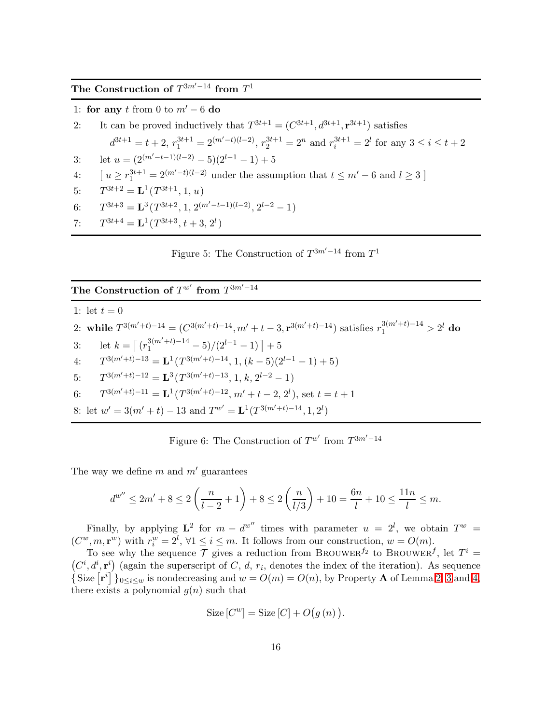The Construction of  $T^{3m'-14}$  from  $T^1$ 

1: for any t from 0 to  $m' - 6$  do

2: It can be proved inductively that 
$$
T^{3t+1} = (C^{3t+1}, d^{3t+1}, \mathbf{r}^{3t+1})
$$
 satisfies  
\n $d^{3t+1} = t + 2$ ,  $r_1^{3t+1} = 2^{(m'-t)(l-2)}$ ,  $r_2^{3t+1} = 2^n$  and  $r_i^{3t+1} = 2^l$  for any  $3 \le i \le t + 2$   
\n3: let  $u = (2^{(m'-t-1)(l-2)} - 5)(2^{l-1} - 1) + 5$   
\n4:  $[u \ge r_1^{3t+1} = 2^{(m'-t)(l-2)}$  under the assumption that  $t \le m' - 6$  and  $l \ge 3$ ]  
\n5:  $T^{3t+2} = \mathbf{L}^1(T^{3t+1}, 1, u)$   
\n6:  $T^{3t+3} = \mathbf{L}^3(T^{3t+2} + 2^{(m'-t-1)(l-2)} - 2^{l-2} - 1)$ 

6: 
$$
T^{3t+3} = \mathbf{L}^3(T^{3t+2}, 1, 2^{(m'-t-1)(l-2)}, 2^{l-2} - 1)
$$

7:  $T^{3t+4} = \mathbf{L}^1(T^{3t+3}, t+3, 2^l)$ 

<span id="page-15-0"></span>Figure 5: The Construction of  $T^{3m'-14}$  from  $T^1$ 

### The Construction of  $T^{w'}$  from  $T^{3m'-14}$

1: let  $t = 0$ 2: while  $T^{3(m'+t)-14} = (C^{3(m'+t)-14}, m'+t-3, \mathbf{r}^{3(m'+t)-14})$  satisfies  $r_1^{3(m'+t)-14} > 2^l$  do 3: let  $k = \left[ \frac{r_1^{3(m'+t)-14}}{1} - 5 \right) / (2^{l-1} - 1) + 5$ 4:  $T^{3(m'+t)-13} = \mathbf{L}^1(T^{3(m'+t)-14}, 1, (k-5)(2^{l-1}-1)+5)$  $5:$  $3(m'+t)-12 = \mathbf{L}^{3}(T^{3(m'+t)-13}, 1, k, 2^{l-2} - 1)$ 6:  $T^{3(m'+t)-11} = \mathbf{L}^1(T^{3(m'+t)-12}, m'+t-2, 2^l)$ , set  $t = t+1$ 8: let  $w' = 3(m'+t) - 13$  and  $T^{w'} = \mathbf{L}^1(T^{3(m'+t)-14}, 1, 2^l)$ 

<span id="page-15-1"></span>Figure 6: The Construction of  $T^{w'}$  from  $T^{3m'-14}$ 

The way we define m and  $m'$  guarantees

$$
d^{w''} \le 2m' + 8 \le 2\left(\frac{n}{l-2} + 1\right) + 8 \le 2\left(\frac{n}{l/3}\right) + 10 = \frac{6n}{l} + 10 \le \frac{11n}{l} \le m.
$$

Finally, by applying  $\mathbf{L}^2$  for  $m - d^{w''}$  times with parameter  $u = 2^l$ , we obtain  $T^w =$  $(C^w, m, \mathbf{r}^w)$  with  $r_i^w = 2^l$ ,  $\forall 1 \leq i \leq m$ . It follows from our construction,  $w = O(m)$ .

To see why the sequence  $\mathcal T$  gives a reduction from BROUWER<sup> $f_2$ </sup> to BROUWER<sup> $f$ </sup>, let  $T^i$  =  $(C^i, d^i, \mathbf{r}^i)$  (again the superscript of C, d,  $r_i$ , denotes the index of the iteration). As sequence {Size  $[r^i]$ }<sub>0≤i≤w</sub> is nondecreasing and  $w = O(m) = O(n)$ , by Property **A** of Lemma [2,](#page-8-0) [3](#page-9-1) and [4,](#page-10-1) there exists a polynomial  $g(n)$  such that

$$
Size[C^w] = Size[C] + O(g(n)).
$$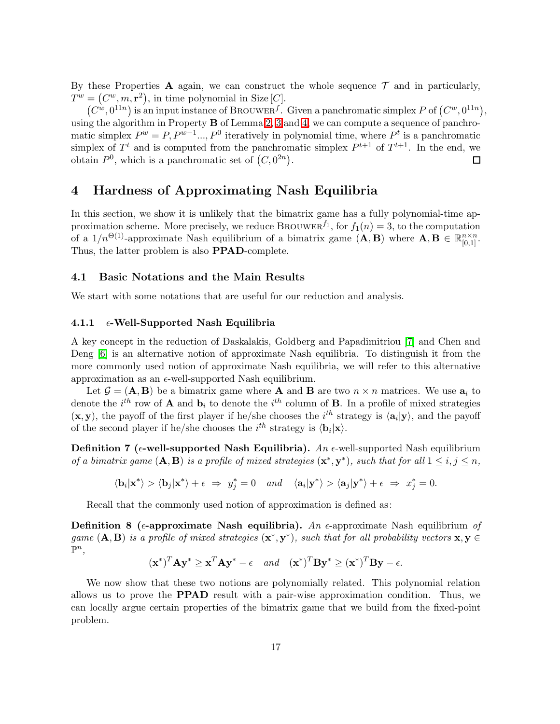By these Properties A again, we can construct the whole sequence  $\mathcal T$  and in particularly,  $T^w = (C^w, m, r^2)$ , in time polynomial in Size [C].

 $(C^w, 0^{11n})$  is an input instance of BROUWER<sup>f</sup>. Given a panchromatic simplex P of  $(C^w, 0^{11n})$ , using the algorithm in Property B of Lemma [2,](#page-8-0) [3](#page-9-1) and [4,](#page-10-1) we can compute a sequence of panchromatic simplex  $P^w = P, P^{w-1} \dots P^0$  iteratively in polynomial time, where  $P^t$  is a panchromatic simplex of  $T<sup>t</sup>$  and is computed from the panchromatic simplex  $P<sup>t+1</sup>$  of  $T<sup>t+1</sup>$ . In the end, we obtain  $P^0$ , which is a panchromatic set of  $(C, 0^{2n})$ .  $\Box$ 

### <span id="page-16-0"></span>4 Hardness of Approximating Nash Equilibria

In this section, we show it is unlikely that the bimatrix game has a fully polynomial-time approximation scheme. More precisely, we reduce BROUWER<sup>f<sub>1</sub></sup>, for  $f_1(n) = 3$ , to the computation of a  $1/n^{\Theta(1)}$ -approximate Nash equilibrium of a bimatrix game  $(A, B)$  where  $A, B \in \mathbb{R}_{[0,1]}^{n \times n}$ . Thus, the latter problem is also PPAD-complete.

#### 4.1 Basic Notations and the Main Results

We start with some notations that are useful for our reduction and analysis.

#### 4.1.1  $\epsilon$ -Well-Supported Nash Equilibria

A key concept in the reduction of Daskalakis, Goldberg and Papadimitriou [\[7\]](#page-37-8) and Chen and Deng [\[6\]](#page-37-13) is an alternative notion of approximate Nash equilibria. To distinguish it from the more commonly used notion of approximate Nash equilibria, we will refer to this alternative approximation as an  $\epsilon$ -well-supported Nash equilibrium.

Let  $\mathcal{G} = (\mathbf{A}, \mathbf{B})$  be a bimatrix game where **A** and **B** are two  $n \times n$  matrices. We use  $a_i$  to denote the  $i^{th}$  row of **A** and  $\mathbf{b}_i$  to denote the  $i^{th}$  column of **B**. In a profile of mixed strategies  $(\mathbf{x}, \mathbf{y})$ , the payoff of the first player if he/she chooses the  $i^{th}$  strategy is  $\langle \mathbf{a}_i | \mathbf{y} \rangle$ , and the payoff of the second player if he/she chooses the  $i^{th}$  strategy is  $\langle \mathbf{b}_i | \mathbf{x} \rangle$ .

Definition 7 ( $\epsilon$ -well-supported Nash Equilibria). An  $\epsilon$ -well-supported Nash equilibrium of a bimatrix game  $(A, B)$  is a profile of mixed strategies  $(x^*, y^*)$ , such that for all  $1 \le i, j \le n$ ,

$$
\langle \mathbf{b}_i | \mathbf{x}^* \rangle > \langle \mathbf{b}_j | \mathbf{x}^* \rangle + \epsilon \ \Rightarrow \ y^*_j = 0 \quad and \quad \langle \mathbf{a}_i | \mathbf{y}^* \rangle > \langle \mathbf{a}_j | \mathbf{y}^* \rangle + \epsilon \ \Rightarrow \ x^*_j = 0.
$$

Recall that the commonly used notion of approximation is defined as:

**Definition 8** ( $\epsilon$ -approximate Nash equilibria). An  $\epsilon$ -approximate Nash equilibrium of game  $(A, B)$  is a profile of mixed strategies  $(x^*, y^*)$ , such that for all probability vectors  $x, y \in$  $\mathbb{P}^n$ ,

$$
(\mathbf{x}^*)^T \mathbf{A} \mathbf{y}^* \ge \mathbf{x}^T \mathbf{A} \mathbf{y}^* - \epsilon
$$
 and  $(\mathbf{x}^*)^T \mathbf{B} \mathbf{y}^* \ge (\mathbf{x}^*)^T \mathbf{B} \mathbf{y} - \epsilon$ .

<span id="page-16-1"></span>We now show that these two notions are polynomially related. This polynomial relation allows us to prove the PPAD result with a pair-wise approximation condition. Thus, we can locally argue certain properties of the bimatrix game that we build from the fixed-point problem.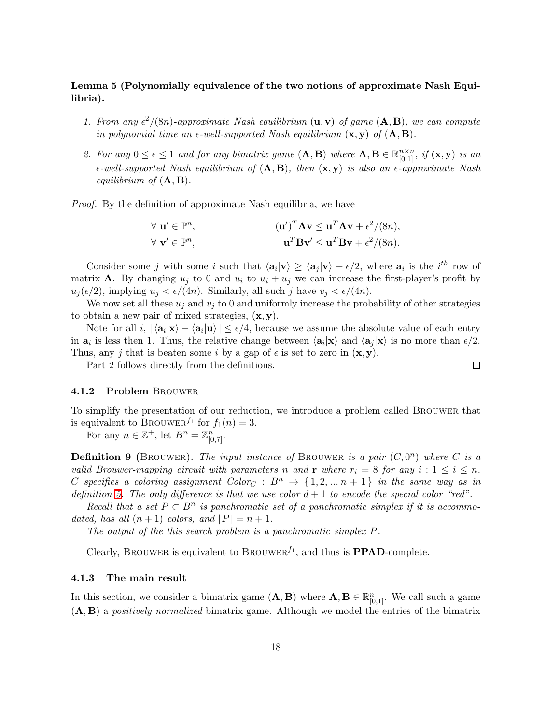### Lemma 5 (Polynomially equivalence of the two notions of approximate Nash Equilibria).

- 1. From any  $\epsilon^2/(8n)$ -approximate Nash equilibrium  $(\mathbf{u}, \mathbf{v})$  of game  $(\mathbf{A}, \mathbf{B})$ , we can compute in polynomial time an  $\epsilon$ -well-supported Nash equilibrium  $(\mathbf{x}, \mathbf{y})$  of  $(\mathbf{A}, \mathbf{B})$ .
- 2. For any  $0 \le \epsilon \le 1$  and for any bimatrix game  $(A, B)$  where  $A, B \in \mathbb{R}_{[0:1]}^{n \times n}$ , if  $(x, y)$  is an  $\epsilon$ -well-supported Nash equilibrium of  $(A, B)$ , then  $(x, y)$  is also an  $\epsilon$ -approximate Nash equilibrium of  $(A, B)$ .

Proof. By the definition of approximate Nash equilibria, we have

$$
\forall \mathbf{u}' \in \mathbb{P}^n, \qquad (\mathbf{u}')^T \mathbf{A} \mathbf{v} \leq \mathbf{u}^T \mathbf{A} \mathbf{v} + \epsilon^2/(8n),
$$
  

$$
\forall \mathbf{v}' \in \mathbb{P}^n, \qquad \mathbf{u}^T \mathbf{B} \mathbf{v}' \leq \mathbf{u}^T \mathbf{B} \mathbf{v} + \epsilon^2/(8n).
$$

Consider some j with some i such that  $\langle \mathbf{a}_i | \mathbf{v} \rangle \ge \langle \mathbf{a}_j | \mathbf{v} \rangle + \epsilon/2$ , where  $\mathbf{a}_i$  is the  $i^{th}$  row of matrix **A**. By changing  $u_i$  to 0 and  $u_i$  to  $u_i + u_j$  we can increase the first-player's profit by  $u_j(\epsilon/2)$ , implying  $u_j < \epsilon/(4n)$ . Similarly, all such j have  $v_j < \epsilon/(4n)$ .

We now set all these  $u_j$  and  $v_j$  to 0 and uniformly increase the probability of other strategies to obtain a new pair of mixed strategies,  $(x, y)$ .

Note for all  $i, \, |\langle \mathbf{a}_i | \mathbf{x} \rangle - \langle \mathbf{a}_i | \mathbf{u} \rangle | \le \epsilon/4$ , because we assume the absolute value of each entry in  $a_i$  is less then 1. Thus, the relative change between  $\langle a_i | x \rangle$  and  $\langle a_j | x \rangle$  is no more than  $\epsilon/2$ . Thus, any j that is beaten some i by a gap of  $\epsilon$  is set to zero in  $(\mathbf{x}, \mathbf{y})$ .

Part 2 follows directly from the definitions.

#### 4.1.2 Problem Brouwer

To simplify the presentation of our reduction, we introduce a problem called Brouwer that is equivalent to BROUWER<sup> $f_1$ </sup> for  $f_1(n) = 3$ .

For any  $n \in \mathbb{Z}^+$ , let  $B^n = \mathbb{Z}_{[0,7]}^n$ .

**Definition 9** (BROUWER). The input instance of BROUWER is a pair  $(C, 0^n)$  where C is a valid Brouwer-mapping circuit with parameters n and r where  $r_i = 8$  for any  $i : 1 \leq i \leq n$ . C specifies a coloring assignment  $Color_C : B^n \rightarrow \{1, 2, ..., n+1\}$  in the same way as in definition [5.](#page-7-1) The only difference is that we use color  $d+1$  to encode the special color "red".

Recall that a set  $P \subset B^n$  is panchromatic set of a panchromatic simplex if it is accommodated, has all  $(n + 1)$  colors, and  $|P| = n + 1$ .

The output of the this search problem is a panchromatic simplex P.

Clearly, BROUWER is equivalent to BROUWER<sup> $f_1$ </sup>, and thus is **PPAD**-complete.

#### 4.1.3 The main result

In this section, we consider a bimatrix game  $(A, B)$  where  $A, B \in \mathbb{R}_{[0,1]}^n$ . We call such a game  $(A, B)$  a *positively normalized* bimatrix game. Although we model the entries of the bimatrix

 $\Box$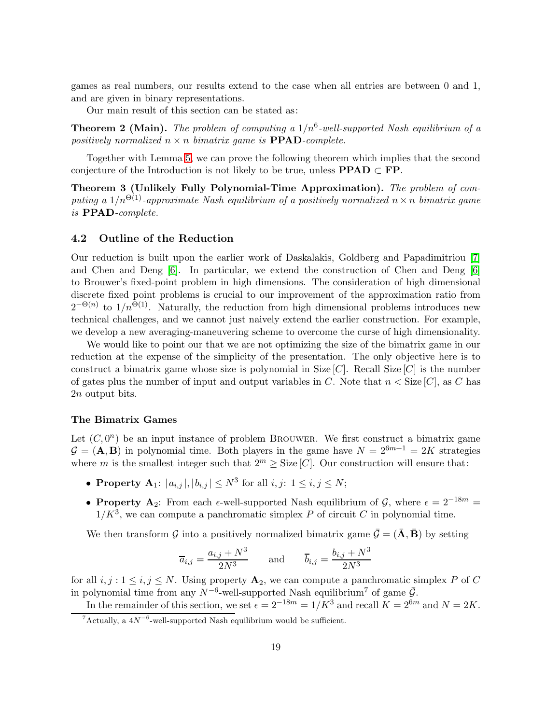games as real numbers, our results extend to the case when all entries are between 0 and 1, and are given in binary representations.

Our main result of this section can be stated as:

**Theorem 2 (Main).** The problem of computing a  $1/n^6$ -well-supported Nash equilibrium of a positively normalized  $n \times n$  bimatrix game is **PPAD**-complete.

<span id="page-18-0"></span>Together with Lemma [5,](#page-16-1) we can prove the following theorem which implies that the second conjecture of the Introduction is not likely to be true, unless  $\text{PPAD} \subset \text{FP}$ .

Theorem 3 (Unlikely Fully Polynomial-Time Approximation). The problem of computing a  $1/n^{\Theta(1)}$ -approximate Nash equilibrium of a positively normalized  $n \times n$  bimatrix game is PPAD-complete.

#### 4.2 Outline of the Reduction

Our reduction is built upon the earlier work of Daskalakis, Goldberg and Papadimitriou [\[7\]](#page-37-8) and Chen and Deng [\[6\]](#page-37-13). In particular, we extend the construction of Chen and Deng [\[6\]](#page-37-13) to Brouwer's fixed-point problem in high dimensions. The consideration of high dimensional discrete fixed point problems is crucial to our improvement of the approximation ratio from  $2^{-\Theta(n)}$  to  $1/n^{\Theta(1)}$ . Naturally, the reduction from high dimensional problems introduces new technical challenges, and we cannot just naively extend the earlier construction. For example, we develop a new averaging-maneuvering scheme to overcome the curse of high dimensionality.

We would like to point our that we are not optimizing the size of the bimatrix game in our reduction at the expense of the simplicity of the presentation. The only objective here is to construct a bimatrix game whose size is polynomial in Size  $[C]$ . Recall Size  $[C]$  is the number of gates plus the number of input and output variables in C. Note that  $n <$  Size [C], as C has 2n output bits.

#### The Bimatrix Games

Let  $(C, 0^n)$  be an input instance of problem BROUWER. We first construct a bimatrix game  $\mathcal{G} = (\mathbf{A}, \mathbf{B})$  in polynomial time. Both players in the game have  $N = 2^{6m+1} = 2K$  strategies where m is the smallest integer such that  $2^m \geq$  Size [C]. Our construction will ensure that:

- **Property A**<sub>1</sub>:  $|a_{i,j}|, |b_{i,j}| \le N^3$  for all  $i, j: 1 \le i, j \le N$ ;
- Property A<sub>2</sub>: From each  $\epsilon$ -well-supported Nash equilibrium of G, where  $\epsilon = 2^{-18m}$  =  $1/K^3$ , we can compute a panchromatic simplex P of circuit C in polynomial time.

We then transform G into a positively normalized bimatrix game  $\bar{\mathcal{G}} = (\bar{\mathbf{A}}, \bar{\mathbf{B}})$  by setting

$$
\overline{a}_{i,j} = \frac{a_{i,j} + N^3}{2N^3} \quad \text{and} \quad \overline{b}_{i,j} = \frac{b_{i,j} + N^3}{2N^3}
$$

for all  $i, j : 1 \le i, j \le N$ . Using property  $\mathbf{A}_2$ , we can compute a panchromatic simplex P of C in polynomial time from any  $N^{-6}$ -well-supported Nash equilibrium<sup>7</sup> of game  $\bar{G}$ .

In the remainder of this section, we set  $\epsilon = 2^{-18m} = 1/K^3$  and recall  $K = 2^{6m}$  and  $N = 2K$ .

 $7$ Actually, a  $4N^{-6}$ -well-supported Nash equilibrium would be sufficient.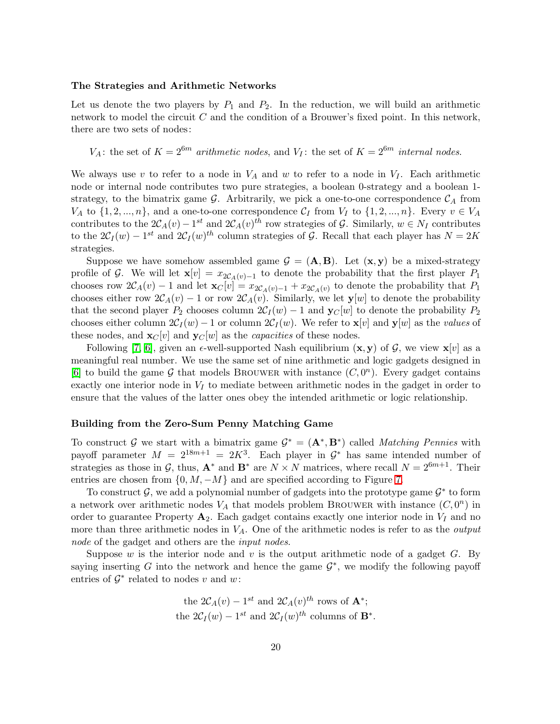#### The Strategies and Arithmetic Networks

Let us denote the two players by  $P_1$  and  $P_2$ . In the reduction, we will build an arithmetic network to model the circuit  $C$  and the condition of a Brouwer's fixed point. In this network, there are two sets of nodes:

 $V_A$ : the set of  $K = 2^{6m}$  arithmetic nodes, and  $V_I$ : the set of  $K = 2^{6m}$  internal nodes.

We always use v to refer to a node in  $V_A$  and w to refer to a node in  $V_I$ . Each arithmetic node or internal node contributes two pure strategies, a boolean 0-strategy and a boolean 1strategy, to the bimatrix game  $\mathcal{G}$ . Arbitrarily, we pick a one-to-one correspondence  $\mathcal{C}_A$  from  $V_A$  to  $\{1, 2, ..., n\}$ , and a one-to-one correspondence  $\mathcal{C}_I$  from  $V_I$  to  $\{1, 2, ..., n\}$ . Every  $v \in V_A$ contributes to the  $2\mathcal{C}_A(v) - 1^{st}$  and  $2\mathcal{C}_A(v)^{th}$  row strategies of G. Similarly,  $w \in N_I$  contributes to the  $2C_I(w) - 1^{st}$  and  $2C_I(w)^{th}$  column strategies of G. Recall that each player has  $N = 2K$ strategies.

Suppose we have somehow assembled game  $G = (\mathbf{A}, \mathbf{B})$ . Let  $(\mathbf{x}, \mathbf{y})$  be a mixed-strategy profile of G. We will let  $\mathbf{x}[v] = x_{2\mathcal{C}_{A}(v)-1}$  to denote the probability that the first player  $P_1$ chooses row  $2\mathcal{C}_A(v) - 1$  and let  $\mathbf{x}_C[v] = x_{2\mathcal{C}_A(v)-1} + x_{2\mathcal{C}_A(v)}$  to denote the probability that  $P_1$ chooses either row  $2\mathcal{C}_A(v) - 1$  or row  $2\mathcal{C}_A(v)$ . Similarly, we let  $\mathbf{y}[w]$  to denote the probability that the second player  $P_2$  chooses column  $2C_I(w) - 1$  and  $\mathbf{y}_C[w]$  to denote the probability  $P_2$ chooses either column  $2C_I(w) - 1$  or column  $2C_I(w)$ . We refer to  $\mathbf{x}[v]$  and  $\mathbf{y}[w]$  as the values of these nodes, and  $\mathbf{x}_C[v]$  and  $\mathbf{y}_C[w]$  as the *capacities* of these nodes.

Following [\[7,](#page-37-8) [6\]](#page-37-13), given an  $\epsilon$ -well-supported Nash equilibrium  $(\mathbf{x}, \mathbf{y})$  of  $\mathcal{G}$ , we view  $\mathbf{x}[v]$  as a meaningful real number. We use the same set of nine arithmetic and logic gadgets designed in [\[6\]](#page-37-13) to build the game  $\mathcal G$  that models BROUWER with instance  $(C, 0^n)$ . Every gadget contains exactly one interior node in  $V_I$  to mediate between arithmetic nodes in the gadget in order to ensure that the values of the latter ones obey the intended arithmetic or logic relationship.

#### Building from the Zero-Sum Penny Matching Game

To construct G we start with a bimatrix game  $G^* = (\mathbf{A}^*, \mathbf{B}^*)$  called *Matching Pennies* with payoff parameter  $M = 2^{18m+1} = 2K^3$ . Each player in  $\mathcal{G}^*$  has same intended number of strategies as those in G, thus,  $\mathbf{A}^*$  and  $\mathbf{B}^*$  are  $N \times N$  matrices, where recall  $N = 2^{6m+1}$ . Their entries are chosen from  $\{0, M, -M\}$  and are specified according to Figure [7.](#page-20-0)

To construct  $\mathcal{G}$ , we add a polynomial number of gadgets into the prototype game  $\mathcal{G}^*$  to form a network over arithmetic nodes  $V_A$  that models problem BROUWER with instance  $(C, 0^n)$  in order to guarantee Property  $A_2$ . Each gadget contains exactly one interior node in  $V_I$  and no more than three arithmetic nodes in  $V_A$ . One of the arithmetic nodes is refer to as the *output* node of the gadget and others are the *input nodes*.

Suppose w is the interior node and v is the output arithmetic node of a gadget  $G$ . By saying inserting G into the network and hence the game  $\mathcal{G}^*$ , we modify the following payoff entries of  $\mathcal{G}^*$  related to nodes v and w:

the 
$$
2C_A(v) - 1^{st}
$$
 and  $2C_A(v)^{th}$  rows of  $\mathbf{A}^*$ ;  
the  $2C_I(w) - 1^{st}$  and  $2C_I(w)^{th}$  columns of  $\mathbf{B}^*$ .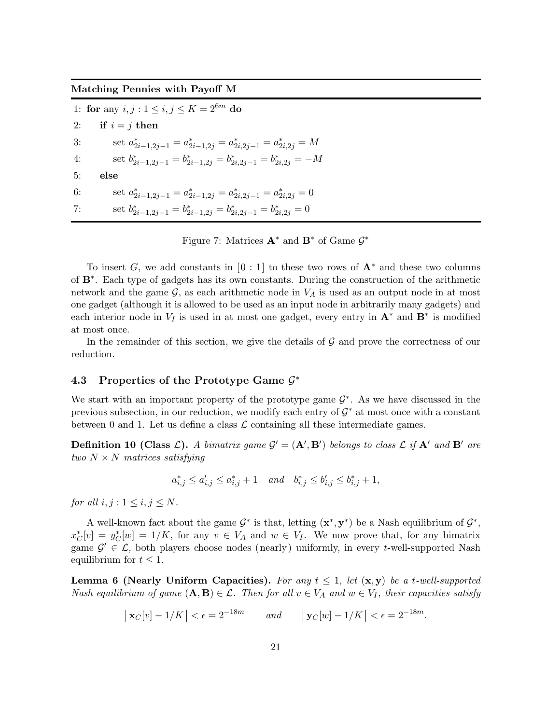Matching Pennies with Payoff M

1: for any  $i, j : 1 \le i, j \le K = 2^{6m}$  do 2: if  $i = j$  then 3: set  $a_{2i-1,2j-1}^* = a_{2i-1,2j}^* = a_{2i,2j-1}^* = a_{2i,2j}^* = M$ 4: set  $b_{2i-1,2j-1}^* = b_{2i-1,2j}^* = b_{2i,2j-1}^* = b_{2i,2j}^* = -M$ 5: else 6: set  $a_{2i-1,2j-1}^* = a_{2i-1,2j}^* = a_{2i,2j-1}^* = a_{2i,2j}^* = 0$ 7: set  $b_{2i-1,2j-1}^* = b_{2i-1,2j}^* = b_{2i,2j-1}^* = b_{2i,2j}^* = 0$ 

<span id="page-20-0"></span>Figure 7: Matrices  $\mathbf{A}^*$  and  $\mathbf{B}^*$  of Game  $\mathcal{G}^*$ 

To insert G, we add constants in [0 : 1] to these two rows of  $A^*$  and these two columns of B<sup>∗</sup> . Each type of gadgets has its own constants. During the construction of the arithmetic network and the game  $\mathcal{G}$ , as each arithmetic node in  $V_A$  is used as an output node in at most one gadget (although it is allowed to be used as an input node in arbitrarily many gadgets) and each interior node in  $V_I$  is used in at most one gadget, every entry in  $\mathbf{A}^*$  and  $\mathbf{B}^*$  is modified at most once.

In the remainder of this section, we give the details of  $G$  and prove the correctness of our reduction.

## 4.3 Properties of the Prototype Game  $\mathcal{G}^*$

We start with an important property of the prototype game  $\mathcal{G}^*$ . As we have discussed in the previous subsection, in our reduction, we modify each entry of  $\mathcal{G}^*$  at most once with a constant between 0 and 1. Let us define a class  $\mathcal L$  containing all these intermediate games.

**Definition 10 (Class L).** A bimatrix game  $\mathcal{G}' = (\mathbf{A}', \mathbf{B}')$  belongs to class  $\mathcal{L}$  if  $\mathbf{A}'$  and  $\mathbf{B}'$  are two  $N \times N$  matrices satisfying

$$
a_{i,j}^* \le a_{i,j}' \le a_{i,j}^* + 1 \quad and \quad b_{i,j}^* \le b_{i,j}' \le b_{i,j}^* + 1,
$$

for all  $i, j : 1 \leq i, j \leq N$ .

A well-known fact about the game  $G^*$  is that, letting  $(\mathbf{x}^*, \mathbf{y}^*)$  be a Nash equilibrium of  $G^*$ ,  $x_C^*[v] = y_C^*[w] = 1/K$ , for any  $v \in V_A$  and  $w \in V_I$ . We now prove that, for any bimatrix game  $\mathcal{G}' \in \mathcal{L}$ , both players choose nodes (nearly) uniformly, in every t-well-supported Nash equilibrium for  $t \leq 1$ .

<span id="page-20-1"></span>**Lemma 6 (Nearly Uniform Capacities).** For any  $t \leq 1$ , let  $(\mathbf{x}, \mathbf{y})$  be a t-well-supported Nash equilibrium of game  $(A, B) \in \mathcal{L}$ . Then for all  $v \in V_A$  and  $w \in V_I$ , their capacities satisfy

$$
\left| \mathbf{x}_C[v] - 1/K \right| < \epsilon = 2^{-18m} \qquad \text{and} \qquad \left| \mathbf{y}_C[w] - 1/K \right| < \epsilon = 2^{-18m}.
$$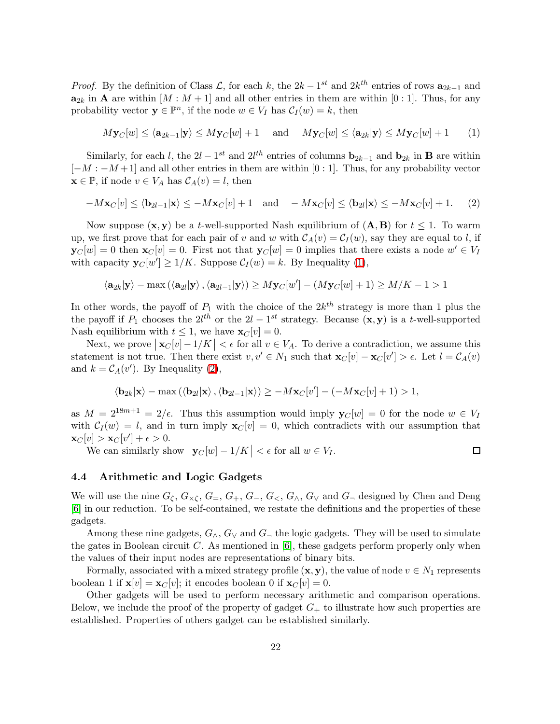*Proof.* By the definition of Class  $\mathcal{L}$ , for each k, the  $2k - 1^{st}$  and  $2k^{th}$  entries of rows  $a_{2k-1}$  and  $\mathbf{a}_{2k}$  in **A** are within  $[M : M + 1]$  and all other entries in them are within  $[0 : 1]$ . Thus, for any probability vector  $y \in \mathbb{P}^n$ , if the node  $w \in V_I$  has  $C_I(w) = k$ , then

<span id="page-21-0"></span>
$$
M\mathbf{y}_C[w] \le \langle \mathbf{a}_{2k-1} | \mathbf{y} \rangle \le M\mathbf{y}_C[w] + 1 \quad \text{and} \quad M\mathbf{y}_C[w] \le \langle \mathbf{a}_{2k} | \mathbf{y} \rangle \le M\mathbf{y}_C[w] + 1 \tag{1}
$$

Similarly, for each l, the  $2l - 1^{st}$  and  $2l^{th}$  entries of columns  $\mathbf{b}_{2k-1}$  and  $\mathbf{b}_{2k}$  in **B** are within  $[-M:-M+1]$  and all other entries in them are within  $[0:1]$ . Thus, for any probability vector  $\mathbf{x} \in \mathbb{P}$ , if node  $v \in V_A$  has  $C_A(v) = l$ , then

$$
-M\mathbf{x}_C[v] \le \langle \mathbf{b}_{2l-1}|\mathbf{x}\rangle \le -M\mathbf{x}_C[v] + 1 \quad \text{and} \quad -M\mathbf{x}_C[v] \le \langle \mathbf{b}_{2l}|\mathbf{x}\rangle \le -M\mathbf{x}_C[v] + 1. \tag{2}
$$

Now suppose  $(x, y)$  be a t-well-supported Nash equilibrium of  $(A, B)$  for  $t \le 1$ . To warm up, we first prove that for each pair of v and w with  $C_A(v) = C_I(w)$ , say they are equal to l, if  $\mathbf{y}_C[w] = 0$  then  $\mathbf{x}_C[v] = 0$ . First not that  $\mathbf{y}_C[w] = 0$  implies that there exists a node  $w' \in V_I$ with capacity  $\mathbf{y}_C[w'] \ge 1/K$ . Suppose  $C_I(w) = k$ . By Inequality [\(1\)](#page-21-0),

$$
\langle \mathbf{a}_{2k} | \mathbf{y} \rangle - \max \left( \langle \mathbf{a}_{2l} | \mathbf{y} \rangle, \langle \mathbf{a}_{2l-1} | \mathbf{y} \rangle \right) \geq M \mathbf{y}_C[w'] - (M \mathbf{y}_C[w] + 1) \geq M/K - 1 > 1
$$

In other words, the payoff of  $P_1$  with the choice of the  $2k^{th}$  strategy is more than 1 plus the the payoff if  $P_1$  chooses the  $2l^{th}$  or the  $2l-1^{st}$  strategy. Because  $(\mathbf{x}, \mathbf{y})$  is a t-well-supported Nash equilibrium with  $t \leq 1$ , we have  $\mathbf{x}_C[v] = 0$ .

Next, we prove  $\left|\mathbf{x}_C[v]-1/K\right| < \epsilon$  for all  $v \in V_A$ . To derive a contradiction, we assume this statement is not true. Then there exist  $v, v' \in N_1$  such that  $\mathbf{x}_C[v] - \mathbf{x}_C[v'] > \epsilon$ . Let  $l = \mathcal{C}_A(v)$ and  $k = \mathcal{C}_A(v')$ . By Inequality [\(2\)](#page-21-1),

$$
\langle \mathbf{b}_{2k} | \mathbf{x} \rangle - \max \left( \langle \mathbf{b}_{2l} | \mathbf{x} \rangle, \langle \mathbf{b}_{2l-1} | \mathbf{x} \rangle \right) \ge -M \mathbf{x}_C[v'] - (-M \mathbf{x}_C[v] + 1) > 1,
$$

as  $M = 2^{18m+1} = 2/\epsilon$ . Thus this assumption would imply  $\mathbf{y}_C[w] = 0$  for the node  $w \in V_I$ with  $C_I(w) = l$ , and in turn imply  $\mathbf{x}_C[v] = 0$ , which contradicts with our assumption that  $\mathbf{x}_C[v] > \mathbf{x}_C[v'] + \epsilon > 0.$ 

We can similarly show  $|\mathbf{y}_C[w]-1/K| < \epsilon$  for all  $w \in V_I$ .

<span id="page-21-1"></span>
$$
\qquad \qquad \Box
$$

#### 4.4 Arithmetic and Logic Gadgets

We will use the nine  $G_{\zeta}$ ,  $G_{\times\zeta}$ ,  $G_{=}$ ,  $G_{+}$ ,  $G_{-}$ ,  $G_{<}$ ,  $G_{\wedge}$ ,  $G_{\vee}$  and  $G_{\neg}$  designed by Chen and Deng [\[6\]](#page-37-13) in our reduction. To be self-contained, we restate the definitions and the properties of these gadgets.

Among these nine gadgets,  $G_{\wedge}$ ,  $G_{\vee}$  and  $G_{\neg}$  the logic gadgets. They will be used to simulate the gates in Boolean circuit  $C$ . As mentioned in  $[6]$ , these gadgets perform properly only when the values of their input nodes are representations of binary bits.

Formally, associated with a mixed strategy profile  $(x, y)$ , the value of node  $v \in N_1$  represents boolean 1 if  $\mathbf{x}[v] = \mathbf{x}_C[v]$ ; it encodes boolean 0 if  $\mathbf{x}_C[v] = 0$ .

Other gadgets will be used to perform necessary arithmetic and comparison operations. Below, we include the proof of the property of gadget  $G_{+}$  to illustrate how such properties are established. Properties of others gadget can be established similarly.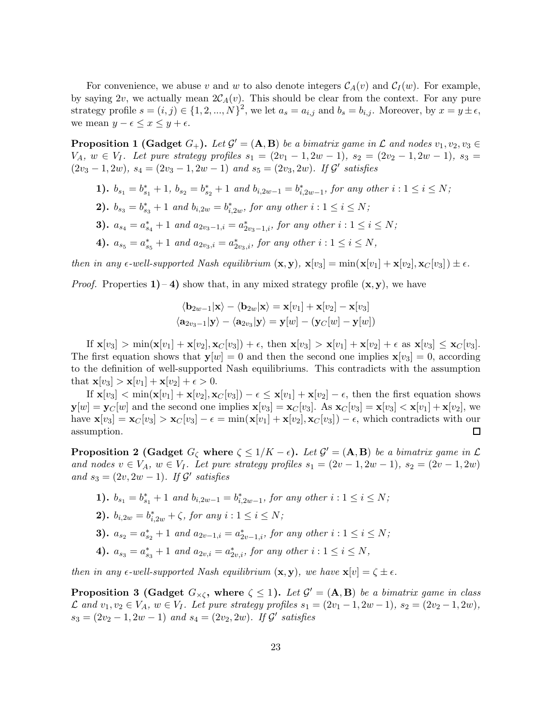For convenience, we abuse v and w to also denote integers  $C_A(v)$  and  $C_I(w)$ . For example, by saying 2v, we actually mean  $2\mathcal{C}_A(v)$ . This should be clear from the context. For any pure strategy profile  $s = (i, j) \in \{1, 2, ..., N\}^2$ , we let  $a_s = a_{i,j}$  and  $b_s = b_{i,j}$ . Moreover, by  $x = y \pm \epsilon$ , we mean  $y - \epsilon \leq x \leq y + \epsilon$ .

**Proposition 1 (Gadget**  $G_+$ ). Let  $\mathcal{G}' = (\mathbf{A}, \mathbf{B})$  be a bimatrix game in  $\mathcal{L}$  and nodes  $v_1, v_2, v_3 \in$  $V_A$ ,  $w \in V_I$ . Let pure strategy profiles  $s_1 = (2v_1 - 1, 2w - 1), s_2 = (2v_2 - 1, 2w - 1), s_3 =$  $(2v_3 - 1, 2w)$ ,  $s_4 = (2v_3 - 1, 2w - 1)$  and  $s_5 = (2v_3, 2w)$ . If  $\mathcal{G}'$  satisfies

- 1).  $b_{s_1} = b_{s_1}^* + 1$ ,  $b_{s_2} = b_{s_2}^* + 1$  and  $b_{i,2w-1} = b_{i,2w-1}^*$ , for any other  $i: 1 \le i \le N$ ;
- **2).**  $b_{s_3} = b_{s_3}^* + 1$  and  $b_{i,2w} = b_{i,2w}^*$ , for any other  $i: 1 \le i \le N$ ;
- 3).  $a_{s_4} = a_{s_4}^* + 1$  and  $a_{2v_3-1,i} = a_{2v_3-1,i}^*$ , for any other  $i: 1 \le i \le N$ ;
- 4).  $a_{s_5} = a_{s_5}^* + 1$  and  $a_{2v_3,i} = a_{2v_3,i}^*$ , for any other  $i: 1 \le i \le N$ ,

then in any  $\epsilon$ -well-supported Nash equilibrium  $(\mathbf{x}, \mathbf{y}), \mathbf{x}[v_3] = \min(\mathbf{x}[v_1] + \mathbf{x}[v_2], \mathbf{x}_C[v_3]) \pm \epsilon$ .

*Proof.* Properties 1) – 4) show that, in any mixed strategy profile  $(x, y)$ , we have

$$
\langle \mathbf{b}_{2w-1} | \mathbf{x} \rangle - \langle \mathbf{b}_{2w} | \mathbf{x} \rangle = \mathbf{x}[v_1] + \mathbf{x}[v_2] - \mathbf{x}[v_3]
$$

$$
\langle \mathbf{a}_{2v_3-1} | \mathbf{y} \rangle - \langle \mathbf{a}_{2v_3} | \mathbf{y} \rangle = \mathbf{y}[w] - (\mathbf{y}_C[w] - \mathbf{y}[w])
$$

If  $\mathbf{x}[v_3] > \min(\mathbf{x}[v_1] + \mathbf{x}[v_2], \mathbf{x}_C[v_3]) + \epsilon$ , then  $\mathbf{x}[v_3] > \mathbf{x}[v_1] + \mathbf{x}[v_2] + \epsilon$  as  $\mathbf{x}[v_3] \leq \mathbf{x}_C[v_3]$ . The first equation shows that  $y[w] = 0$  and then the second one implies  $x[v_3] = 0$ , according to the definition of well-supported Nash equilibriums. This contradicts with the assumption that  $\mathbf{x}[v_3] > \mathbf{x}[v_1] + \mathbf{x}[v_2] + \epsilon > 0$ .

If  $\mathbf{x}[v_3] < \min(\mathbf{x}[v_1] + \mathbf{x}[v_2], \mathbf{x}_C[v_3]) - \epsilon \leq \mathbf{x}[v_1] + \mathbf{x}[v_2] - \epsilon$ , then the first equation shows  $y[w] = y_C[w]$  and the second one implies  $\mathbf{x}[v_3] = \mathbf{x}[v_3]$ . As  $\mathbf{x}[v_3] = \mathbf{x}[v_3] < \mathbf{x}[v_1] + \mathbf{x}[v_2]$ , we have  $\mathbf{x}[v_3] = \mathbf{x}_C[v_3] > \mathbf{x}_C[v_3] - \epsilon = \min(\mathbf{x}[v_1] + \mathbf{x}[v_2], \mathbf{x}_C[v_3]) - \epsilon$ , which contradicts with our assumption. 口

**Proposition 2** (Gadget  $G_{\zeta}$  where  $\zeta \leq 1/K - \epsilon$ ). Let  $\mathcal{G}' = (\mathbf{A}, \mathbf{B})$  be a bimatrix game in  $\mathcal{L}$ and nodes  $v \in V_A$ ,  $w \in V_I$ . Let pure strategy profiles  $s_1 = (2v - 1, 2w - 1), s_2 = (2v - 1, 2w)$ and  $s_3 = (2v, 2w - 1)$ . If  $\mathcal{G}'$  satisfies

1).  $b_{s_1} = b_{s_1}^* + 1$  and  $b_{i,2w-1} = b_{i,2w-1}^*$ , for any other  $i: 1 \le i \le N$ ;

**2).** 
$$
b_{i,2w} = b_{i,2w}^* + \zeta
$$
, for any  $i: 1 \le i \le N$ ;

- 3).  $a_{s_2} = a_{s_2}^* + 1$  and  $a_{2v-1,i} = a_{2v-1,i}^*$ , for any other  $i: 1 \le i \le N$ ;
- 4).  $a_{s_3} = a_{s_3}^* + 1$  and  $a_{2v,i} = a_{2v,i}^*$ , for any other  $i: 1 \le i \le N$ ,

then in any  $\epsilon$ -well-supported Nash equilibrium  $(\mathbf{x}, \mathbf{y})$ , we have  $\mathbf{x}[v] = \zeta \pm \epsilon$ .

**Proposition 3 (Gadget**  $G_{\times\zeta}$ , where  $\zeta \leq 1$ ). Let  $\mathcal{G}' = (\mathbf{A}, \mathbf{B})$  be a bimatrix game in class  $\mathcal{L}$  and  $v_1, v_2 \in V_A$ ,  $w \in V_I$ . Let pure strategy profiles  $s_1 = (2v_1 - 1, 2w - 1), s_2 = (2v_2 - 1, 2w)$ ,  $s_3 = (2v_2 - 1, 2w - 1)$  and  $s_4 = (2v_2, 2w)$ . If  $\mathcal{G}'$  satisfies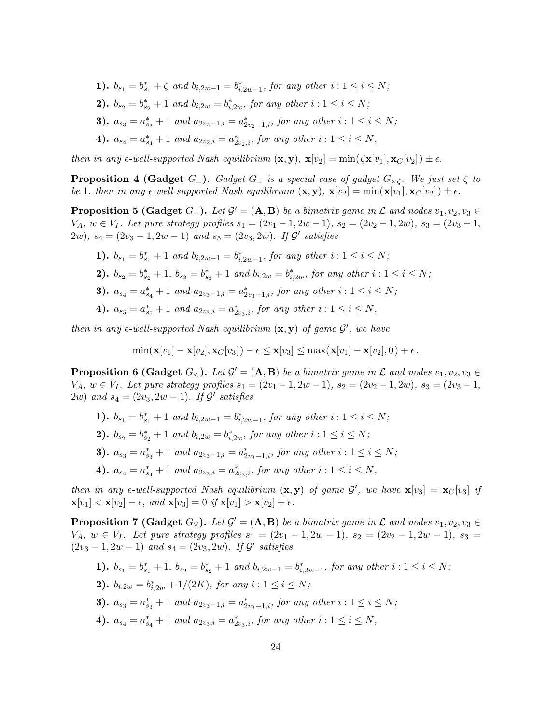- 1).  $b_{s_1} = b_{s_1}^* + \zeta$  and  $b_{i,2w-1} = b_{i,2w-1}^*$ , for any other  $i: 1 \le i \le N$ ;
- **2).**  $b_{s_2} = b_{s_2}^* + 1$  and  $b_{i,2w} = b_{i,2w}^*$ , for any other  $i: 1 \le i \le N$ ;
- 3).  $a_{s_3} = a_{s_3}^* + 1$  and  $a_{2v_2-1,i} = a_{2v_2-1,i}^*$ , for any other  $i: 1 \le i \le N$ ;
- 4).  $a_{s_4} = a_{s_4}^* + 1$  and  $a_{2v_2,i} = a_{2v_2,i}^*$ , for any other  $i: 1 \le i \le N$ ,

then in any  $\epsilon$ -well-supported Nash equilibrium  $(\mathbf{x}, \mathbf{y})$ ,  $\mathbf{x}[v_2] = \min(\zeta \mathbf{x}[v_1], \mathbf{x}_C[v_2]) \pm \epsilon$ .

**Proposition 4 (Gadget**  $G=$ ). Gadget  $G=$  is a special case of gadget  $G_{\times\zeta}$ . We just set  $\zeta$  to be 1, then in any  $\epsilon$ -well-supported Nash equilibrium  $(\mathbf{x}, \mathbf{y}), \mathbf{x}[v_2] = \min(\mathbf{x}[v_1], \mathbf{x}_C[v_2]) \pm \epsilon$ .

**Proposition 5 (Gadget**  $G_{-}$ ). Let  $\mathcal{G}' = (\mathbf{A}, \mathbf{B})$  be a bimatrix game in  $\mathcal{L}$  and nodes  $v_1, v_2, v_3 \in$  $V_A$ ,  $w \in V_I$ . Let pure strategy profiles  $s_1 = (2v_1 - 1, 2w - 1), s_2 = (2v_2 - 1, 2w), s_3 = (2v_3 - 1,$  $(2w)$ ,  $s_4 = (2v_3 - 1, 2w - 1)$  and  $s_5 = (2v_3, 2w)$ . If  $\mathcal{G}'$  satisfies

- 1).  $b_{s_1} = b_{s_1}^* + 1$  and  $b_{i,2w-1} = b_{i,2w-1}^*$ , for any other  $i: 1 \le i \le N$ ;
- 2).  $b_{s_2} = b_{s_2}^* + 1$ ,  $b_{s_3} = b_{s_3}^* + 1$  and  $b_{i,2w} = b_{i,2w}^*$ , for any other  $i: 1 \le i \le N$ ;
- 3).  $a_{s_4} = a_{s_4}^* + 1$  and  $a_{2v_3-1,i} = a_{2v_3-1,i}^*$ , for any other  $i: 1 \le i \le N$ ;
- 4).  $a_{s_5} = a_{s_5}^* + 1$  and  $a_{2v_3,i} = a_{2v_3,i}^*$ , for any other  $i: 1 \le i \le N$ ,

then in any  $\epsilon$ -well-supported Nash equilibrium  $(\mathbf{x}, \mathbf{y})$  of game  $\mathcal{G}'$ , we have

$$
\min(\mathbf{x}[v_1] - \mathbf{x}[v_2], \mathbf{x}_C[v_3]) - \epsilon \leq \mathbf{x}[v_3] \leq \max(\mathbf{x}[v_1] - \mathbf{x}[v_2], 0) + \epsilon.
$$

**Proposition 6 (Gadget**  $G_$ ). Let  $\mathcal{G}' = (\mathbf{A}, \mathbf{B})$  be a bimatrix game in  $\mathcal{L}$  and nodes  $v_1, v_2, v_3 \in$  $V_A$ ,  $w ∈ V_I$ . Let pure strategy profiles  $s_1 = (2v_1 - 1, 2w - 1), s_2 = (2v_2 - 1, 2w), s_3 = (2v_3 - 1,$  $(2w)$  and  $s_4 = (2v_3, 2w - 1)$ . If  $\mathcal{G}'$  satisfies

- 1).  $b_{s_1} = b_{s_1}^* + 1$  and  $b_{i,2w-1} = b_{i,2w-1}^*$ , for any other  $i: 1 \le i \le N$ ;
- **2).**  $b_{s_2} = b_{s_2}^* + 1$  and  $b_{i,2w} = b_{i,2w}^*$ , for any other  $i: 1 \le i \le N$ ;
- 3).  $a_{s_3} = a_{s_3}^* + 1$  and  $a_{2v_3-1,i} = a_{2v_3-1,i}^*$ , for any other  $i: 1 \le i \le N$ ;
- 4).  $a_{s_4} = a_{s_4}^* + 1$  and  $a_{2v_3,i} = a_{2v_3,i}^*$ , for any other  $i: 1 \le i \le N$ ,

then in any  $\epsilon$ -well-supported Nash equilibrium  $(\mathbf{x}, \mathbf{y})$  of game  $\mathcal{G}'$ , we have  $\mathbf{x}[v_3] = \mathbf{x}_C[v_3]$  if  $\mathbf{x}[v_1] < \mathbf{x}[v_2] - \epsilon$ , and  $\mathbf{x}[v_3] = 0$  if  $\mathbf{x}[v_1] > \mathbf{x}[v_2] + \epsilon$ .

<span id="page-23-0"></span>**Proposition 7** (Gadget  $G_v$ ). Let  $\mathcal{G}' = (\mathbf{A}, \mathbf{B})$  be a bimatrix game in  $\mathcal{L}$  and nodes  $v_1, v_2, v_3 \in$  $V_A$ ,  $w \in V_I$ . Let pure strategy profiles  $s_1 = (2v_1 - 1, 2w - 1), s_2 = (2v_2 - 1, 2w - 1), s_3 =$  $(2v_3 - 1, 2w - 1)$  and  $s_4 = (2v_3, 2w)$ . If  $\mathcal{G}'$  satisfies

- 1).  $b_{s_1} = b_{s_1}^* + 1$ ,  $b_{s_2} = b_{s_2}^* + 1$  and  $b_{i,2w-1} = b_{i,2w-1}^*$ , for any other  $i: 1 \le i \le N$ ;
- **2).**  $b_{i,2w} = b_{i,2w}^* + 1/(2K)$ , for any  $i: 1 \le i \le N$ ;
- 3).  $a_{s_3} = a_{s_3}^* + 1$  and  $a_{2v_3-1,i} = a_{2v_3-1,i}^*$ , for any other  $i: 1 \le i \le N$ ;
- 4).  $a_{s_4} = a_{s_4}^* + 1$  and  $a_{2v_3,i} = a_{2v_3,i}^*$ , for any other  $i: 1 \le i \le N$ ,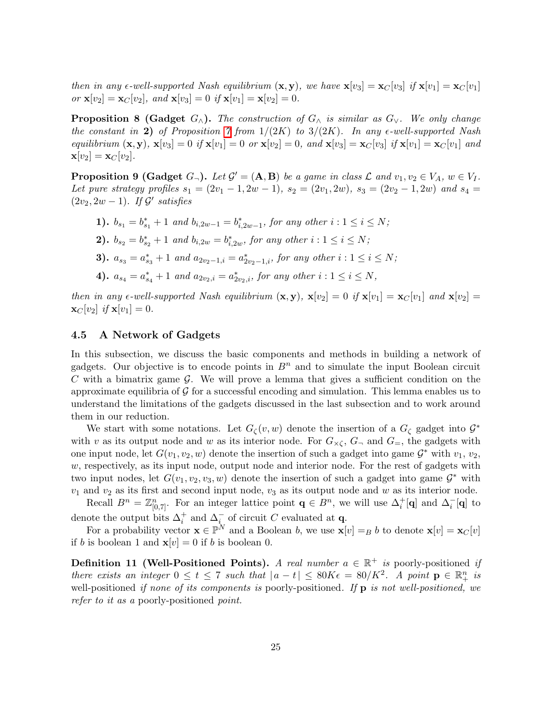then in any  $\epsilon$ -well-supported Nash equilibrium  $(\mathbf{x}, \mathbf{y})$ , we have  $\mathbf{x}[v_3] = \mathbf{x}_C[v_3]$  if  $\mathbf{x}[v_1] = \mathbf{x}_C[v_1]$ or  $\mathbf{x}[v_2] = \mathbf{x}_C[v_2]$ , and  $\mathbf{x}[v_3] = 0$  if  $\mathbf{x}[v_1] = \mathbf{x}[v_2] = 0$ .

**Proposition 8 (Gadget**  $G_{\wedge}$ ). The construction of  $G_{\wedge}$  is similar as  $G_{\vee}$ . We only change the constant in 2) of Proposition [7](#page-23-0) from  $1/(2K)$  to  $3/(2K)$ . In any  $\epsilon$ -well-supported Nash equilibrium  $(\mathbf{x}, \mathbf{y}), \mathbf{x}[v_3] = 0$  if  $\mathbf{x}[v_1] = 0$  or  $\mathbf{x}[v_2] = 0$ , and  $\mathbf{x}[v_3] = \mathbf{x}_C[v_3]$  if  $\mathbf{x}[v_1] = \mathbf{x}_C[v_1]$  and  $\mathbf{x}[v_2] = \mathbf{x}_C[v_2].$ 

**Proposition 9 (Gadget**  $G_{\neg}$ ). Let  $\mathcal{G}' = (\mathbf{A}, \mathbf{B})$  be a game in class  $\mathcal{L}$  and  $v_1, v_2 \in V_A$ ,  $w \in V_I$ . Let pure strategy profiles  $s_1 = (2v_1 - 1, 2w - 1), s_2 = (2v_1, 2w), s_3 = (2v_2 - 1, 2w)$  and  $s_4 =$  $(2v_2, 2w - 1)$ . If  $\mathcal{G}'$  satisfies

- 1).  $b_{s_1} = b_{s_1}^* + 1$  and  $b_{i,2w-1} = b_{i,2w-1}^*$ , for any other  $i: 1 \le i \le N$ ;
- **2).**  $b_{s_2} = b_{s_2}^* + 1$  and  $b_{i,2w} = b_{i,2w}^*$ , for any other  $i: 1 \le i \le N$ ;
- 3).  $a_{s_3} = a_{s_3}^* + 1$  and  $a_{2v_2-1,i} = a_{2v_2-1,i}^*$ , for any other  $i: 1 \le i \le N$ ;
- 4).  $a_{s_4} = a_{s_4}^* + 1$  and  $a_{2v_2,i} = a_{2v_2,i}^*$ , for any other  $i: 1 \le i \le N$ ,

then in any  $\epsilon$ -well-supported Nash equilibrium  $(\mathbf{x}, \mathbf{y})$ ,  $\mathbf{x}[v_2] = 0$  if  $\mathbf{x}[v_1] = \mathbf{x}_C[v_1]$  and  $\mathbf{x}[v_2] =$  $\mathbf{x}_C[v_2]$  if  $\mathbf{x}[v_1] = 0$ .

#### <span id="page-24-0"></span>4.5 A Network of Gadgets

In this subsection, we discuss the basic components and methods in building a network of gadgets. Our objective is to encode points in  $B<sup>n</sup>$  and to simulate the input Boolean circuit  $C$  with a bimatrix game  $\mathcal G$ . We will prove a lemma that gives a sufficient condition on the approximate equilibria of  $\mathcal G$  for a successful encoding and simulation. This lemma enables us to understand the limitations of the gadgets discussed in the last subsection and to work around them in our reduction.

We start with some notations. Let  $G_{\zeta}(v, w)$  denote the insertion of a  $G_{\zeta}$  gadget into  $\mathcal{G}^*$ with v as its output node and w as its interior node. For  $G_{\times\zeta}$ ,  $G_{\neg}$  and  $G_{=}$ , the gadgets with one input node, let  $G(v_1, v_2, w)$  denote the insertion of such a gadget into game  $\mathcal{G}^*$  with  $v_1, v_2,$  $w$ , respectively, as its input node, output node and interior node. For the rest of gadgets with two input nodes, let  $G(v_1, v_2, v_3, w)$  denote the insertion of such a gadget into game  $\mathcal{G}^*$  with  $v_1$  and  $v_2$  as its first and second input node,  $v_3$  as its output node and w as its interior node.

Recall  $B^n = \mathbb{Z}_{[0,7]}^n$ . For an integer lattice point  $\mathbf{q} \in B^n$ , we will use  $\Delta_i^+[\mathbf{q}]$  and  $\Delta_i^-[\mathbf{q}]$  to denote the output bits  $\Delta_i^+$  and  $\Delta_{i_{i}}^-$  of circuit C evaluated at q.

For a probability vector  $\mathbf{x} \in \mathbb{P}^N$  and a Boolean b, we use  $\mathbf{x}[v] = B$  b to denote  $\mathbf{x}[v] = \mathbf{x}_C[v]$ if b is boolean 1 and  $\mathbf{x}[v] = 0$  if b is boolean 0.

**Definition 11 (Well-Positioned Points).** A real number  $a \in \mathbb{R}^+$  is poorly-positioned if there exists an integer  $0 \le t \le 7$  such that  $|a-t| \le 80K\epsilon = 80/K^2$ . A point  $p \in \mathbb{R}^n_+$  is well-positioned if none of its components is poorly-positioned. If  $\bf{p}$  is not well-positioned, we refer to it as a poorly-positioned point.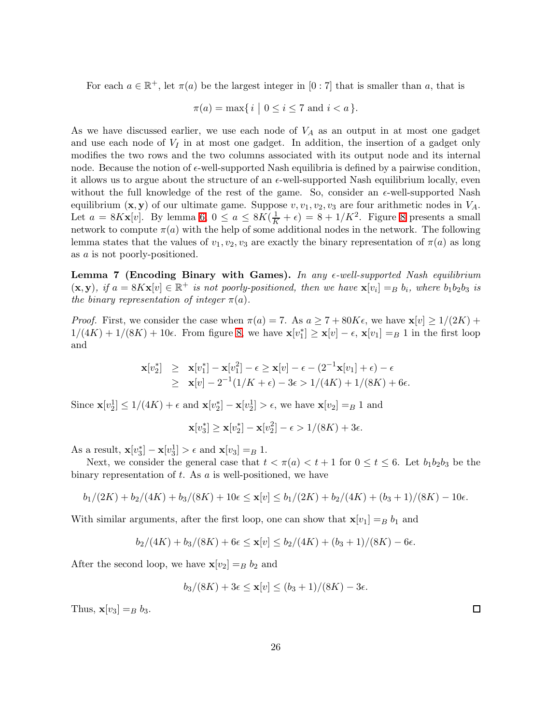For each  $a \in \mathbb{R}^+$ , let  $\pi(a)$  be the largest integer in  $[0:7]$  that is smaller than a, that is

$$
\pi(a) = \max\{\, i \mid 0 \le i \le 7 \text{ and } i < a \,\}.
$$

As we have discussed earlier, we use each node of  $V_A$  as an output in at most one gadget and use each node of  $V_I$  in at most one gadget. In addition, the insertion of a gadget only modifies the two rows and the two columns associated with its output node and its internal node. Because the notion of  $\epsilon$ -well-supported Nash equilibria is defined by a pairwise condition, it allows us to argue about the structure of an  $\epsilon$ -well-supported Nash equilibrium locally, even without the full knowledge of the rest of the game. So, consider an  $\epsilon$ -well-supported Nash equilibrium  $(x, y)$  of our ultimate game. Suppose  $v, v_1, v_2, v_3$  are four arithmetic nodes in  $V_A$ . Let  $a = 8Kx[v]$  $a = 8Kx[v]$  $a = 8Kx[v]$ . By lemma [6,](#page-20-1)  $0 \le a \le 8K(\frac{1}{K} + \epsilon) = 8 + 1/K^2$ . Figure 8 presents a small network to compute  $\pi(a)$  with the help of some additional nodes in the network. The following lemma states that the values of  $v_1, v_2, v_3$  are exactly the binary representation of  $\pi(a)$  as long as a is not poorly-positioned.

<span id="page-25-0"></span>Lemma 7 (Encoding Binary with Games). In any  $\epsilon$ -well-supported Nash equilibrium  $(\mathbf{x}, \mathbf{y})$ , if  $a = 8K\mathbf{x}[v] \in \mathbb{R}^+$  is not poorly-positioned, then we have  $\mathbf{x}[v_i] =_B b_i$ , where  $b_1b_2b_3$  is the binary representation of integer  $\pi(a)$ .

*Proof.* First, we consider the case when  $\pi(a) = 7$ . As  $a \geq 7 + 80K\epsilon$ , we have  $\mathbf{x}[v] \geq 1/(2K) + 1$  $1/(4K) + 1/(8K) + 10\epsilon$ . From figure [8,](#page-26-0) we have  $\mathbf{x}[v_1^*] \geq \mathbf{x}[v] - \epsilon$ ,  $\mathbf{x}[v_1] = B 1$  in the first loop and

$$
\mathbf{x}[v_2^*] \geq \mathbf{x}[v_1^*] - \mathbf{x}[v_1^2] - \epsilon \geq \mathbf{x}[v] - \epsilon - (2^{-1}\mathbf{x}[v_1] + \epsilon) - \epsilon
$$
  
\n
$$
\geq \mathbf{x}[v] - 2^{-1}(1/K + \epsilon) - 3\epsilon > 1/(4K) + 1/(8K) + 6\epsilon.
$$

Since  $\mathbf{x}[v_2^1] \le 1/(4K) + \epsilon$  and  $\mathbf{x}[v_2^*] - \mathbf{x}[v_2^1] > \epsilon$ , we have  $\mathbf{x}[v_2] = B 1$  and

$$
\mathbf{x}[v_3^*] \ge \mathbf{x}[v_2^*] - \mathbf{x}[v_2^2] - \epsilon > 1/(8K) + 3\epsilon.
$$

As a result,  $\mathbf{x}[v_3^*] - \mathbf{x}[v_3^1] > \epsilon$  and  $\mathbf{x}[v_3] = B$  1.

Next, we consider the general case that  $t < \pi(a) < t + 1$  for  $0 \le t \le 6$ . Let  $b_1b_2b_3$  be the binary representation of  $t$ . As  $\alpha$  is well-positioned, we have

$$
b_1/(2K) + b_2/(4K) + b_3/(8K) + 10\epsilon \le \mathbf{x}[v] \le b_1/(2K) + b_2/(4K) + (b_3 + 1)/(8K) - 10\epsilon.
$$

With similar arguments, after the first loop, one can show that  $\mathbf{x}[v_1] = B b_1$  and

$$
b_2/(4K) + b_3/(8K) + 6\epsilon \le \mathbf{x}[v] \le b_2/(4K) + (b_3 + 1)/(8K) - 6\epsilon.
$$

After the second loop, we have  $\mathbf{x}[v_2] = B b_2$  and

$$
b_3/(8K) + 3\epsilon \le \mathbf{x}[v] \le (b_3+1)/(8K) - 3\epsilon.
$$

Thus,  $\mathbf{x}[v_3] = B \; b_3$ .

 $\Box$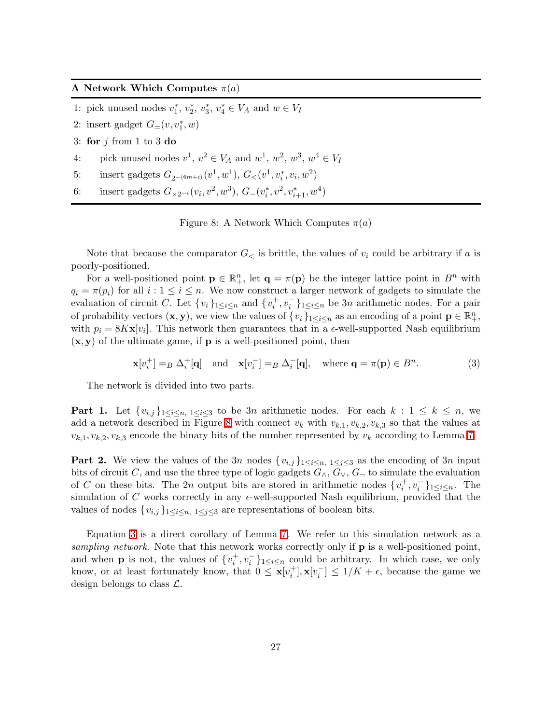#### A Network Which Computes  $\pi(a)$

- 1: pick unused nodes  $v_1^*, v_2^*, v_3^*, v_4^* \in V_A$  and  $w \in V_I$
- 2: insert gadget  $G_{=}(\nu, v_1^*, w)$
- 3: for  $j$  from 1 to 3 do
- 4: pick unused nodes  $v^1, v^2 \in V_A$  and  $w^1, w^2, w^3, w^4 \in V_I$
- 5: insert gadgets  $G_{2^{-(6m+i)}}(v^1, w^1), G_{\lt}(v^1, v_i^*, v_i, w^2)$
- 6: insert gadgets  $G_{\times 2^{-i}}(v_i, v^2, w^3), G_{-}(v_i^*, v^2, v_{i+1}^*, w^4)$

<span id="page-26-1"></span><span id="page-26-0"></span>Figure 8: A Network Which Computes  $\pi(a)$ 

Note that because the comparator  $G_{\leq}$  is brittle, the values of  $v_i$  could be arbitrary if a is poorly-positioned.

For a well-positioned point  $\mathbf{p} \in \mathbb{R}^n_+$ , let  $\mathbf{q} = \pi(\mathbf{p})$  be the integer lattice point in  $B^n$  with  $q_i = \pi(p_i)$  for all  $i : 1 \leq i \leq n$ . We now construct a larger network of gadgets to simulate the evaluation of circuit C. Let  $\{v_i\}_{1 \leq i \leq n}$  and  $\{v_i^+, v_i^-\}_{1 \leq i \leq n}$  be 3n arithmetic nodes. For a pair of probability vectors  $(\mathbf{x}, \mathbf{y})$ , we view the values of  $\{v_i\}_{1 \leq i \leq n}$  as an encoding of a point  $\mathbf{p} \in \mathbb{R}_+^n$ , with  $p_i = 8Kx[v_i]$ . This network then guarantees that in a  $\epsilon$ -well-supported Nash equilibrium  $(x, y)$  of the ultimate game, if **p** is a well-positioned point, then

$$
\mathbf{x}[v_i^+] =_B \Delta_i^+[\mathbf{q}] \quad \text{and} \quad \mathbf{x}[v_i^-] =_B \Delta_i^-[\mathbf{q}], \quad \text{where } \mathbf{q} = \pi(\mathbf{p}) \in B^n. \tag{3}
$$

The network is divided into two parts.

**Part 1.** Let  $\{v_{i,j}\}_{1\leq i\leq n, 1\leq i\leq 3}$  to be 3n arithmetic nodes. For each  $k: 1 \leq k \leq n$ , we add a network described in Figure [8](#page-26-0) with connect  $v_k$  with  $v_{k,1}, v_{k,2}, v_{k,3}$  so that the values at  $v_{k,1}, v_{k,2}, v_{k,3}$  encode the binary bits of the number represented by  $v_k$  according to Lemma [7.](#page-25-0)

**Part 2.** We view the values of the 3n nodes  $\{v_{i,j}\}_{1\leq i\leq n, 1\leq j\leq 3}$  as the encoding of 3n input bits of circuit C, and use the three type of logic gadgets  $G_{\wedge}$ ,  $G_{\vee}$ ,  $G_{\neg}$  to simulate the evaluation of C on these bits. The 2n output bits are stored in arithmetic nodes  $\{v_i^+, v_i^-\}_{1 \leq i \leq n}$ . The simulation of  $C$  works correctly in any  $\epsilon$ -well-supported Nash equilibrium, provided that the values of nodes  $\{v_{i,j}\}_{1\leq i\leq n, 1\leq j\leq 3}$  are representations of boolean bits.

Equation [3](#page-26-1) is a direct corollary of Lemma [7.](#page-25-0) We refer to this simulation network as a sampling network. Note that this network works correctly only if **p** is a well-positioned point, and when **p** is not, the values of  $\{v_i^+, v_i^-\}_{1 \leq i \leq n}$  could be arbitrary. In which case, we only know, or at least fortunately know, that  $0 \leq \mathbf{x}[v_i^+]$ ,  $\mathbf{x}[v_i^-] \leq 1/K + \epsilon$ , because the game we design belongs to class  $\mathcal{L}$ .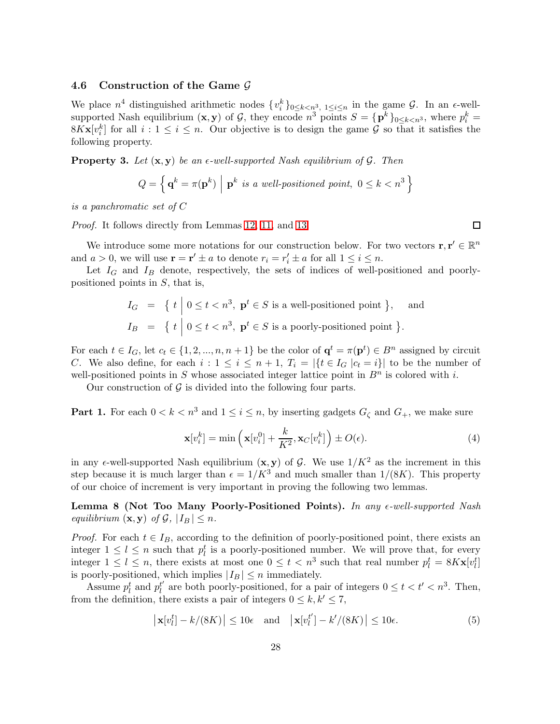### 4.6 Construction of the Game  $G$

We place  $n^4$  distinguished arithmetic nodes  $\{v_i^k\}_{0 \leq k \leq n^3, 1 \leq i \leq n}$  in the game  $\mathcal{G}$ . In an  $\epsilon$ -wellsupported Nash equilibrium  $(\mathbf{x}, \mathbf{y})$  of  $\mathcal{G}$ , they encode  $n^3$  points  $S = {\{\mathbf{p}^k\}}_{0 \leq k < n^3}$ , where  $p_i^k =$  $8K**x**[v_i^k]$  for all  $i: 1 \leq i \leq n$ . Our objective is to design the game  $\mathcal G$  so that it satisfies the following property.

<span id="page-27-2"></span>**Property 3.** Let  $(x, y)$  be an  $\epsilon$ -well-supported Nash equilibrium of  $\mathcal{G}$ . Then

$$
Q = \left\{ \mathbf{q}^k = \pi(\mathbf{p}^k) \middle| \mathbf{p}^k \text{ is a well-positioned point, } 0 \le k < n^3 \right\}
$$

is a panchromatic set of C

Proof. It follows directly from Lemmas [12,](#page-30-0) [11,](#page-29-0) and [13.](#page-31-0)

We introduce some more notations for our construction below. For two vectors  $\mathbf{r}, \mathbf{r}' \in \mathbb{R}^n$ and  $a > 0$ , we will use  $\mathbf{r} = \mathbf{r}' \pm a$  to denote  $r_i = r'_i \pm a$  for all  $1 \leq i \leq n$ .

Let  $I_G$  and  $I_B$  denote, respectively, the sets of indices of well-positioned and poorlypositioned points in  $S$ , that is,

$$
I_G = \{ t \mid 0 \le t < n^3, \mathbf{p}^t \in S \text{ is a well-positioned point } \}, \text{ and}
$$
  
\n
$$
I_B = \{ t \mid 0 \le t < n^3, \mathbf{p}^t \in S \text{ is a poorly-positioned point } \}.
$$

For each  $t \in I_G$ , let  $c_t \in \{1, 2, ..., n, n+1\}$  be the color of  $\mathbf{q}^t = \pi(\mathbf{p}^t) \in B^n$  assigned by circuit C. We also define, for each  $i: 1 \leq i \leq n+1$ ,  $T_i = |\{t \in I_G | c_t = i\}|$  to be the number of well-positioned points in S whose associated integer lattice point in  $B<sup>n</sup>$  is colored with i.

Our construction of  $\mathcal G$  is divided into the following four parts.

**Part 1.** For each  $0 < k < n^3$  and  $1 \le i \le n$ , by inserting gadgets  $G_{\zeta}$  and  $G_{+}$ , we make sure

$$
\mathbf{x}[v_i^k] = \min\left(\mathbf{x}[v_i^0] + \frac{k}{K^2}, \mathbf{x}_C[v_i^k]\right) \pm O(\epsilon). \tag{4}
$$

in any  $\epsilon$ -well-supported Nash equilibrium  $(x, y)$  of  $\mathcal{G}$ . We use  $1/K^2$  as the increment in this step because it is much larger than  $\epsilon = 1/K^3$  and much smaller than  $1/(8K)$ . This property of our choice of increment is very important in proving the following two lemmas.

Lemma 8 (Not Too Many Poorly-Positioned Points). In any  $\epsilon$ -well-supported Nash equilibrium  $(\mathbf{x}, \mathbf{y})$  of  $\mathcal{G}, |I_B| \leq n$ .

*Proof.* For each  $t \in I_B$ , according to the definition of poorly-positioned point, there exists an integer  $1 \leq l \leq n$  such that  $p_l^t$  is a poorly-positioned number. We will prove that, for every integer  $1 \leq l \leq n$ , there exists at most one  $0 \leq t < n^3$  such that real number  $p_l^t = 8Kx[v_l^t]$ is poorly-positioned, which implies  $|I_B| \leq n$  immediately.

Assume  $p_l^t$  and  $p_l^{t'}$  $l'$  are both poorly-positioned, for a pair of integers  $0 \le t < t' < n^3$ . Then, from the definition, there exists a pair of integers  $0 \leq k, k' \leq 7$ ,

<span id="page-27-0"></span>
$$
\left| \mathbf{x}[v_l^t] - k/(8K) \right| \le 10\epsilon \quad \text{and} \quad \left| \mathbf{x}[v_l^{t'}] - k'/(8K) \right| \le 10\epsilon. \tag{5}
$$

<span id="page-27-1"></span> $\Box$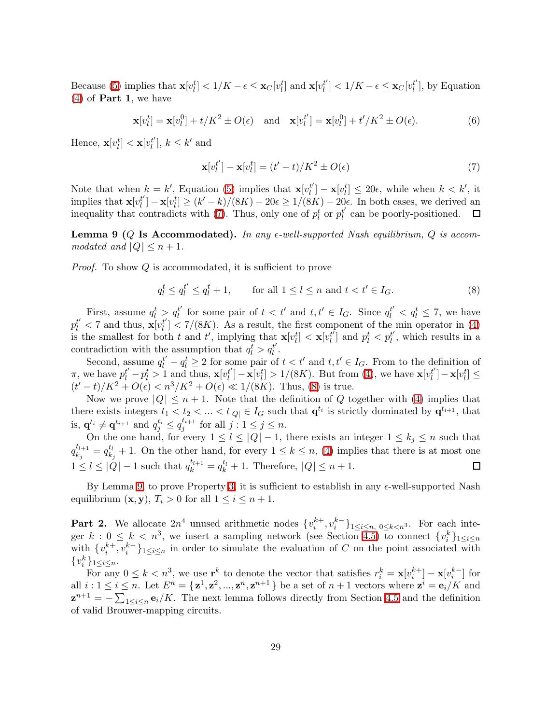Because [\(5\)](#page-27-0) implies that  $\mathbf{x}[v_l^t] < 1/K - \epsilon \leq \mathbf{x}_C[v_l^t]$  and  $\mathbf{x}[v_l^t]$  $\left[\begin{matrix}t'\\l\end{matrix}\right] < 1/K - \epsilon \leq \mathbf{x}_C[v_l^{t'}]$  $l'$ , by Equation  $(4)$  of **Part 1**, we have

<span id="page-28-0"></span>
$$
\mathbf{x}[v_l^t] = \mathbf{x}[v_l^0] + t/K^2 \pm O(\epsilon) \quad \text{and} \quad \mathbf{x}[v_l^{t'}] = \mathbf{x}[v_l^0] + t'/K^2 \pm O(\epsilon). \tag{6}
$$

Hence,  $\mathbf{x}[v_l^t] < \mathbf{x}[v_l^{t'}]$  $\binom{t'}{l}, k \leq k'$  and

<span id="page-28-1"></span>
$$
\mathbf{x}[v_l^{t'}] - \mathbf{x}[v_l^t] = (t'-t)/K^2 \pm O(\epsilon)
$$
\n<sup>(7)</sup>

Note that when  $k = k'$ , Equation [\(5\)](#page-27-0) implies that  $\mathbf{x}[v_l^{t'}]$  $\mathbf{z}_{l}^{t'}$ ] –  $\mathbf{x}[v_{l}^{t}] \leq 20\epsilon$ , while when  $k < k'$ , it implies that  $\mathbf{x}[v_l^{t'}]$  $\mathbf{z}_{l}^{t'}$ ] –  $\mathbf{x}[v_{l}^{t'}] \geq (k'-k)/(8K) - 20\epsilon \geq 1/(8K) - 20\epsilon$ . In both cases, we derived an inequality that contradicts with [\(7\)](#page-28-0). Thus, only one of  $p_l^t$  or  $p_l^{t'}$  $l_l^t$  can be poorly-positioned.

<span id="page-28-2"></span>**Lemma 9** (Q Is Accommodated). In any  $\epsilon$ -well-supported Nash equilibrium, Q is accommodated and  $|Q| \leq n+1$ .

*Proof.* To show Q is accommodated, it is sufficient to prove

$$
q_l^t \le q_l^{t'} \le q_l^t + 1, \qquad \text{for all } 1 \le l \le n \text{ and } t < t' \in I_G. \tag{8}
$$

First, assume  $q_l^t > q_l^{t'}$  $l'$  for some pair of  $t < t'$  and  $t, t' \in I_G$ . Since  $q_l^{t'} < q_l^t \leq 7$ , we have  $p_l^{t'} < 7$  and thus,  $\mathbf{x}[v_l^{t'}]$  $\binom{t}{l}$  < 7/(8K). As a result, the first component of the min operator in [\(4\)](#page-27-1) is the smallest for both t and t', implying that  $\mathbf{x}[v_l^t] < \mathbf{x}[v_l^t]$  $\left[\begin{smallmatrix} t' \\ l \end{smallmatrix}\right]$  and  $p_l^t < p_l^{t'}$  $l'$ , which results in a contradiction with the assumption that  $q_l^t > q_l^{t'}$ .

Second, assume  $q_l^t - q_l^t \ge 2$  for some pair of  $t < t'$  and  $t, t' \in I_G$ . From to the definition of  $\pi$ , we have  $p_l^{t'} - p_l^t > 1$  and thus,  $\mathbf{x}[v_l^{t'}]$  $\mathbf{z}_l^{t'}$ ] –  $\mathbf{x}[v_l^t] > 1/(8K)$ . But from [\(4\)](#page-27-1), we have  $\mathbf{x}[v_l^{t'}]$  $\left[\begin{smallmatrix} t' \ l' \end{smallmatrix}\right] - \mathbf{x}[v_l^t] \leq$  $(t'-t)/K^2 + O(\epsilon) < n^3/K^2 + O(\epsilon) \ll 1/(8K)$ . Thus, [\(8\)](#page-28-1) is true.

Now we prove  $|Q| \leq n+1$ . Note that the definition of Q together with [\(4\)](#page-27-1) implies that there exists integers  $t_1 < t_2 < ... < t_{|Q|} \in I_G$  such that  $\mathbf{q}^{t_i}$  is strictly dominated by  $\mathbf{q}^{t_{i+1}}$ , that is,  $\mathbf{q}^{t_i} \neq \mathbf{q}^{t_{i+1}}$  and  $q_j^{t_i} \leq q_j^{t_{i+1}}$  $j^{i+1}$  for all  $j: 1 \leq j \leq n$ .

On the one hand, for every  $1 \leq l \leq |Q|-1$ , there exists an integer  $1 \leq k_j \leq n$  such that  $q_{k}^{t_{l+1}}$  $\frac{t_{l+1}}{k_j} = q_{k_j}^{t_l}$  $\mathbb{R}_{k_j}^{t_l}$  + 1. On the other hand, for every  $1 \leq k \leq n$ , [\(4\)](#page-27-1) implies that there is at most one  $1 \leq l \leq |Q| - 1$  such that  $q_k^{t_{l+1}} = q_k^{t_l} + 1$ . Therefore,  $|Q| \leq n + 1$ . 口

By Lemma [9,](#page-28-2) to prove Property [3,](#page-27-2) it is sufficient to establish in any  $\epsilon$ -well-supported Nash equilibrium  $(\mathbf{x}, \mathbf{y}), T_i > 0$  for all  $1 \leq i \leq n+1$ .

**Part 2.** We allocate  $2n^4$  unused arithmetic nodes  $\{v_i^{k+}, v_i^{k-}\}_{1 \leq i \leq n, 0 \leq k < n^3}\$ . For each integer  $k: 0 \leq k < n^3$ , we insert a sampling network (see Section [4.5\)](#page-24-0) to connect  $\{v_i^k\}_{1 \leq i \leq n}$ with  $\{v_i^{k+}, v_i^{k-}\}_{1 \leq i \leq n}$  in order to simulate the evaluation of C on the point associated with  $\{v_i^k\}_{1\leq i\leq n}$ .

For any  $0 \le k < n^3$ , we use  $\mathbf{r}^k$  to denote the vector that satisfies  $r_i^k = \mathbf{x}[v_i^{k+1}] - \mathbf{x}[v_i^{k-1}]$  for all  $i: 1 \leq i \leq n$ . Let  $E^n = {\mathbf{z}^1, \mathbf{z}^2, ..., \mathbf{z}^n, \mathbf{z}^{n+1}}$  be a set of  $n+1$  vectors where  $\mathbf{z}^i = \mathbf{e}_i/K$  and  $\mathbf{z}^{n+1} = -\sum_{1 \leq i \leq n} \mathbf{e}_i / K$ . The next lemma follows directly from Section [4.5](#page-24-0) and the definition of valid Brouwer-mapping circuits.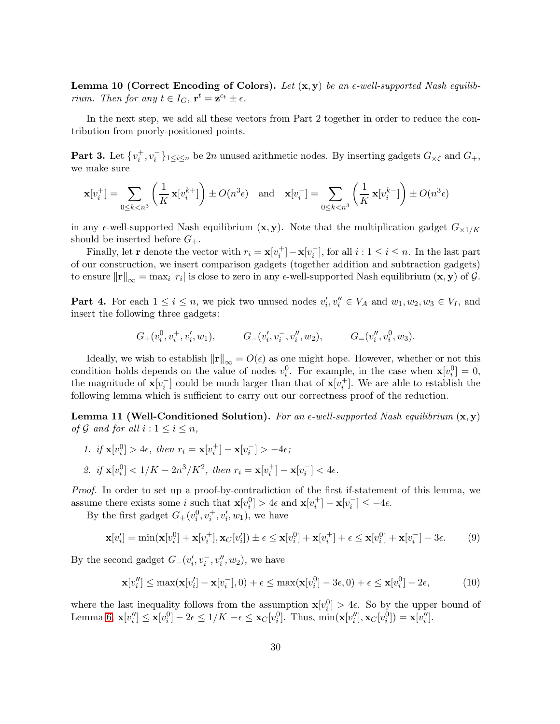**Lemma 10 (Correct Encoding of Colors).** Let  $(x, y)$  be an  $\epsilon$ -well-supported Nash equilibrium. Then for any  $t \in I_G$ ,  $\mathbf{r}^t = \mathbf{z}^{c_t} \pm \epsilon$ .

In the next step, we add all these vectors from Part 2 together in order to reduce the contribution from poorly-positioned points.

**Part 3.** Let  $\{v_i^+, v_i^-\}_{1 \leq i \leq n}$  be 2n unused arithmetic nodes. By inserting gadgets  $G_{\times \zeta}$  and  $G_+$ , we make sure

$$
\mathbf{x}[v_i^+] = \sum_{0 \le k < n^3} \left(\frac{1}{K} \mathbf{x}[v_i^{k+}]\right) \pm O(n^3 \epsilon) \quad \text{and} \quad \mathbf{x}[v_i^-] = \sum_{0 \le k < n^3} \left(\frac{1}{K} \mathbf{x}[v_i^{k-}]\right) \pm O(n^3 \epsilon)
$$

in any  $\epsilon$ -well-supported Nash equilibrium  $(x, y)$ . Note that the multiplication gadget  $G_{\times 1/K}$ should be inserted before  $G_+$ .

Finally, let **r** denote the vector with  $r_i = \mathbf{x}[v_i^+] - \mathbf{x}[v_i^-]$ , for all  $i: 1 \le i \le n$ . In the last part of our construction, we insert comparison gadgets (together addition and subtraction gadgets) to ensure  $\|\mathbf{r}\|_{\infty} = \max_i |r_i|$  is close to zero in any  $\epsilon$ -well-supported Nash equilibrium  $(\mathbf{x}, \mathbf{y})$  of  $\mathcal{G}$ .

**Part 4.** For each  $1 \leq i \leq n$ , we pick two unused nodes  $v'_i, v''_i \in V_A$  and  $w_1, w_2, w_3 \in V_I$ , and insert the following three gadgets:

$$
G_{+}(v_i^0, v_i^+, v_i', w_1), \qquad G_{-}(v_i', v_i^-, v_i'', w_2), \qquad G_{=}(v_i'', v_i^0, w_3).
$$

Ideally, we wish to establish  $\|\mathbf{r}\|_{\infty} = O(\epsilon)$  as one might hope. However, whether or not this condition holds depends on the value of nodes  $v_i^0$ . For example, in the case when  $\mathbf{x}[v_i^0] = 0$ , the magnitude of  $\mathbf{x}[v_i^-]$  could be much larger than that of  $\mathbf{x}[v_i^+]$ . We are able to establish the following lemma which is sufficient to carry out our correctness proof of the reduction.

<span id="page-29-0"></span>**Lemma 11 (Well-Conditioned Solution).** For an  $\epsilon$ -well-supported Nash equilibrium  $(\mathbf{x}, \mathbf{y})$ of G and for all  $i: 1 \leq i \leq n$ ,

1. if  $\mathbf{x}[v_i^0] > 4\epsilon$ , then  $r_i = \mathbf{x}[v_i^+] - \mathbf{x}[v_i^-] > -4\epsilon$ ; 2. if  $\mathbf{x}[v_i^0] < 1/K - 2n^3/K^2$ , then  $r_i = \mathbf{x}[v_i^+] - \mathbf{x}[v_i^-] < 4\epsilon$ .

Proof. In order to set up a proof-by-contradiction of the first if-statement of this lemma, we assume there exists some *i* such that  $\mathbf{x}[v_i^0] > 4\epsilon$  and  $\mathbf{x}[v_i^+] - \mathbf{x}[v_i^-] \le -4\epsilon$ .

By the first gadget  $G_+(v_i^0, v_i^+, v_i', w_1)$ , we have

$$
\mathbf{x}[v_i'] = \min(\mathbf{x}[v_i^0] + \mathbf{x}[v_i^+], \mathbf{x}_C[v_i']) \pm \epsilon \le \mathbf{x}[v_i^0] + \mathbf{x}[v_i^+] + \epsilon \le \mathbf{x}[v_i^0] + \mathbf{x}[v_i^-] - 3\epsilon.
$$
 (9)

By the second gadget  $G_{-}(v_i', v_i^-, v_i'', w_2)$ , we have

<span id="page-29-1"></span>
$$
\mathbf{x}[v_i''] \le \max(\mathbf{x}[v_i'] - \mathbf{x}[v_i^-], 0) + \epsilon \le \max(\mathbf{x}[v_i^0] - 3\epsilon, 0) + \epsilon \le \mathbf{x}[v_i^0] - 2\epsilon,
$$
 (10)

where the last inequality follows from the assumption  $\mathbf{x}[v_i^0] > 4\epsilon$ . So by the upper bound of Lemma [6,](#page-20-1)  $\mathbf{x}[v''_i] \leq \mathbf{x}[v_i^0] - 2\epsilon \leq 1/K - \epsilon \leq \mathbf{x}_C[v_i^0]$ . Thus,  $\min(\mathbf{x}[v''_i], \mathbf{x}_C[v_i^0]) = \mathbf{x}[v''_i]$ .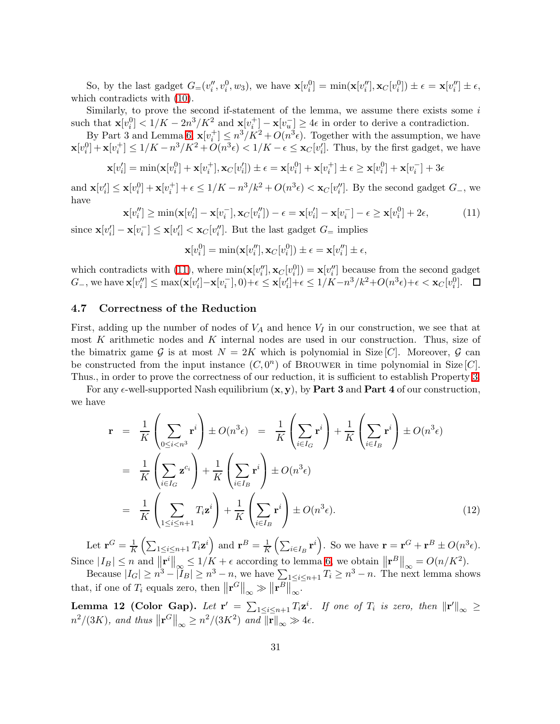So, by the last gadget  $G=(v''_i, v_i^0, w_3)$ , we have  $\mathbf{x}[v_i^0] = \min(\mathbf{x}[v''_i], \mathbf{x}_C[v_i^0]) \pm \epsilon = \mathbf{x}[v''_i] \pm \epsilon$ , which contradicts with [\(10\)](#page-29-1).

Similarly, to prove the second if-statement of the lemma, we assume there exists some  $i$ such that  $\mathbf{x}[v_i^0] < 1/K - 2n^3/K^2$  and  $\mathbf{x}[v_i^+] - \mathbf{x}[v_{u_i}^-] \ge 4\epsilon$  in order to derive a contradiction.

By Part 3 and Lemma [6,](#page-20-1)  $\mathbf{x}[v_i^+] \leq n^3/K^2 + O(n^3\epsilon)$ . Together with the assumption, we have  $\mathbf{x}[v_i^0] + \mathbf{x}[v_i^+] \leq 1/K - n^3/K^2 + O(n^3\epsilon) < 1/K - \epsilon \leq \mathbf{x}_C[v_i']$ . Thus, by the first gadget, we have

$$
\mathbf{x}[v_i'] = \min(\mathbf{x}[v_i^0] + \mathbf{x}[v_i^+], \mathbf{x}_C[v_i']) \pm \epsilon = \mathbf{x}[v_i^0] + \mathbf{x}[v_i^+] \pm \epsilon \ge \mathbf{x}[v_i^0] + \mathbf{x}[v_i^-] + 3\epsilon
$$

<span id="page-30-1"></span>and  $\mathbf{x}[v_i'] \leq \mathbf{x}[v_i^0] + \mathbf{x}[v_i^+] + \epsilon \leq 1/K - n^3/k^2 + O(n^3\epsilon) < \mathbf{x}_C[v_i'']$ . By the second gadget  $G_{-}$ , we have

$$
\mathbf{x}[v_i''] \ge \min(\mathbf{x}[v_i'] - \mathbf{x}[v_i^-], \mathbf{x}_C[v_i'']) - \epsilon = \mathbf{x}[v_i'] - \mathbf{x}[v_i^-] - \epsilon \ge \mathbf{x}[v_i^0] + 2\epsilon,
$$
\n(11)

since  $\mathbf{x}[v'_i] - \mathbf{x}[v'_i] \leq \mathbf{x}[v'_i] < \mathbf{x}_C[v''_i]$ . But the last gadget  $G$ = implies

$$
\mathbf{x}[v_i^0] = \min(\mathbf{x}[v_i''], \mathbf{x}_C[v_i^0]) \pm \epsilon = \mathbf{x}[v_i''] \pm \epsilon,
$$

which contradicts with [\(11\)](#page-30-1), where  $\min(\mathbf{x}[v_i''], \mathbf{x}_C[v_i^0]) = \mathbf{x}[v_i'']$  because from the second gadget  $G_{-}$ , we have  $\mathbf{x}[v''_i] \leq \max(\mathbf{x}[v'_i] - \mathbf{x}[v^-_i], 0) + \epsilon \leq \mathbf{x}[v'_i] + \epsilon \leq 1/K - n^3/k^2 + O(n^3\epsilon) + \epsilon < \mathbf{x}_C[v^0_i].$ 

#### 4.7 Correctness of the Reduction

First, adding up the number of nodes of  $V_A$  and hence  $V_I$  in our construction, we see that at most K arithmetic nodes and K internal nodes are used in our construction. Thus, size of the bimatrix game G is at most  $N = 2K$  which is polynomial in Size [C]. Moreover, G can be constructed from the input instance  $(C, 0^n)$  of BROUWER in time polynomial in Size  $[C]$ . Thus., in order to prove the correctness of our reduction, it is sufficient to establish Property [3.](#page-27-2)

<span id="page-30-2"></span>For any  $\epsilon$ -well-supported Nash equilibrium  $(x, y)$ , by **Part 3** and **Part 4** of our construction, we have

$$
\mathbf{r} = \frac{1}{K} \left( \sum_{0 \le i < n^3} \mathbf{r}^i \right) \pm O(n^3 \epsilon) = \frac{1}{K} \left( \sum_{i \in I_G} \mathbf{r}^i \right) + \frac{1}{K} \left( \sum_{i \in I_B} \mathbf{r}^i \right) \pm O(n^3 \epsilon)
$$
\n
$$
= \frac{1}{K} \left( \sum_{i \in I_G} \mathbf{z}^{c_i} \right) + \frac{1}{K} \left( \sum_{i \in I_B} \mathbf{r}^i \right) \pm O(n^3 \epsilon)
$$
\n
$$
= \frac{1}{K} \left( \sum_{1 \le i \le n+1} T_i \mathbf{z}^i \right) + \frac{1}{K} \left( \sum_{i \in I_B} \mathbf{r}^i \right) \pm O(n^3 \epsilon). \tag{12}
$$

Let  $\mathbf{r}^G = \frac{1}{K} \left( \sum_{1 \leq i \leq n+1} T_i \mathbf{z}^i \right)$  and  $\mathbf{r}^B = \frac{1}{K} \left( \sum_{i \in I_B} \mathbf{r}^i \right)$ . So we have  $\mathbf{r} = \mathbf{r}^G + \mathbf{r}^B \pm O(n^3 \epsilon)$ . Since  $|I_B| \le n$  and  $||\mathbf{r}^i||_{\infty} \le 1/K + \epsilon$  according to lemma [6,](#page-20-1) we obtain  $||\mathbf{r}^B||_{\infty} = O(n/K^2)$ .

Because  $|I_G| \ge n^3 - |I_B| \ge n^3 - n$ , we have  $\sum_{1 \le i \le n+1} T_i \ge n^3 - n$ . The next lemma shows that, if one of  $T_i$  equals zero, then  $\left\|\mathbf{r}^G\right\|_{\infty} \gg \left\|\mathbf{r}^B\right\|_{\infty}$ .

<span id="page-30-0"></span>**Lemma 12 (Color Gap).** Let  $\mathbf{r}' = \sum_{1 \leq i \leq n+1} T_i \mathbf{z}^i$ . If one of  $T_i$  is zero, then  $\|\mathbf{r}'\|_{\infty} \geq$  $n^2/(3K)$ , and thus  $\left\|\mathbf{r}^G\right\|_{\infty} \geq n^2/(3K^2)$  and  $\left\|\mathbf{r}\right\|_{\infty} \gg 4\epsilon$ .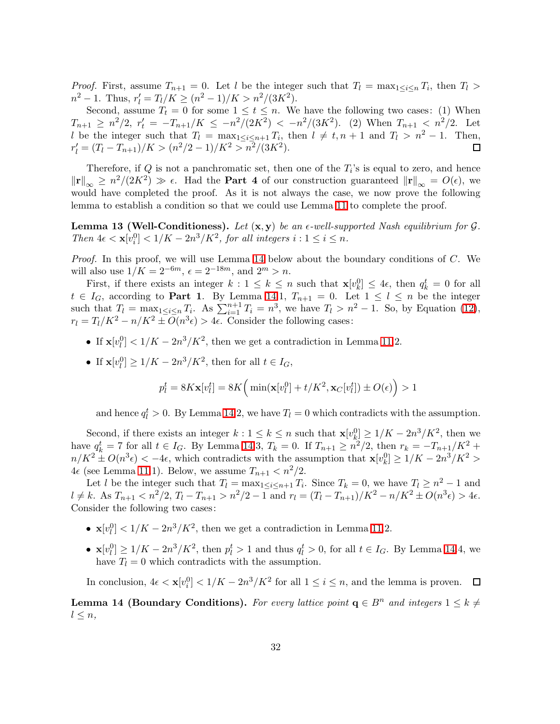*Proof.* First, assume  $T_{n+1} = 0$ . Let l be the integer such that  $T_l = \max_{1 \leq i \leq n} T_i$ , then  $T_l >$  $n^2 - 1$ . Thus,  $r'_l = T_l/K \ge (n^2 - 1)/K > n^2/(3K^2)$ .

Second, assume  $T_t = 0$  for some  $1 \le t \le n$ . We have the following two cases: (1) When  $T_{n+1} \geq n^2/2$ ,  $r'_t = -T_{n+1}/K \leq -n^2/(2K^2) < -n^2/(3K^2)$ . (2) When  $T_{n+1} \leq n^2/2$ . Let l be the integer such that  $T_l = \max_{1 \leq i \leq n+1} T_i$ , then  $l \neq t, n+1$  and  $T_l > n^2 - 1$ . Then,  $r'_{l} = (T_{l} - T_{n+1})/K > (n^{2}/2 - 1)/K^{2} > n^{2}/(3K^{2}).$ 

Therefore, if  $Q$  is not a panchromatic set, then one of the  $T_i$ 's is equal to zero, and hence  $\|\mathbf{r}\|_{\infty} \geq n^2/(2K^2) \gg \epsilon$ . Had the **Part 4** of our construction guaranteed  $\|\mathbf{r}\|_{\infty} = O(\epsilon)$ , we would have completed the proof. As it is not always the case, we now prove the following lemma to establish a condition so that we could use Lemma [11](#page-29-0) to complete the proof.

<span id="page-31-0"></span>**Lemma 13 (Well-Conditioness).** Let  $(x, y)$  be an  $\epsilon$ -well-supported Nash equilibrium for  $\mathcal{G}$ . Then  $4\epsilon < \mathbf{x}[v_i^0] < 1/K - 2n^3/K^2$ , for all integers  $i : 1 \le i \le n$ .

*Proof.* In this proof, we will use Lemma [14](#page-31-1) below about the boundary conditions of  $C$ . We will also use  $1/K = 2^{-6m}$ ,  $\epsilon = 2^{-18m}$ , and  $2^m > n$ .

First, if there exists an integer  $k: 1 \leq k \leq n$  such that  $\mathbf{x}[v_k^0] \leq 4\epsilon$ , then  $q_k^t = 0$  for all  $t \in I_G$ , according to **Part 1**. By Lemma [14.](#page-31-1)1,  $T_{n+1} = 0$ . Let  $1 \leq l \leq n$  be the integer such that  $T_l = \max_{1 \leq i \leq n} T_i$ . As  $\sum_{i=1}^{n+1} T_i = n^3$ , we have  $T_l > n^2 - 1$ . So, by Equation [\(12\)](#page-30-2),  $r_l = T_l/K^2 - n/K^2 \pm O(n^3\epsilon) > 4\epsilon$ . Consider the following cases:

- If  $\mathbf{x}[v_l^0] < 1/K 2n^3/K^2$ , then we get a contradiction in Lemma [11.](#page-29-0)2.
- If  $\mathbf{x}[v_l^0] \ge 1/K 2n^3/K^2$ , then for all  $t \in I_G$ ,

$$
p_l^t = 8K\mathbf{x}[v_l^t] = 8K\Big(\min(\mathbf{x}[v_l^0] + t/K^2, \mathbf{x}_C[v_l^t]) \pm O(\epsilon)\Big) > 1
$$

and hence  $q_l^t > 0$ . By Lemma [14.](#page-31-1)2, we have  $T_l = 0$  which contradicts with the assumption.

Second, if there exists an integer  $k: 1 \leq k \leq n$  such that  $\mathbf{x}[v_k^0] \geq 1/K - 2n^3/K^2$ , then we have  $q_k^t = 7$  for all  $t \in I_G$ . By Lemma [14.](#page-31-1)3,  $T_k = 0$ . If  $T_{n+1} \ge n^2/2$ , then  $r_k = -T_{n+1}/K^2 +$  $n/K^2 \pm O(n^3\epsilon) < -4\epsilon$ , which contradicts with the assumption that  $\mathbf{x}[v_k^0] \ge 1/K - 2n^3/K^2 >$  $4\epsilon$  (see Lemma [11.](#page-29-0)1). Below, we assume  $T_{n+1} < n^2/2$ .

Let l be the integer such that  $T_l = \max_{1 \leq i \leq n+1} T_i$ . Since  $T_k = 0$ , we have  $T_l \geq n^2 - 1$  and  $l \neq k$ . As  $T_{n+1} < n^2/2$ ,  $T_l - T_{n+1} > n^2/2 - 1$  and  $r_l = (T_l - T_{n+1})/K^2 - n/K^2 \pm O(n^3\epsilon) > 4\epsilon$ . Consider the following two cases:

- $\mathbf{x}[v_l^0] < 1/K 2n^3/K^2$ , then we get a contradiction in Lemma [11.](#page-29-0)2.
- $\mathbf{x}[v_l^0] \ge 1/K 2n^3/K^2$ , then  $p_l^t > 1$  and thus  $q_l^t > 0$ , for all  $t \in I_G$ . By Lemma [14.](#page-31-1)4, we have  $T_l = 0$  which contradicts with the assumption.

In conclusion,  $4\epsilon < \mathbf{x}[v_i^0] < 1/K - 2n^3/K^2$  for all  $1 \le i \le n$ , and the lemma is proven.

<span id="page-31-1"></span>**Lemma 14 (Boundary Conditions).** For every lattice point  $q \in B<sup>n</sup>$  and integers  $1 \leq k \neq 0$  $l \leq n$ ,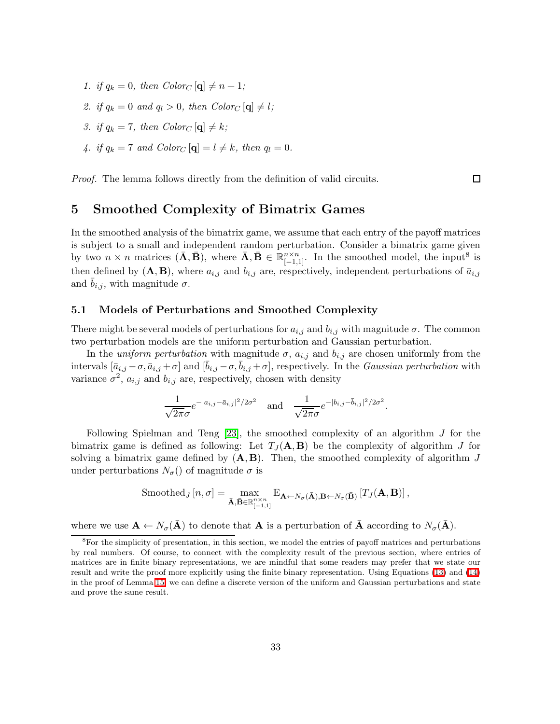- 1. if  $q_k = 0$ , then  $Color_C[\mathbf{q}] \neq n+1$ ;
- 2. if  $q_k = 0$  and  $q_l > 0$ , then  $Color_C [\mathbf{q}] \neq l$ ;
- 3. if  $q_k = 7$ , then  $Color_C [\mathbf{q}] \neq k$ ;
- 4. if  $q_k = 7$  and  $Color_C [\mathbf{q}] = l \neq k$ , then  $q_l = 0$ .

Proof. The lemma follows directly from the definition of valid circuits.

### 5 Smoothed Complexity of Bimatrix Games

In the smoothed analysis of the bimatrix game, we assume that each entry of the payoff matrices is subject to a small and independent random perturbation. Consider a bimatrix game given by two  $n \times n$  matrices  $(\bar{\mathbf{A}}, \bar{\mathbf{B}})$ , where  $\bar{\mathbf{A}}, \bar{\mathbf{B}} \in \mathbb{R}_{[-1,1]}^{n \times n}$ . In the smoothed model, the input<sup>8</sup> is then defined by  $(A, B)$ , where  $a_{i,j}$  and  $b_{i,j}$  are, respectively, independent perturbations of  $\bar{a}_{i,j}$ and  $b_{i,j}$ , with magnitude  $\sigma$ .

#### 5.1 Models of Perturbations and Smoothed Complexity

There might be several models of perturbations for  $a_{i,j}$  and  $b_{i,j}$  with magnitude  $\sigma$ . The common two perturbation models are the uniform perturbation and Gaussian perturbation.

In the *uniform perturbation* with magnitude  $\sigma$ ,  $a_{i,j}$  and  $b_{i,j}$  are chosen uniformly from the intervals  $[\bar{a}_{i,j} - \sigma, \bar{a}_{i,j} + \sigma]$  and  $[b_{i,j} - \sigma, b_{i,j} + \sigma]$ , respectively. In the *Gaussian perturbation* with variance  $\sigma^2$ ,  $a_{i,j}$  and  $b_{i,j}$  are, respectively, chosen with density

$$
\frac{1}{\sqrt{2\pi}\sigma}e^{-|a_{i,j}-\bar{a}_{i,j}|^2/2\sigma^2}
$$
 and 
$$
\frac{1}{\sqrt{2\pi}\sigma}e^{-|b_{i,j}-\bar{b}_{i,j}|^2/2\sigma^2}.
$$

Following Spielman and Teng [\[23\]](#page-38-1), the smoothed complexity of an algorithm J for the bimatrix game is defined as following: Let  $T_J(\mathbf{A}, \mathbf{B})$  be the complexity of algorithm J for solving a bimatrix game defined by  $(A, B)$ . Then, the smoothed complexity of algorithm J under perturbations  $N_{\sigma}$ () of magnitude  $\sigma$  is

$$
\mathrm{Smoothed}_{J}[n,\sigma] = \max_{\bar{\mathbf{A}}, \bar{\mathbf{B}} \in \mathbb{R}_{[-1,1]}^{n \times n}} \mathrm{E}_{\mathbf{A} \leftarrow N_{\sigma}(\bar{\mathbf{A}}), \mathbf{B} \leftarrow N_{\sigma}(\bar{\mathbf{B}})} [T_{J}(\mathbf{A}, \mathbf{B})],
$$

where we use  $\mathbf{A} \leftarrow N_{\sigma}(\bar{\mathbf{A}})$  to denote that  $\mathbf{A}$  is a perturbation of  $\bar{\mathbf{A}}$  according to  $N_{\sigma}(\bar{\mathbf{A}})$ .

 $\Box$ 

<sup>8</sup>For the simplicity of presentation, in this section, we model the entries of payoff matrices and perturbations by real numbers. Of course, to connect with the complexity result of the previous section, where entries of matrices are in finite binary representations, we are mindful that some readers may prefer that we state our result and write the proof more explicitly using the finite binary representation. Using Equations [\(13\)](#page-34-0) and [\(14\)](#page-34-0) in the proof of Lemma [15,](#page-33-0) we can define a discrete version of the uniform and Gaussian perturbations and state and prove the same result.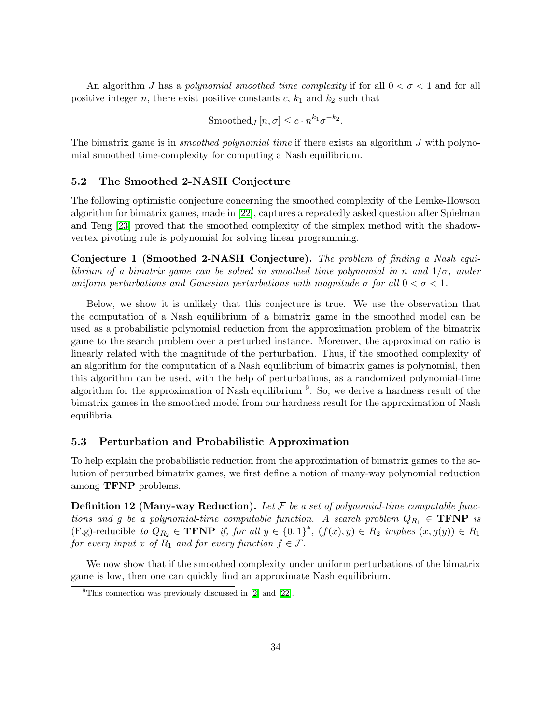An algorithm J has a polynomial smoothed time complexity if for all  $0 < \sigma < 1$  and for all positive integer n, there exist positive constants  $c, k_1$  and  $k_2$  such that

$$
\text{Smoothed}_J[n,\sigma] \leq c \cdot n^{k_1} \sigma^{-k_2}.
$$

The bimatrix game is in *smoothed polynomial time* if there exists an algorithm  $J$  with polynomial smoothed time-complexity for computing a Nash equilibrium.

### 5.2 The Smoothed 2-NASH Conjecture

The following optimistic conjecture concerning the smoothed complexity of the Lemke-Howson algorithm for bimatrix games, made in [\[22\]](#page-38-0), captures a repeatedly asked question after Spielman and Teng [\[23\]](#page-38-1) proved that the smoothed complexity of the simplex method with the shadowvertex pivoting rule is polynomial for solving linear programming.

Conjecture 1 (Smoothed 2-NASH Conjecture). The problem of finding a Nash equilibrium of a bimatrix game can be solved in smoothed time polynomial in n and  $1/\sigma$ , under uniform perturbations and Gaussian perturbations with magnitude  $\sigma$  for all  $0 < \sigma < 1$ .

Below, we show it is unlikely that this conjecture is true. We use the observation that the computation of a Nash equilibrium of a bimatrix game in the smoothed model can be used as a probabilistic polynomial reduction from the approximation problem of the bimatrix game to the search problem over a perturbed instance. Moreover, the approximation ratio is linearly related with the magnitude of the perturbation. Thus, if the smoothed complexity of an algorithm for the computation of a Nash equilibrium of bimatrix games is polynomial, then this algorithm can be used, with the help of perturbations, as a randomized polynomial-time algorithm for the approximation of Nash equilibrium <sup>9</sup>. So, we derive a hardness result of the bimatrix games in the smoothed model from our hardness result for the approximation of Nash equilibria.

#### 5.3 Perturbation and Probabilistic Approximation

To help explain the probabilistic reduction from the approximation of bimatrix games to the solution of perturbed bimatrix games, we first define a notion of many-way polynomial reduction among TFNP problems.

**Definition 12 (Many-way Reduction).** Let  $\mathcal F$  be a set of polynomial-time computable functions and g be a polynomial-time computable function. A search problem  $Q_{R_1} \in \text{TFNP}$  is  $(F,g)$ -reducible to  $Q_{R_2} \in \textbf{TFNP}$  if, for all  $y \in \{0,1\}^*$ ,  $(f(x), y) \in R_2$  implies  $(x, g(y)) \in R_1$ for every input x of  $R_1$  and for every function  $f \in \mathcal{F}$ .

<span id="page-33-0"></span>We now show that if the smoothed complexity under uniform perturbations of the bimatrix game is low, then one can quickly find an approximate Nash equilibrium.

<sup>&</sup>lt;sup>9</sup>This connection was previously discussed in  $[2]$  and  $[22]$ .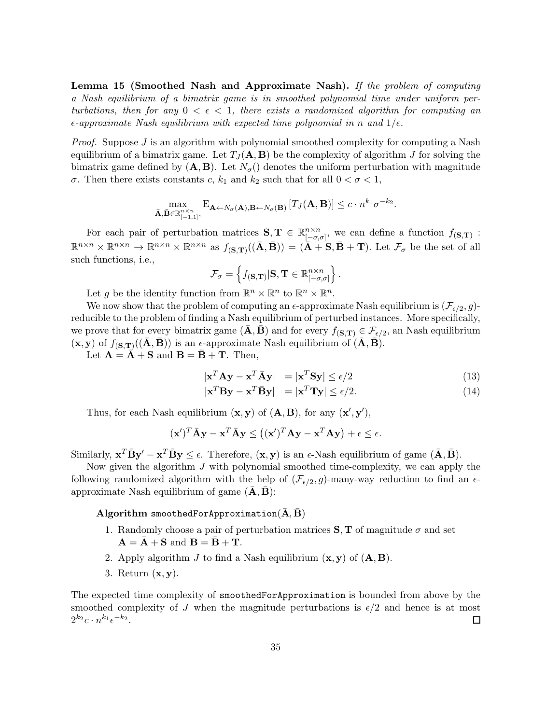Lemma 15 (Smoothed Nash and Approximate Nash). If the problem of computing a Nash equilibrium of a bimatrix game is in smoothed polynomial time under uniform perturbations, then for any  $0 < \epsilon < 1$ , there exists a randomized algorithm for computing an  $\epsilon$ -approximate Nash equilibrium with expected time polynomial in n and  $1/\epsilon$ .

*Proof.* Suppose  $J$  is an algorithm with polynomial smoothed complexity for computing a Nash equilibrium of a bimatrix game. Let  $T_J(\mathbf{A}, \mathbf{B})$  be the complexity of algorithm J for solving the bimatrix game defined by  $(A, B)$ . Let  $N_{\sigma}$  denotes the uniform perturbation with magnitude σ. Then there exists constants c,  $k_1$  and  $k_2$  such that for all  $0 < σ < 1$ ,

$$
\max_{\bar{\mathbf{A}}, \bar{\mathbf{B}} \in \mathbb{R}_{[-1,1]}^{n \times n}}, \mathbf{E}_{\mathbf{A} \leftarrow N_{\sigma}(\bar{\mathbf{A}}), \mathbf{B} \leftarrow N_{\sigma}(\bar{\mathbf{B}})} [T_J(\mathbf{A}, \mathbf{B})] \leq c \cdot n^{k_1} \sigma^{-k_2}.
$$

For each pair of perturbation matrices  $S, T \in \mathbb{R}^{n \times n}_{[-\sigma,n]}$  $\int_{[-\sigma,\sigma]}^{\infty}$ , we can define a function  $f_{(\mathbf{S},\mathbf{T})}$ :  $\mathbb{R}^{n \times n} \times \mathbb{R}^{n \times n} \to \mathbb{R}^{n \times n} \times \mathbb{R}^{n \times n}$  as  $f_{(\mathbf{S}, \mathbf{T})}((\bar{\mathbf{A}}, \bar{\mathbf{B}})) = (\bar{\mathbf{A}} + \mathbf{S}, \bar{\mathbf{B}} + \mathbf{T})$ . Let  $\mathcal{F}_{\sigma}$  be the set of all such functions, i.e.,

$$
\mathcal{F}_{\sigma} = \left\{ f(\mathbf{s}, \mathbf{T}) | \mathbf{S}, \mathbf{T} \in \mathbb{R}^{n \times n}_{[-\sigma, \sigma]} \right\}.
$$

Let g be the identity function from  $\mathbb{R}^n \times \mathbb{R}^n$  to  $\mathbb{R}^n \times \mathbb{R}^n$ .

We now show that the problem of computing an  $\epsilon$ -approximate Nash equilibrium is  $(\mathcal{F}_{\epsilon/2}, g)$ reducible to the problem of finding a Nash equilibrium of perturbed instances. More specifically, we prove that for every bimatrix game  $(\bar{\mathbf{A}}, \bar{\mathbf{B}})$  and for every  $f_{(\mathbf{S}, \mathbf{T})} \in \mathcal{F}_{\epsilon/2}$ , an Nash equilibrium  $(\mathbf{x}, \mathbf{y})$  of  $f_{(\mathbf{S}, \mathbf{T})}((\bar{\mathbf{A}}, \bar{\mathbf{B}}))$  is an  $\epsilon$ -approximate Nash equilibrium of  $(\bar{\mathbf{A}}, \bar{\mathbf{B}})$ .

<span id="page-34-0"></span>Let  $\mathbf{A} = \mathbf{A} + \mathbf{S}$  and  $\mathbf{B} = \mathbf{B} + \mathbf{T}$ . Then,

$$
|\mathbf{x}^T \mathbf{A} \mathbf{y} - \mathbf{x}^T \bar{\mathbf{A}} \mathbf{y}| = |\mathbf{x}^T \mathbf{S} \mathbf{y}| \le \epsilon/2
$$
 (13)

$$
|\mathbf{x}^T \mathbf{B} \mathbf{y} - \mathbf{x}^T \bar{\mathbf{B}} \mathbf{y}| = |\mathbf{x}^T \mathbf{T} \mathbf{y}| \le \epsilon/2.
$$
 (14)

Thus, for each Nash equilibrium  $(x, y)$  of  $(A, B)$ , for any  $(x', y')$ ,

$$
(\mathbf{x}')^T \bar{\mathbf{A}} \mathbf{y} - \mathbf{x}^T \bar{\mathbf{A}} \mathbf{y} \le ((\mathbf{x}')^T \mathbf{A} \mathbf{y} - \mathbf{x}^T \mathbf{A} \mathbf{y}) + \epsilon \le \epsilon.
$$

Similarly,  $\mathbf{x}^T \bar{\mathbf{B}} \mathbf{y}' - \mathbf{x}^T \bar{\mathbf{B}} \mathbf{y} \le \epsilon$ . Therefore,  $(\mathbf{x}, \mathbf{y})$  is an  $\epsilon$ -Nash equilibrium of game  $(\bar{\mathbf{A}}, \bar{\mathbf{B}})$ .

Now given the algorithm J with polynomial smoothed time-complexity, we can apply the following randomized algorithm with the help of  $(\mathcal{F}_{\epsilon/2}, g)$ -many-way reduction to find an  $\epsilon$ approximate Nash equilibrium of game  $(A, B)$ :

#### Algorithm smoothedForApproximation $(A, B)$

- 1. Randomly choose a pair of perturbation matrices  $S, T$  of magnitude  $\sigma$  and set  $\mathbf{A} = \mathbf{\bar{A}} + \mathbf{S}$  and  $\mathbf{B} = \mathbf{\bar{B}} + \mathbf{T}$ .
- 2. Apply algorithm  $J$  to find a Nash equilibrium  $(x, y)$  of  $(A, B)$ .
- 3. Return  $(x, y)$ .

The expected time complexity of smoothedForApproximation is bounded from above by the smoothed complexity of J when the magnitude perturbations is  $\epsilon/2$  and hence is at most  $2^{k_2}c\cdot n^{k_1}\epsilon^{-k_2}.$ □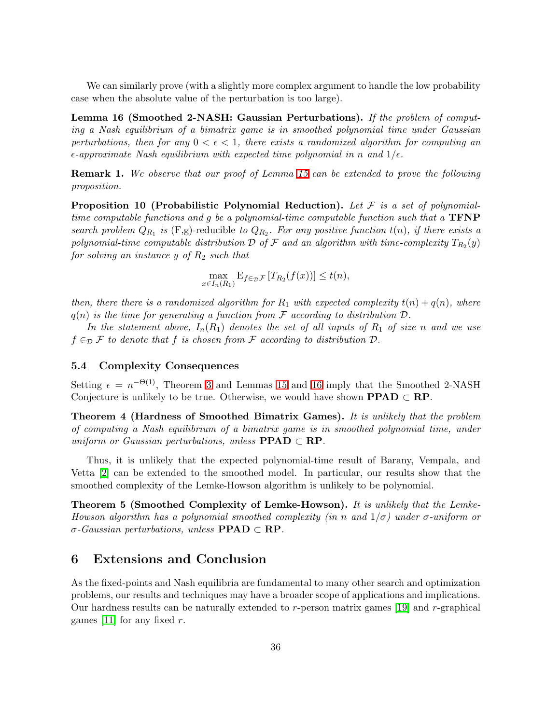<span id="page-35-0"></span>We can similarly prove (with a slightly more complex argument to handle the low probability case when the absolute value of the perturbation is too large).

Lemma 16 (Smoothed 2-NASH: Gaussian Perturbations). If the problem of computing a Nash equilibrium of a bimatrix game is in smoothed polynomial time under Gaussian perturbations, then for any  $0 < \epsilon < 1$ , there exists a randomized algorithm for computing an  $\epsilon$ -approximate Nash equilibrium with expected time polynomial in n and  $1/\epsilon$ .

**Remark 1.** We observe that our proof of Lemma [15](#page-33-0) can be extended to prove the following proposition.

**Proposition 10 (Probabilistic Polynomial Reduction).** Let  $\mathcal F$  is a set of polynomialtime computable functions and g be a polynomial-time computable function such that a  $\text{TFNP}$ search problem  $Q_{R_1}$  is  $(F,g)$ -reducible to  $Q_{R_2}$ . For any positive function  $t(n)$ , if there exists a polynomial-time computable distribution  $\mathcal D$  of  $\mathcal F$  and an algorithm with time-complexity  $T_{R_2}(y)$ for solving an instance y of  $R_2$  such that

$$
\max_{x \in I_n(R_1)} \mathbf{E}_{f \in \mathcal{D}} \mathcal{F}[T_{R_2}(f(x))] \le t(n),
$$

then, there there is a randomized algorithm for  $R_1$  with expected complexity  $t(n) + q(n)$ , where  $q(n)$  is the time for generating a function from F according to distribution  $\mathcal{D}$ .

In the statement above,  $I_n(R_1)$  denotes the set of all inputs of  $R_1$  of size n and we use  $f \in_{\mathcal{D}} \mathcal{F}$  to denote that f is chosen from F according to distribution  $\mathcal{D}$ .

#### 5.4 Complexity Consequences

Setting  $\epsilon = n^{-\Theta(1)}$ , Theorem [3](#page-18-0) and Lemmas [15](#page-33-0) and [16](#page-35-0) imply that the Smoothed 2-NASH Conjecture is unlikely to be true. Otherwise, we would have shown  $\textbf{PPAD} \subset \textbf{RP}$ .

Theorem 4 (Hardness of Smoothed Bimatrix Games). It is unlikely that the problem of computing a Nash equilibrium of a bimatrix game is in smoothed polynomial time, under uniform or Gaussian perturbations, unless  $\text{PPAD} \subset \text{RP}$ .

Thus, it is unlikely that the expected polynomial-time result of Barany, Vempala, and Vetta [\[2\]](#page-36-1) can be extended to the smoothed model. In particular, our results show that the smoothed complexity of the Lemke-Howson algorithm is unlikely to be polynomial.

Theorem 5 (Smoothed Complexity of Lemke-Howson). It is unlikely that the Lemke-Howson algorithm has a polynomial smoothed complexity (in n and  $1/\sigma$ ) under  $\sigma$ -uniform or  $\sigma$ -Gaussian perturbations, unless **PPAD**  $\subset$  **RP**.

### 6 Extensions and Conclusion

As the fixed-points and Nash equilibria are fundamental to many other search and optimization problems, our results and techniques may have a broader scope of applications and implications. Our hardness results can be naturally extended to  $r$ -person matrix games [\[19\]](#page-37-2) and  $r$ -graphical games [\[11\]](#page-37-16) for any fixed  $r$ .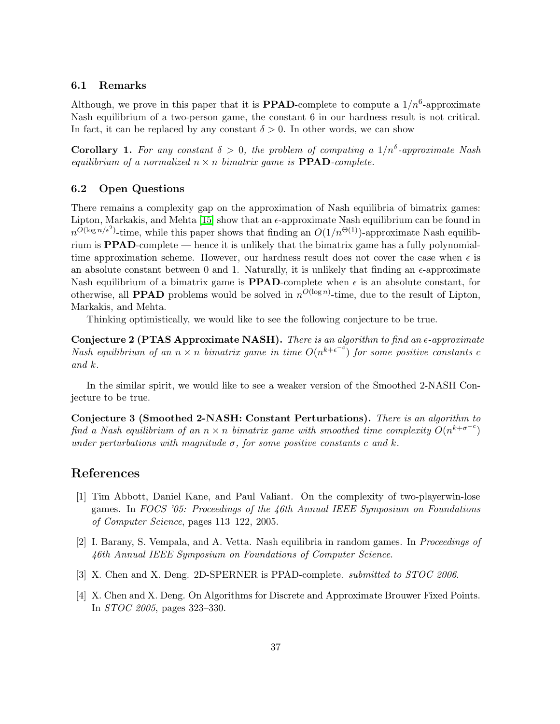#### 6.1 Remarks

Although, we prove in this paper that it is **PPAD**-complete to compute a  $1/n^6$ -approximate Nash equilibrium of a two-person game, the constant 6 in our hardness result is not critical. In fact, it can be replaced by any constant  $\delta > 0$ . In other words, we can show

**Corollary 1.** For any constant  $\delta > 0$ , the problem of computing a  $1/n^{\delta}$ -approximate Nash equilibrium of a normalized  $n \times n$  bimatrix game is **PPAD**-complete.

#### 6.2 Open Questions

There remains a complexity gap on the approximation of Nash equilibria of bimatrix games: Lipton, Markakis, and Mehta [\[15\]](#page-37-9) show that an  $\epsilon$ -approximate Nash equilibrium can be found in  $n^{O(\log n/\epsilon^2)}$ -time, while this paper shows that finding an  $O(1/n^{\Theta(1)})$ -approximate Nash equilibrium is PPAD-complete — hence it is unlikely that the bimatrix game has a fully polynomialtime approximation scheme. However, our hardness result does not cover the case when  $\epsilon$  is an absolute constant between 0 and 1. Naturally, it is unlikely that finding an  $\epsilon$ -approximate Nash equilibrium of a bimatrix game is **PPAD**-complete when  $\epsilon$  is an absolute constant, for otherwise, all **PPAD** problems would be solved in  $n^{O(\log n)}$ -time, due to the result of Lipton, Markakis, and Mehta.

Thinking optimistically, we would like to see the following conjecture to be true.

Conjecture 2 (PTAS Approximate NASH). There is an algorithm to find an  $\epsilon$ -approximate Nash equilibrium of an  $n \times n$  bimatrix game in time  $O(n^{k+\epsilon^{-c}})$  for some positive constants c and k.

In the similar spirit, we would like to see a weaker version of the Smoothed 2-NASH Conjecture to be true.

Conjecture 3 (Smoothed 2-NASH: Constant Perturbations). There is an algorithm to find a Nash equilibrium of an  $n \times n$  bimatrix game with smoothed time complexity  $O(n^{k+\sigma^{-c}})$ under perturbations with magnitude  $\sigma$ , for some positive constants c and k.

### References

- [1] Tim Abbott, Daniel Kane, and Paul Valiant. On the complexity of two-playerwin-lose games. In FOCS '05: Proceedings of the 46th Annual IEEE Symposium on Foundations of Computer Science, pages 113–122, 2005.
- <span id="page-36-1"></span>[2] I. Barany, S. Vempala, and A. Vetta. Nash equilibria in random games. In Proceedings of 46th Annual IEEE Symposium on Foundations of Computer Science.
- <span id="page-36-2"></span><span id="page-36-0"></span>[3] X. Chen and X. Deng. 2D-SPERNER is PPAD-complete. submitted to STOC 2006.
- [4] X. Chen and X. Deng. On Algorithms for Discrete and Approximate Brouwer Fixed Points. In STOC 2005, pages 323–330.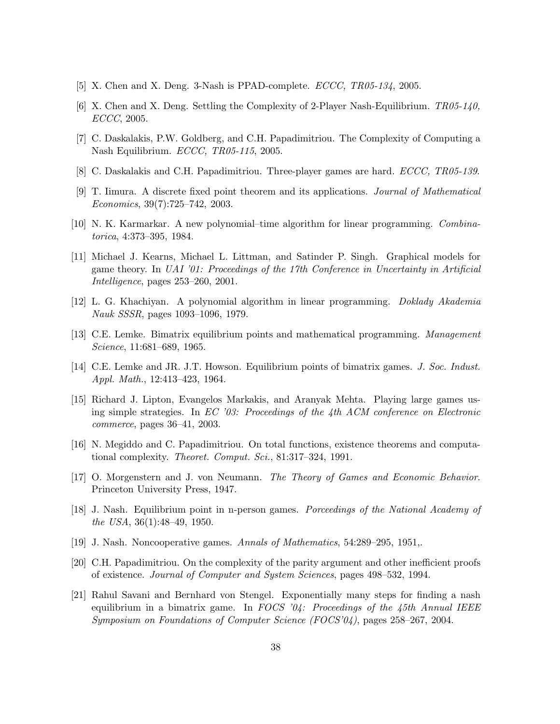- <span id="page-37-13"></span><span id="page-37-11"></span>[5] X. Chen and X. Deng. 3-Nash is PPAD-complete. ECCC, TR05-134, 2005.
- [6] X. Chen and X. Deng. Settling the Complexity of 2-Player Nash-Equilibrium.  $TR05-140$ , ECCC, 2005.
- <span id="page-37-12"></span><span id="page-37-8"></span>[7] C. Daskalakis, P.W. Goldberg, and C.H. Papadimitriou. The Complexity of Computing a Nash Equilibrium. ECCC, TR05-115, 2005.
- <span id="page-37-10"></span>[8] C. Daskalakis and C.H. Papadimitriou. Three-player games are hard. ECCC, TR05-139.
- [9] T. Iimura. A discrete fixed point theorem and its applications. Journal of Mathematical Economics, 39(7):725–742, 2003.
- <span id="page-37-16"></span><span id="page-37-5"></span>[10] N. K. Karmarkar. A new polynomial–time algorithm for linear programming. Combinatorica, 4:373–395, 1984.
- [11] Michael J. Kearns, Michael L. Littman, and Satinder P. Singh. Graphical models for game theory. In UAI '01: Proceedings of the 17th Conference in Uncertainty in Artificial Intelligence, pages 253–260, 2001.
- <span id="page-37-7"></span><span id="page-37-0"></span>[12] L. G. Khachiyan. A polynomial algorithm in linear programming. Doklady Akademia Nauk SSSR, pages 1093–1096, 1979.
- <span id="page-37-1"></span>[13] C.E. Lemke. Bimatrix equilibrium points and mathematical programming. Management Science, 11:681–689, 1965.
- <span id="page-37-9"></span>[14] C.E. Lemke and JR. J.T. Howson. Equilibrium points of bimatrix games. J. Soc. Indust. Appl. Math., 12:413–423, 1964.
- [15] Richard J. Lipton, Evangelos Markakis, and Aranyak Mehta. Playing large games using simple strategies. In  $EC$  '03: Proceedings of the 4th ACM conference on Electronic commerce, pages 36–41, 2003.
- <span id="page-37-15"></span><span id="page-37-4"></span>[16] N. Megiddo and C. Papadimitriou. On total functions, existence theorems and computational complexity. Theoret. Comput. Sci., 81:317-324, 1991.
- [17] O. Morgenstern and J. von Neumann. The Theory of Games and Economic Behavior. Princeton University Press, 1947.
- <span id="page-37-3"></span>[18] J. Nash. Equilibrium point in n-person games. Porceedings of the National Academy of the USA, 36(1):48–49, 1950.
- <span id="page-37-14"></span><span id="page-37-2"></span>[19] J. Nash. Noncooperative games. Annals of Mathematics, 54:289–295, 1951,.
- <span id="page-37-6"></span>[20] C.H. Papadimitriou. On the complexity of the parity argument and other inefficient proofs of existence. Journal of Computer and System Sciences, pages 498–532, 1994.
- [21] Rahul Savani and Bernhard von Stengel. Exponentially many steps for finding a nash equilibrium in a bimatrix game. In FOCS '04: Proceedings of the 45th Annual IEEE Symposium on Foundations of Computer Science (FOCS'04), pages 258–267, 2004.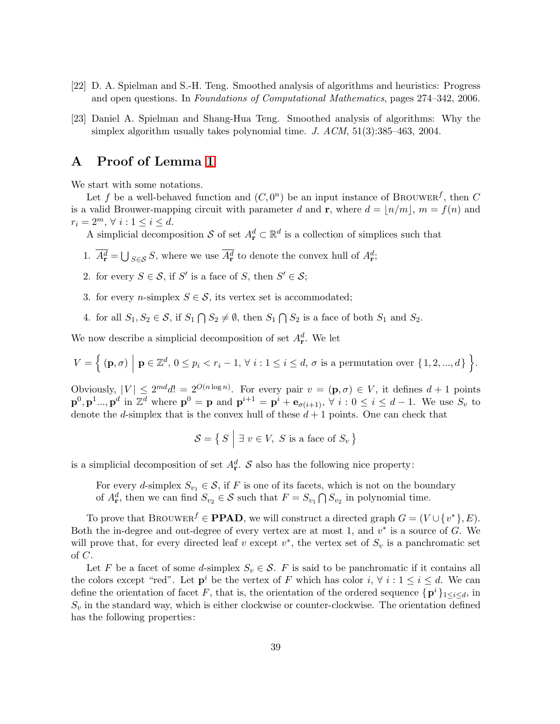- <span id="page-38-1"></span><span id="page-38-0"></span>[22] D. A. Spielman and S.-H. Teng. Smoothed analysis of algorithms and heuristics: Progress and open questions. In Foundations of Computational Mathematics, pages 274–342, 2006.
- [23] Daniel A. Spielman and Shang-Hua Teng. Smoothed analysis of algorithms: Why the simplex algorithm usually takes polynomial time. J.  $ACM$ ,  $51(3):385-463$ ,  $2004$ .

### A Proof of Lemma [1](#page-8-1)

We start with some notations.

Let f be a well-behaved function and  $(C, 0^n)$  be an input instance of BROUWER<sup>f</sup>, then C is a valid Brouwer-mapping circuit with parameter d and **r**, where  $d = |n/m|$ ,  $m = f(n)$  and  $r_i = 2^m, \forall i : 1 \leq i \leq d.$ 

A simplicial decomposition S of set  $A_{\mathbf{r}}^d \subset \mathbb{R}^d$  is a collection of simplices such that

- 1.  $\overline{A^d_{\mathbf{r}}} = \bigcup_{S \in \mathcal{S}} S$ , where we use  $\overline{A^d_{\mathbf{r}}}$  to denote the convex hull of  $A^d_{\mathbf{r}}$ ;
- 2. for every  $S \in \mathcal{S}$ , if S' is a face of S, then  $S' \in \mathcal{S}$ ;
- 3. for every *n*-simplex  $S \in \mathcal{S}$ , its vertex set is accommodated;
- 4. for all  $S_1, S_2 \in \mathcal{S}$ , if  $S_1 \cap S_2 \neq \emptyset$ , then  $S_1 \cap S_2$  is a face of both  $S_1$  and  $S_2$ .

We now describe a simplicial decomposition of set  $A_{\mathbf{r}}^d$ . We let

$$
V = \Big\{ (\mathbf{p}, \sigma) \mid \mathbf{p} \in \mathbb{Z}^d, \, 0 \le p_i < r_i - 1, \, \forall \, i : 1 \le i \le d, \, \sigma \text{ is a permutation over } \{1, 2, \dots, d\} \Big\}.
$$

Obviously,  $|V| \leq 2^{md}d! = 2^{O(n \log n)}$ . For every pair  $v = (\mathbf{p}, \sigma) \in V$ , it defines  $d+1$  points  $\mathbf{p}^0$ ,  $\mathbf{p}^1$ ...,  $\mathbf{p}^d$  in  $\mathbb{Z}^d$  where  $\mathbf{p}^0 = \mathbf{p}$  and  $\mathbf{p}^{i+1} = \mathbf{p}^i + \mathbf{e}_{\sigma(i+1)}$ ,  $\forall i : 0 \le i \le d-1$ . We use  $S_v$  to denote the d-simplex that is the convex hull of these  $d+1$  points. One can check that

$$
\mathcal{S} = \{ S \mid \exists v \in V, S \text{ is a face of } S_v \}
$$

is a simplicial decomposition of set  $A_r^d$ . S also has the following nice property:

For every d-simplex  $S_{v_1} \in \mathcal{S}$ , if F is one of its facets, which is not on the boundary of  $A_{\mathbf{r}}^d$ , then we can find  $S_{v_2} \in \mathcal{S}$  such that  $F = S_{v_1} \bigcap S_{v_2}$  in polynomial time.

To prove that BROUWER<sup> $f \in \mathbf{PPAD}$ , we will construct a directed graph  $G = (V \cup \{v^*\}, E)$ .</sup> Both the in-degree and out-degree of every vertex are at most 1, and  $v^*$  is a source of G. We will prove that, for every directed leaf v except  $v^*$ , the vertex set of  $S_v$  is a panchromatic set of C.

Let F be a facet of some d-simplex  $S_v \in \mathcal{S}$ . F is said to be panchromatic if it contains all the colors except "red". Let  $p^i$  be the vertex of F which has color  $i, \forall i : 1 \leq i \leq d$ . We can define the orientation of facet F, that is, the orientation of the ordered sequence  $\{p^i\}_{1\leq i\leq d}$ , in  $S_v$  in the standard way, which is either clockwise or counter-clockwise. The orientation defined has the following properties: